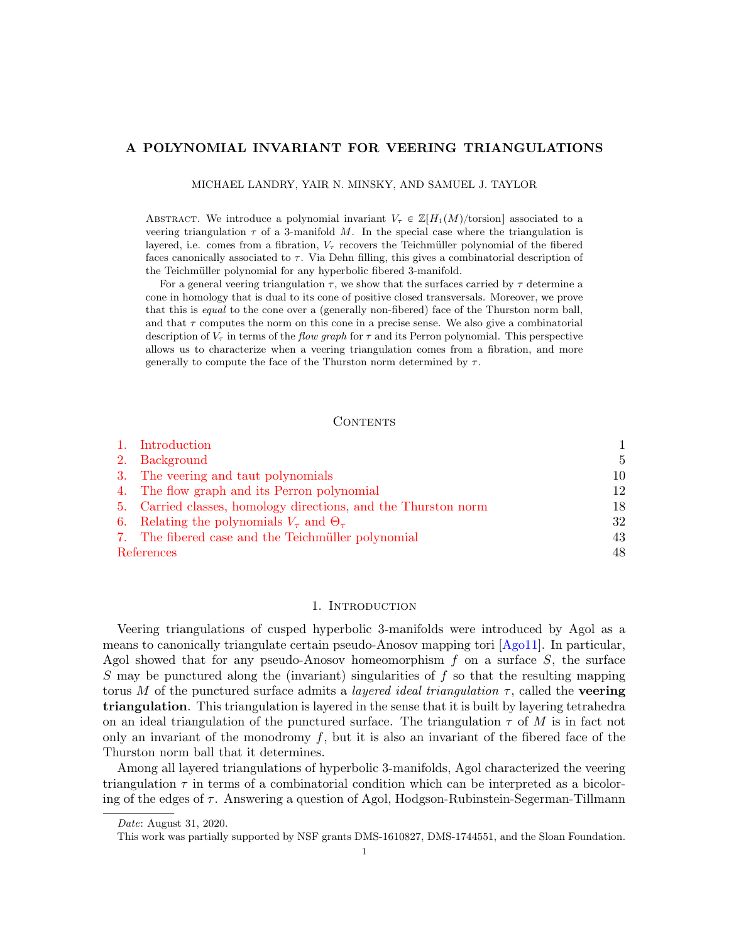#### A POLYNOMIAL INVARIANT FOR VEERING TRIANGULATIONS

MICHAEL LANDRY, YAIR N. MINSKY, AND SAMUEL J. TAYLOR

ABSTRACT. We introduce a polynomial invariant  $V_{\tau} \in \mathbb{Z}[H_1(M)/\text{torsion}]$  associated to a veering triangulation  $\tau$  of a 3-manifold M. In the special case where the triangulation is layered, i.e. comes from a fibration,  $V_{\tau}$  recovers the Teichmüller polynomial of the fibered faces canonically associated to  $\tau$ . Via Dehn filling, this gives a combinatorial description of the Teichmüller polynomial for any hyperbolic fibered 3-manifold.

For a general veering triangulation  $\tau$ , we show that the surfaces carried by  $\tau$  determine a cone in homology that is dual to its cone of positive closed transversals. Moreover, we prove that this is equal to the cone over a (generally non-fibered) face of the Thurston norm ball, and that  $\tau$  computes the norm on this cone in a precise sense. We also give a combinatorial description of  $V_{\tau}$  in terms of the *flow graph* for  $\tau$  and its Perron polynomial. This perspective allows us to characterize when a veering triangulation comes from a fibration, and more generally to compute the face of the Thurston norm determined by  $\tau$ .

## **CONTENTS**

|            | 1. Introduction                                                |                |
|------------|----------------------------------------------------------------|----------------|
|            | 2. Background                                                  | $\overline{5}$ |
|            | 3. The veering and taut polynomials                            | 10             |
|            | 4. The flow graph and its Perron polynomial                    | 12             |
|            | 5. Carried classes, homology directions, and the Thurston norm | 18             |
|            | 6. Relating the polynomials $V_{\tau}$ and $\Theta_{\tau}$ .   | 32             |
|            | 7. The fibered case and the Teichmüller polynomial             | 43             |
| References |                                                                |                |

#### 1. Introduction

<span id="page-0-0"></span>Veering triangulations of cusped hyperbolic 3-manifolds were introduced by Agol as a means to canonically triangulate certain pseudo-Anosov mapping tori [\[Ago11\]](#page-47-1). In particular, Agol showed that for any pseudo-Anosov homeomorphism  $f$  on a surface  $S$ , the surface S may be punctured along the (invariant) singularities of  $f$  so that the resulting mapping torus M of the punctured surface admits a *layered ideal triangulation*  $\tau$ , called the **veering** triangulation. This triangulation is layered in the sense that it is built by layering tetrahedra on an ideal triangulation of the punctured surface. The triangulation  $\tau$  of M is in fact not only an invariant of the monodromy  $f$ , but it is also an invariant of the fibered face of the Thurston norm ball that it determines.

Among all layered triangulations of hyperbolic 3-manifolds, Agol characterized the veering triangulation  $\tau$  in terms of a combinatorial condition which can be interpreted as a bicoloring of the edges of  $\tau$ . Answering a question of Agol, Hodgson-Rubinstein-Segerman-Tillmann

Date: August 31, 2020.

This work was partially supported by NSF grants DMS-1610827, DMS-1744551, and the Sloan Foundation.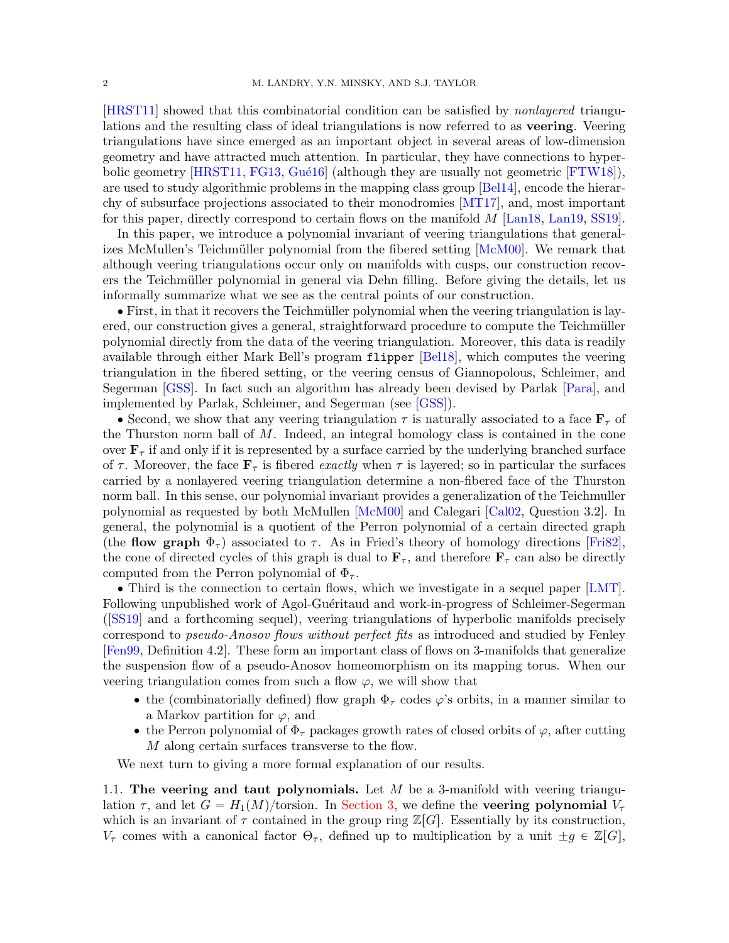[\[HRST11\]](#page-48-0) showed that this combinatorial condition can be satisfied by nonlayered triangulations and the resulting class of ideal triangulations is now referred to as veering. Veering triangulations have since emerged as an important object in several areas of low-dimension geometry and have attracted much attention. In particular, they have connections to hyperbolic geometry  $[HRST11, FG13, Gué16]$  $[HRST11, FG13, Gué16]$  $[HRST11, FG13, Gué16]$  (although they are usually not geometric  $[FTW18]$ ), are used to study algorithmic problems in the mapping class group [\[Bel14\]](#page-47-2), encode the hierarchy of subsurface projections associated to their monodromies [\[MT17\]](#page-48-4), and, most important for this paper, directly correspond to certain flows on the manifold M [\[Lan18,](#page-48-5) [Lan19,](#page-48-6) [SS19\]](#page-48-7).

In this paper, we introduce a polynomial invariant of veering triangulations that general-izes McMullen's Teichmüller polynomial from the fibered setting [\[McM00\]](#page-48-8). We remark that although veering triangulations occur only on manifolds with cusps, our construction recovers the Teichmüller polynomial in general via Dehn filling. Before giving the details, let us informally summarize what we see as the central points of our construction.

• First, in that it recovers the Teichmüller polynomial when the veering triangulation is layered, our construction gives a general, straightforward procedure to compute the Teichmüller polynomial directly from the data of the veering triangulation. Moreover, this data is readily available through either Mark Bell's program flipper [\[Bel18\]](#page-47-3), which computes the veering triangulation in the fibered setting, or the veering census of Giannopolous, Schleimer, and Segerman [\[GSS\]](#page-48-9). In fact such an algorithm has already been devised by Parlak [\[Para\]](#page-48-10), and implemented by Parlak, Schleimer, and Segerman (see [\[GSS\]](#page-48-9)).

 $\bullet$  Second, we show that any veering triangulation  $\tau$  is naturally associated to a face  $\mathbf{F}_{\tau}$  of the Thurston norm ball of  $M$ . Indeed, an integral homology class is contained in the cone over  $\mathbf{F}_{\tau}$  if and only if it is represented by a surface carried by the underlying branched surface of  $\tau$ . Moreover, the face  $\mathbf{F}_{\tau}$  is fibered exactly when  $\tau$  is layered; so in particular the surfaces carried by a nonlayered veering triangulation determine a non-fibered face of the Thurston norm ball. In this sense, our polynomial invariant provides a generalization of the Teichmuller polynomial as requested by both McMullen [\[McM00\]](#page-48-8) and Calegari [\[Cal02,](#page-47-4) Question 3.2]. In general, the polynomial is a quotient of the Perron polynomial of a certain directed graph (the flow graph  $\Phi_{\tau}$ ) associated to  $\tau$ . As in Fried's theory of homology directions [\[Fri82\]](#page-48-11), the cone of directed cycles of this graph is dual to  $\mathbf{F}_{\tau}$ , and therefore  $\mathbf{F}_{\tau}$  can also be directly computed from the Perron polynomial of  $\Phi_{\tau}$ .

' Third is the connection to certain flows, which we investigate in a sequel paper [\[LMT\]](#page-48-12). Following unpublished work of Agol-Guéritaud and work-in-progress of Schleimer-Segerman ([\[SS19\]](#page-48-7) and a forthcoming sequel), veering triangulations of hyperbolic manifolds precisely correspond to pseudo-Anosov flows without perfect fits as introduced and studied by Fenley [\[Fen99,](#page-48-13) Definition 4.2]. These form an important class of flows on 3-manifolds that generalize the suspension flow of a pseudo-Anosov homeomorphism on its mapping torus. When our veering triangulation comes from such a flow  $\varphi$ , we will show that

- the (combinatorially defined) flow graph  $\Phi_{\tau}$  codes  $\varphi$ 's orbits, in a manner similar to a Markov partition for  $\varphi$ , and
- the Perron polynomial of  $\Phi_{\tau}$  packages growth rates of closed orbits of  $\varphi$ , after cutting M along certain surfaces transverse to the flow.

We next turn to giving a more formal explanation of our results.

1.1. The veering and taut polynomials. Let  $M$  be a 3-manifold with veering triangulation  $\tau$ , and let  $G = H_1(M)/\text{torsion}$ . In [Section 3,](#page-9-0) we define the **veering polynomial**  $V_\tau$ which is an invariant of  $\tau$  contained in the group ring  $\mathbb{Z}[G]$ . Essentially by its construction,  $V_{\tau}$  comes with a canonical factor  $\Theta_{\tau}$ , defined up to multiplication by a unit  $\pm g \in \mathbb{Z}[G],$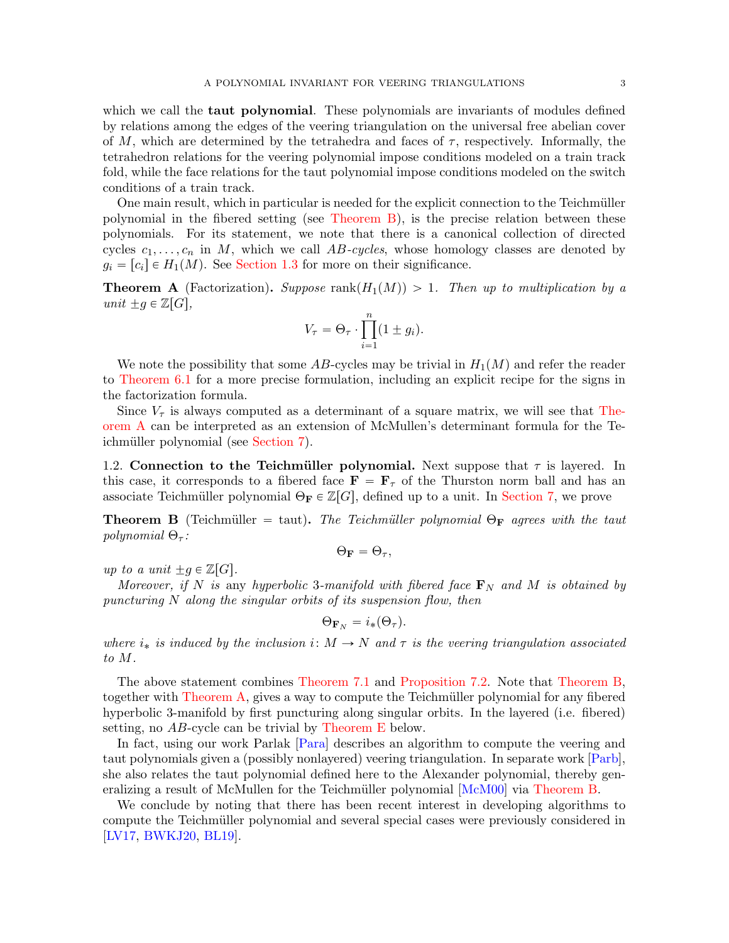which we call the **taut polynomial**. These polynomials are invariants of modules defined by relations among the edges of the veering triangulation on the universal free abelian cover of M, which are determined by the tetrahedra and faces of  $\tau$ , respectively. Informally, the tetrahedron relations for the veering polynomial impose conditions modeled on a train track fold, while the face relations for the taut polynomial impose conditions modeled on the switch conditions of a train track.

One main result, which in particular is needed for the explicit connection to the Teichmüller polynomial in the fibered setting (see [Theorem B\)](#page-2-0), is the precise relation between these polynomials. For its statement, we note that there is a canonical collection of directed cycles  $c_1, \ldots, c_n$  in M, which we call AB-cycles, whose homology classes are denoted by  $g_i = [c_i] \in H_1(M)$ . See [Section 1.3](#page-3-0) for more on their significance.

<span id="page-2-1"></span>**Theorem A** (Factorization). Suppose rank $(H_1(M)) > 1$ . Then up to multiplication by a unit  $\pm g \in \mathbb{Z}[G],$ 

$$
V_{\tau} = \Theta_{\tau} \cdot \prod_{i=1}^{n} (1 \pm g_i).
$$

We note the possibility that some AB-cycles may be trivial in  $H_1(M)$  and refer the reader to [Theorem 6.1](#page-32-0) for a more precise formulation, including an explicit recipe for the signs in the factorization formula.

Since  $V_{\tau}$  is always computed as a determinant of a square matrix, we will see that [The](#page-2-1)[orem A](#page-2-1) can be interpreted as an extension of McMullen's determinant formula for the Te-ichmüller polynomial (see [Section 7\)](#page-42-0).

1.2. Connection to the Teichmüller polynomial. Next suppose that  $\tau$  is layered. In this case, it corresponds to a fibered face  $\mathbf{F} = \mathbf{F}_{\tau}$  of the Thurston norm ball and has an associate Teichmüller polynomial  $\Theta_F \in \mathbb{Z}[G]$ , defined up to a unit. In [Section 7,](#page-42-0) we prove

<span id="page-2-0"></span>**Theorem B** (Teichmüller = taut). The Teichmüller polynomial  $\Theta_F$  agrees with the taut polynomial  $\Theta_{\tau}$ :

$$
\Theta_{\bf F}=\Theta_{\tau},
$$

up to a unit  $\pm g \in \mathbb{Z}[G].$ 

Moreover, if N is any hyperbolic 3-manifold with fibered face  $\mathbf{F}_N$  and M is obtained by puncturing N along the singular orbits of its suspension flow, then

$$
\Theta_{\mathbf{F}_N}=i_*(\Theta_\tau).
$$

where  $i_*$  is induced by the inclusion  $i: M \to N$  and  $\tau$  is the veering triangulation associated to M.

The above statement combines [Theorem 7.1](#page-43-0) and [Proposition 7.2.](#page-46-0) Note that [Theorem B,](#page-2-0) together with [Theorem A,](#page-2-1) gives a way to compute the Teichmüller polynomial for any fibered hyperbolic 3-manifold by first puncturing along singular orbits. In the layered (i.e. fibered) setting, no AB-cycle can be trivial by [Theorem E](#page-3-1) below.

In fact, using our work Parlak [\[Para\]](#page-48-10) describes an algorithm to compute the veering and taut polynomials given a (possibly nonlayered) veering triangulation. In separate work [\[Parb\]](#page-48-14), she also relates the taut polynomial defined here to the Alexander polynomial, thereby gen-eralizing a result of McMullen for the Teichmüller polynomial [\[McM00\]](#page-48-8) via [Theorem B.](#page-2-0)

We conclude by noting that there has been recent interest in developing algorithms to compute the Teichmüller polynomial and several special cases were previously considered in [\[LV17,](#page-48-15) [BWKJ20,](#page-47-5) [BL19\]](#page-47-6).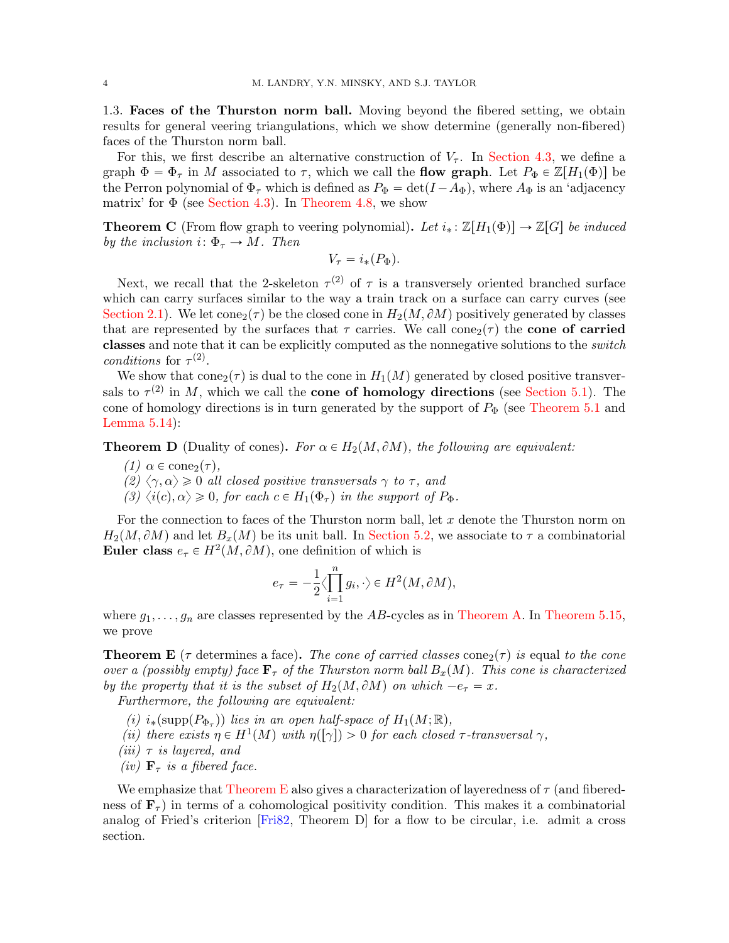<span id="page-3-0"></span>1.3. Faces of the Thurston norm ball. Moving beyond the fibered setting, we obtain results for general veering triangulations, which we show determine (generally non-fibered) faces of the Thurston norm ball.

For this, we first describe an alternative construction of  $V_{\tau}$ . In [Section 4.3,](#page-14-0) we define a graph  $\Phi = \Phi_{\tau}$  in M associated to  $\tau$ , which we call the **flow graph**. Let  $P_{\Phi} \in \mathbb{Z}[H_1(\Phi)]$  be the Perron polynomial of  $\Phi_{\tau}$  which is defined as  $P_{\Phi} = \det(I - A_{\Phi})$ , where  $A_{\Phi}$  is an 'adjacency matrix' for  $\Phi$  (see [Section 4.3\)](#page-14-0). In [Theorem 4.8,](#page-16-0) we show

**Theorem C** (From flow graph to veering polynomial). Let  $i_* : \mathbb{Z}[H_1(\Phi)] \to \mathbb{Z}[G]$  be induced by the inclusion  $i: \Phi_{\tau} \to M$ . Then

$$
V_{\tau} = i_*(P_{\Phi}).
$$

Next, we recall that the 2-skeleton  $\tau^{(2)}$  of  $\tau$  is a transversely oriented branched surface which can carry surfaces similar to the way a train track on a surface can carry curves (see [Section 2.1\)](#page-4-1). We let cone<sub>2</sub>( $\tau$ ) be the closed cone in  $H_2(M, \partial M)$  positively generated by classes that are represented by the surfaces that  $\tau$  carries. We call cone<sub>2</sub>( $\tau$ ) the **cone of carried** classes and note that it can be explicitly computed as the nonnegative solutions to the switch conditions for  $\tau^{(2)}$ .

We show that  $cone_2(\tau)$  is dual to the cone in  $H_1(M)$  generated by closed positive transversals to  $\tau^{(2)}$  in M, which we call the **cone of homology directions** (see [Section 5.1\)](#page-17-1). The cone of homology directions is in turn generated by the support of  $P_{\Phi}$  (see [Theorem 5.1](#page-17-2) and [Lemma 5.14\)](#page-29-0):

**Theorem D** (Duality of cones). For  $\alpha \in H_2(M, \partial M)$ , the following are equivalent:

- (1)  $\alpha \in \text{cone}_2(\tau)$ ,
- (2)  $\langle \gamma, \alpha \rangle \ge 0$  all closed positive transversals  $\gamma$  to  $\tau$ , and
- (3)  $\langle i(c), \alpha \rangle \geq 0$ , for each  $c \in H_1(\Phi_\tau)$  in the support of  $P_\Phi$ .

For the connection to faces of the Thurston norm ball, let  $x$  denote the Thurston norm on  $H_2(M, \partial M)$  and let  $B_x(M)$  be its unit ball. In [Section 5.2,](#page-26-0) we associate to  $\tau$  a combinatorial Euler class  $e_{\tau} \in H^2(M, \partial M)$ , one definition of which is

$$
e_{\tau} = -\frac{1}{2} \langle \prod_{i=1}^{n} g_i, \cdot \rangle \in H^2(M, \partial M),
$$

where  $g_1, \ldots, g_n$  are classes represented by the AB-cycles as in [Theorem A.](#page-2-1) In [Theorem 5.15,](#page-29-1) we prove

<span id="page-3-1"></span>**Theorem E** ( $\tau$  determines a face). The cone of carried classes cone<sub>2</sub>( $\tau$ ) is equal to the cone over a (possibly empty) face  $\mathbf{F}_{\tau}$  of the Thurston norm ball  $B_x(M)$ . This cone is characterized by the property that it is the subset of  $H_2(M, \partial M)$  on which  $-e_\tau = x$ .

Furthermore, the following are equivalent:

- (i)  $i_*(\text{supp}(P_{\Phi_{\tau}}))$  lies in an open half-space of  $H_1(M;\mathbb{R}),$
- (ii) there exists  $\eta \in H^1(M)$  with  $\eta([\gamma]) > 0$  for each closed  $\tau$ -transversal  $\gamma$ ,
- (*iii*)  $\tau$  *is layered, and*
- (iv)  $\mathbf{F}_{\tau}$  is a fibered face.

We emphasize that [Theorem E](#page-3-1) also gives a characterization of layeredness of  $\tau$  (and fiberedness of  $\mathbf{F}_{\tau}$ ) in terms of a cohomological positivity condition. This makes it a combinatorial analog of Fried's criterion [\[Fri82,](#page-48-11) Theorem D] for a flow to be circular, i.e. admit a cross section.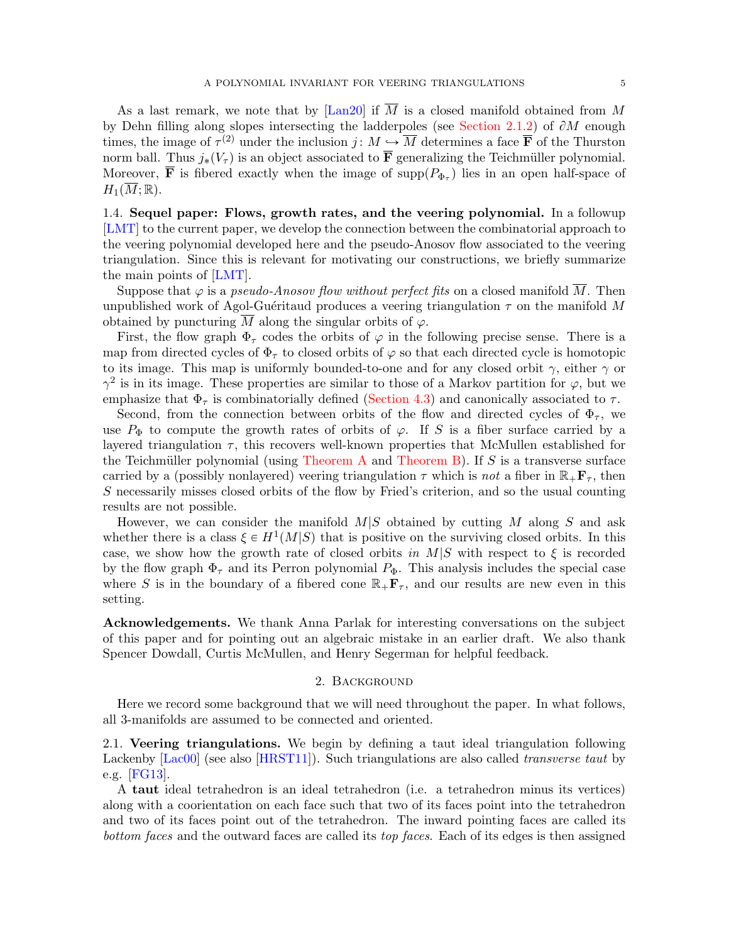As a last remark, we note that by [\[Lan20\]](#page-48-16) if  $\overline{M}$  is a closed manifold obtained from M by Dehn filling along slopes intersecting the ladderpoles (see [Section 2.1.2\)](#page-7-0) of  $\partial M$  enough times, the image of  $\tau^{(2)}$  under the inclusion  $j: M \hookrightarrow \overline{M}$  determines a face  $\overline{\mathbf{F}}$  of the Thurston norm ball. Thus  $j_*(V_\tau)$  is an object associated to  $\overline{\mathbf{F}}$  generalizing the Teichmüller polynomial. Moreover, **F** is fibered exactly when the image of  $\text{supp}(P_{\Phi_{\tau}})$  lies in an open half-space of  $H_1(\overline{M}; \mathbb{R}).$ 

1.4. Sequel paper: Flows, growth rates, and the veering polynomial. In a followup [\[LMT\]](#page-48-12) to the current paper, we develop the connection between the combinatorial approach to the veering polynomial developed here and the pseudo-Anosov flow associated to the veering triangulation. Since this is relevant for motivating our constructions, we briefly summarize the main points of [\[LMT\]](#page-48-12).

Suppose that  $\varphi$  is a *pseudo-Anosov flow without perfect fits* on a closed manifold M. Then unpublished work of Agol-Guéritaud produces a veering triangulation  $\tau$  on the manifold M obtained by puncturing  $\overline{M}$  along the singular orbits of  $\varphi$ .

First, the flow graph  $\Phi_{\tau}$  codes the orbits of  $\varphi$  in the following precise sense. There is a map from directed cycles of  $\Phi_{\tau}$  to closed orbits of  $\varphi$  so that each directed cycle is homotopic to its image. This map is uniformly bounded-to-one and for any closed orbit  $\gamma$ , either  $\gamma$  or  $\gamma^2$  is in its image. These properties are similar to those of a Markov partition for  $\varphi$ , but we emphasize that  $\Phi_{\tau}$  is combinatorially defined [\(Section 4.3\)](#page-14-0) and canonically associated to  $\tau$ .

Second, from the connection between orbits of the flow and directed cycles of  $\Phi_{\tau}$ , we use  $P_{\Phi}$  to compute the growth rates of orbits of  $\varphi$ . If S is a fiber surface carried by a layered triangulation  $\tau$ , this recovers well-known properties that McMullen established for the Teichmüller polynomial (using [Theorem A](#page-2-1) and [Theorem B\)](#page-2-0). If S is a transverse surface carried by a (possibly nonlayered) veering triangulation  $\tau$  which is not a fiber in  $\mathbb{R}_+$ **F**<sub> $\tau$ </sub>, then S necessarily misses closed orbits of the flow by Fried's criterion, and so the usual counting results are not possible.

However, we can consider the manifold  $M|S$  obtained by cutting M along S and ask whether there is a class  $\xi \in H^1(M|S)$  that is positive on the surviving closed orbits. In this case, we show how the growth rate of closed orbits in  $M/S$  with respect to  $\xi$  is recorded by the flow graph  $\Phi_{\tau}$  and its Perron polynomial  $P_{\Phi}$ . This analysis includes the special case where S is in the boundary of a fibered cone  $\mathbb{R}_+$ **F**<sub>T</sub>, and our results are new even in this setting.

Acknowledgements. We thank Anna Parlak for interesting conversations on the subject of this paper and for pointing out an algebraic mistake in an earlier draft. We also thank Spencer Dowdall, Curtis McMullen, and Henry Segerman for helpful feedback.

## 2. Background

<span id="page-4-0"></span>Here we record some background that we will need throughout the paper. In what follows, all 3-manifolds are assumed to be connected and oriented.

<span id="page-4-1"></span>2.1. Veering triangulations. We begin by defining a taut ideal triangulation following Lackenby [\[Lac00\]](#page-48-17) (see also [\[HRST11\]](#page-48-0)). Such triangulations are also called *transverse taut* by e.g. [\[FG13\]](#page-48-1).

A taut ideal tetrahedron is an ideal tetrahedron (i.e. a tetrahedron minus its vertices) along with a coorientation on each face such that two of its faces point into the tetrahedron and two of its faces point out of the tetrahedron. The inward pointing faces are called its bottom faces and the outward faces are called its top faces. Each of its edges is then assigned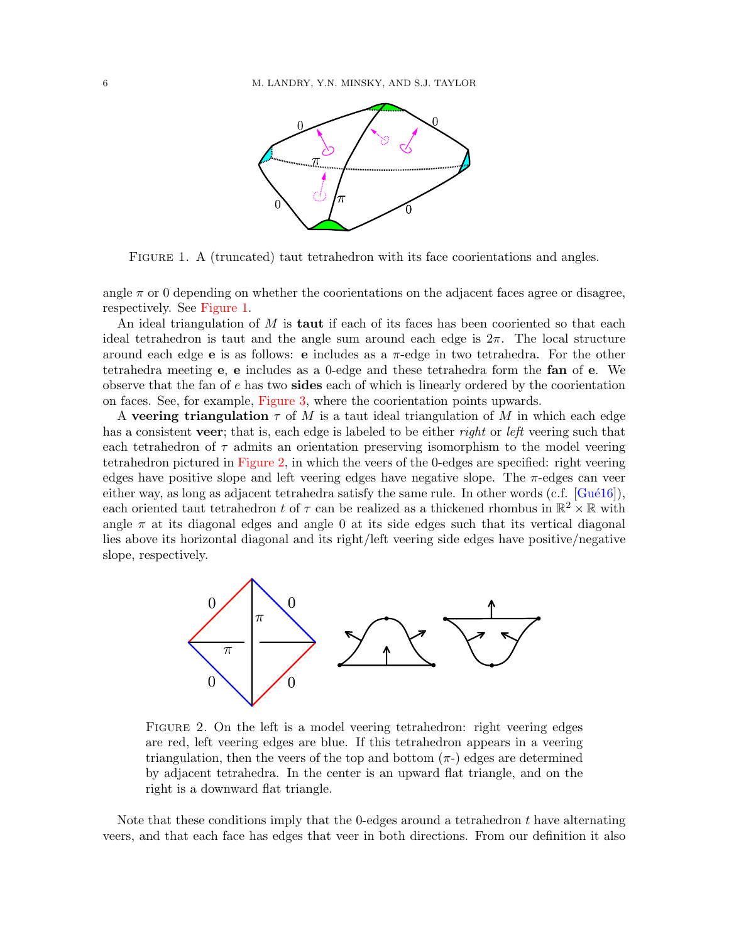

<span id="page-5-0"></span>FIGURE 1. A (truncated) taut tetrahedron with its face coorientations and angles.

angle  $\pi$  or 0 depending on whether the coorientations on the adjacent faces agree or disagree, respectively. See [Figure 1.](#page-5-0)

An ideal triangulation of M is **taut** if each of its faces has been cooriented so that each ideal tetrahedron is taut and the angle sum around each edge is  $2\pi$ . The local structure around each edge **e** is as follows: **e** includes as a  $\pi$ -edge in two tetrahedra. For the other tetrahedra meeting e, e includes as a 0-edge and these tetrahedra form the fan of e. We observe that the fan of e has two sides each of which is linearly ordered by the coorientation on faces. See, for example, [Figure 3,](#page-6-0) where the coorientation points upwards.

A veering triangulation  $\tau$  of M is a taut ideal triangulation of M in which each edge has a consistent veer; that is, each edge is labeled to be either right or left veering such that each tetrahedron of  $\tau$  admits an orientation preserving isomorphism to the model veering tetrahedron pictured in [Figure 2,](#page-5-1) in which the veers of the 0-edges are specified: right veering edges have positive slope and left veering edges have negative slope. The  $\pi$ -edges can veer either way, as long as adjacent tetrahedra satisfy the same rule. In other words  $(c.f. \left[Gu\&16\right]),$ each oriented taut tetrahedron t of  $\tau$  can be realized as a thickened rhombus in  $\mathbb{R}^2 \times \mathbb{R}$  with angle  $\pi$  at its diagonal edges and angle 0 at its side edges such that its vertical diagonal lies above its horizontal diagonal and its right/left veering side edges have positive/negative slope, respectively.



<span id="page-5-1"></span>FIGURE 2. On the left is a model veering tetrahedron: right veering edges are red, left veering edges are blue. If this tetrahedron appears in a veering triangulation, then the veers of the top and bottom  $(\pi)$  edges are determined by adjacent tetrahedra. In the center is an upward flat triangle, and on the right is a downward flat triangle.

Note that these conditions imply that the 0-edges around a tetrahedron t have alternating veers, and that each face has edges that veer in both directions. From our definition it also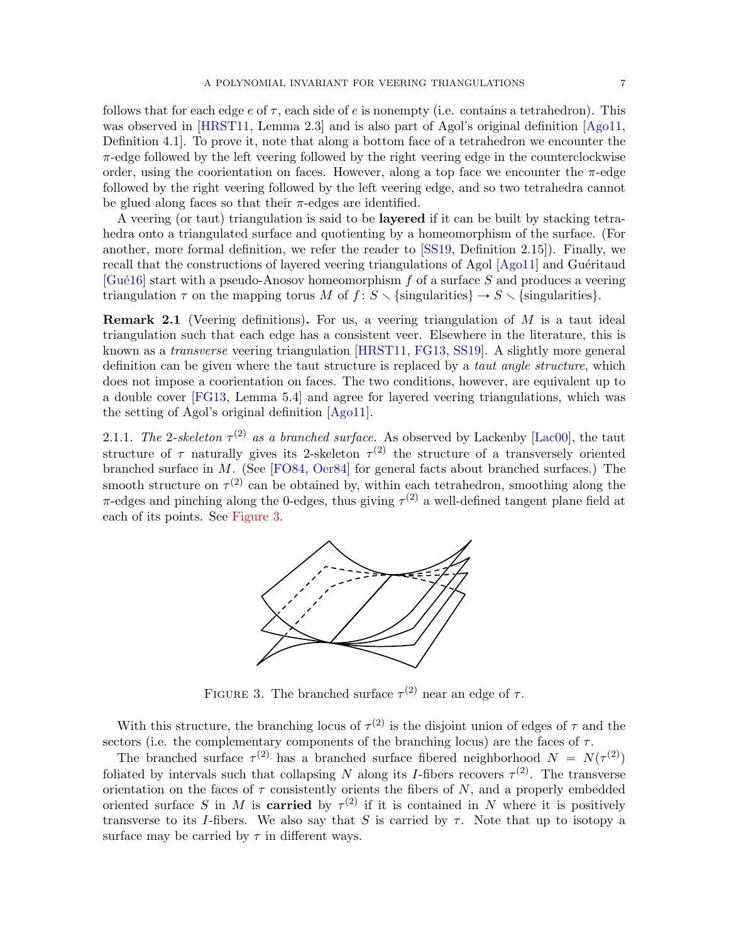follows that for each edge  $e$  of  $\tau$ , each side of  $e$  is nonempty (i.e. contains a tetrahedron). This was observed in [\[HRST11,](#page-48-0) Lemma 2.3] and is also part of Agol's original definition [\[Ago11,](#page-47-1) Definition 4.1]. To prove it, note that along a bottom face of a tetrahedron we encounter the  $\pi$ -edge followed by the left veering followed by the right veering edge in the counterclockwise order, using the coorientation on faces. However, along a top face we encounter the  $\pi$ -edge followed by the right veering followed by the left veering edge, and so two tetrahedra cannot be glued along faces so that their  $\pi$ -edges are identified.

A veering (or taut) triangulation is said to be layered if it can be built by stacking tetrahedra onto a triangulated surface and quotienting by a homeomorphism of the surface. (For another, more formal definition, we refer the reader to [\[SS19,](#page-48-7) Definition 2.15]). Finally, we recall that the constructions of layered veering triangulations of Agol  $[Aq011]$  and Guéritaud  $[Gu\acute{e}16]$  start with a pseudo-Anosov homeomorphism f of a surface S and produces a veering triangulation  $\tau$  on the mapping torus M of  $f : S \setminus {\text{singularities}} \rightarrow S \setminus {\text{singularities}}$ .

**Remark 2.1** (Veering definitions). For us, a veering triangulation of  $M$  is a taut ideal triangulation such that each edge has a consistent veer. Elsewhere in the literature, this is known as a transverse veering triangulation [\[HRST11,](#page-48-0) [FG13,](#page-48-1) [SS19\]](#page-48-7). A slightly more general definition can be given where the taut structure is replaced by a *taut angle structure*, which does not impose a coorientation on faces. The two conditions, however, are equivalent up to a double cover [\[FG13,](#page-48-1) Lemma 5.4] and agree for layered veering triangulations, which was the setting of Agol's original definition [\[Ago11\]](#page-47-1).

2.1.1. The 2-skeleton  $\tau^{(2)}$  as a branched surface. As observed by Lackenby [\[Lac00\]](#page-48-17), the taut structure of  $\tau$  naturally gives its 2-skeleton  $\tau^{(2)}$  the structure of a transversely oriented branched surface in M. (See [\[FO84,](#page-48-18) [Oer84\]](#page-48-19) for general facts about branched surfaces.) The smooth structure on  $\tau^{(2)}$  can be obtained by, within each tetrahedron, smoothing along the  $\pi$ -edges and pinching along the 0-edges, thus giving  $\tau^{(2)}$  a well-defined tangent plane field at each of its points. See [Figure 3.](#page-6-0)



<span id="page-6-0"></span>FIGURE 3. The branched surface  $\tau^{(2)}$  near an edge of  $\tau$ .

With this structure, the branching locus of  $\tau^{(2)}$  is the disjoint union of edges of  $\tau$  and the sectors (i.e. the complementary components of the branching locus) are the faces of  $\tau$ .

The branched surface  $\tau^{(2)}$  has a branched surface fibered neighborhood  $N = N(\tau^{(2)})$ foliated by intervals such that collapsing N along its I-fibers recovers  $\tau^{(2)}$ . The transverse orientation on the faces of  $\tau$  consistently orients the fibers of N, and a properly embedded oriented surface S in M is **carried** by  $\tau^{(2)}$  if it is contained in N where it is positively transverse to its I-fibers. We also say that S is carried by  $\tau$ . Note that up to isotopy a surface may be carried by  $\tau$  in different ways.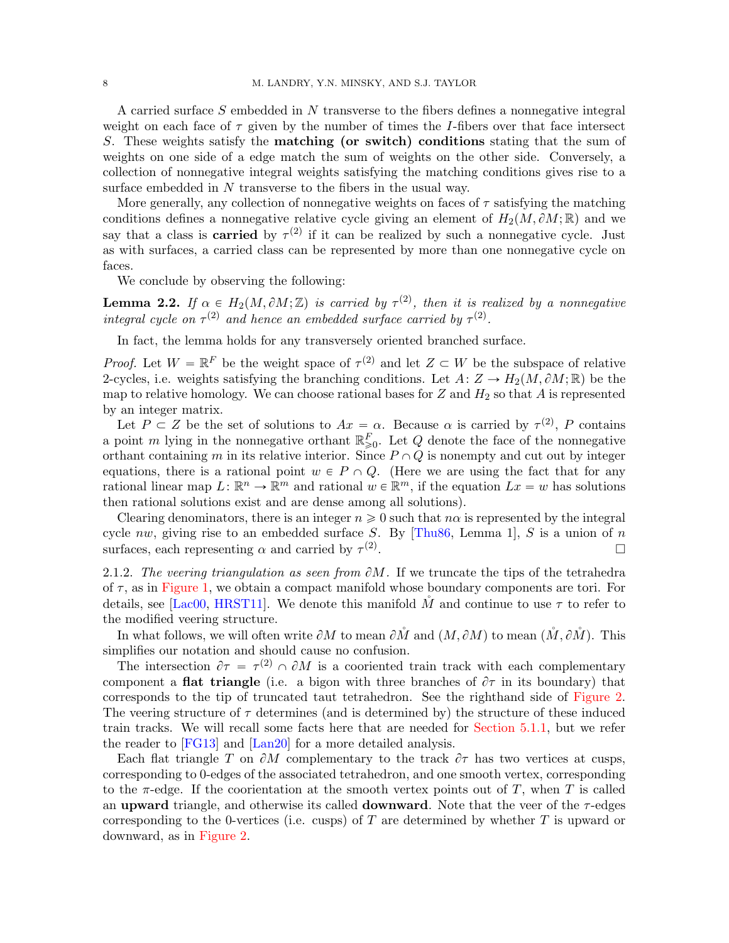A carried surface S embedded in N transverse to the fibers defines a nonnegative integral weight on each face of  $\tau$  given by the number of times the I-fibers over that face intersect S. These weights satisfy the matching (or switch) conditions stating that the sum of weights on one side of a edge match the sum of weights on the other side. Conversely, a collection of nonnegative integral weights satisfying the matching conditions gives rise to a surface embedded in N transverse to the fibers in the usual way.

More generally, any collection of nonnegative weights on faces of  $\tau$  satisfying the matching conditions defines a nonnegative relative cycle giving an element of  $H_2(M, \partial M; \mathbb{R})$  and we say that a class is **carried** by  $\tau^{(2)}$  if it can be realized by such a nonnegative cycle. Just as with surfaces, a carried class can be represented by more than one nonnegative cycle on faces.

We conclude by observing the following:

<span id="page-7-1"></span>**Lemma 2.2.** If  $\alpha \in H_2(M, \partial M; \mathbb{Z})$  is carried by  $\tau^{(2)}$ , then it is realized by a nonnegative integral cycle on  $\tau^{(2)}$  and hence an embedded surface carried by  $\tau^{(2)}$ .

In fact, the lemma holds for any transversely oriented branched surface.

*Proof.* Let  $W = \mathbb{R}^F$  be the weight space of  $\tau^{(2)}$  and let  $Z \subset W$  be the subspace of relative 2-cycles, i.e. weights satisfying the branching conditions. Let  $A: Z \to H_2(M, \partial M; \mathbb{R})$  be the map to relative homology. We can choose rational bases for  $Z$  and  $H_2$  so that  $A$  is represented by an integer matrix.

Let  $P \subset Z$  be the set of solutions to  $Ax = \alpha$ . Because  $\alpha$  is carried by  $\tau^{(2)}$ , P contains a point m lying in the nonnegative orthant  $\mathbb{R}^F_{\geqslant 0}$ . Let Q denote the face of the nonnegative orthant containing m in its relative interior. Since  $P \cap Q$  is nonempty and cut out by integer equations, there is a rational point  $w \in P \cap Q$ . (Here we are using the fact that for any rational linear map  $L: \mathbb{R}^n \to \mathbb{R}^m$  and rational  $w \in \mathbb{R}^m$ , if the equation  $Lx = w$  has solutions then rational solutions exist and are dense among all solutions).

Clearing denominators, there is an integer  $n \geq 0$  such that  $n\alpha$  is represented by the integral cycle nw, giving rise to an embedded surface S. By [\[Thu86,](#page-49-0) Lemma 1], S is a union of n surfaces, each representing  $\alpha$  and carried by  $\tau^{(2)}$ . В последните последните последните и последните последните и последните последните и последните последните и<br>В последните последните последните последните последните последните последните последните последните последнит

<span id="page-7-0"></span>2.1.2. The veering triangulation as seen from  $\partial M$ . If we truncate the tips of the tetrahedra of  $\tau$ , as in [Figure 1,](#page-5-0) we obtain a compact manifold whose boundary components are tori. For details, see [\[Lac00,](#page-48-17) [HRST11\]](#page-48-0). We denote this manifold M and continue to use  $\tau$  to refer to the modified veering structure.

In what follows, we will often write  $\partial M$  to mean  $\partial \mathring{M}$  and  $(M, \partial M)$  to mean  $(\mathring{M}, \partial \mathring{M})$ . This simplifies our notation and should cause no confusion.

The intersection  $\partial \tau = \tau^{(2)} \cap \partial M$  is a cooriented train track with each complementary component a **flat triangle** (i.e. a bigon with three branches of  $\partial \tau$  in its boundary) that corresponds to the tip of truncated taut tetrahedron. See the righthand side of [Figure 2.](#page-5-1) The veering structure of  $\tau$  determines (and is determined by) the structure of these induced train tracks. We will recall some facts here that are needed for [Section 5.1.1,](#page-17-3) but we refer the reader to [\[FG13\]](#page-48-1) and [\[Lan20\]](#page-48-16) for a more detailed analysis.

Each flat triangle T on  $\partial M$  complementary to the track  $\partial \tau$  has two vertices at cusps, corresponding to 0-edges of the associated tetrahedron, and one smooth vertex, corresponding to the  $\pi$ -edge. If the coorientation at the smooth vertex points out of T, when T is called an upward triangle, and otherwise its called **downward**. Note that the veer of the  $\tau$ -edges corresponding to the 0-vertices (i.e. cusps) of  $T$  are determined by whether  $T$  is upward or downward, as in [Figure 2.](#page-5-1)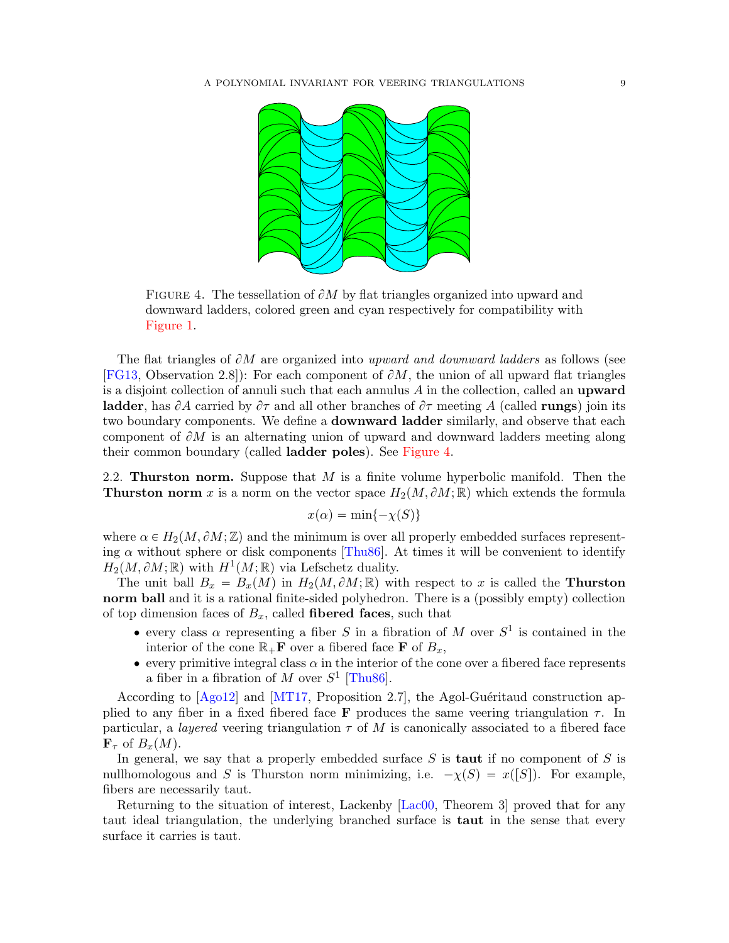

<span id="page-8-0"></span>FIGURE 4. The tessellation of  $\partial M$  by flat triangles organized into upward and downward ladders, colored green and cyan respectively for compatibility with [Figure 1.](#page-5-0)

The flat triangles of  $\partial M$  are organized into upward and downward ladders as follows (see [\[FG13,](#page-48-1) Observation 2.8]): For each component of  $\partial M$ , the union of all upward flat triangles is a disjoint collection of annuli such that each annulus  $A$  in the collection, called an **upward ladder**, has  $\partial A$  carried by  $\partial \tau$  and all other branches of  $\partial \tau$  meeting A (called **rungs**) join its two boundary components. We define a downward ladder similarly, and observe that each component of  $\partial M$  is an alternating union of upward and downward ladders meeting along their common boundary (called ladder poles). See [Figure 4.](#page-8-0)

<span id="page-8-1"></span>2.2. **Thurston norm.** Suppose that  $M$  is a finite volume hyperbolic manifold. Then the **Thurston norm** x is a norm on the vector space  $H_2(M, \partial M; \mathbb{R})$  which extends the formula

$$
x(\alpha) = \min\{-\chi(S)\}
$$

where  $\alpha \in H_2(M, \partial M; \mathbb{Z})$  and the minimum is over all properly embedded surfaces representing  $\alpha$  without sphere or disk components [\[Thu86\]](#page-49-0). At times it will be convenient to identify  $H_2(M, \partial M;\mathbb{R})$  with  $H^1(M;\mathbb{R})$  via Lefschetz duality.

The unit ball  $B_x = B_x(M)$  in  $H_2(M, \partial M; \mathbb{R})$  with respect to x is called the **Thurston** norm ball and it is a rational finite-sided polyhedron. There is a (possibly empty) collection of top dimension faces of  $B_x$ , called **fibered faces**, such that

- every class  $\alpha$  representing a fiber S in a fibration of M over  $S^1$  is contained in the interior of the cone  $\mathbb{R}_+$ **F** over a fibered face **F** of  $B_x$ ,
- $\bullet$  every primitive integral class  $\alpha$  in the interior of the cone over a fibered face represents a fiber in a fibration of M over  $S^1$  [\[Thu86\]](#page-49-0).

According to  $[Aq012]$  and  $[MT17,$  Proposition 2.7], the Agol-Guéritaud construction applied to any fiber in a fixed fibered face **F** produces the same veering triangulation  $\tau$ . In particular, a *layered* veering triangulation  $\tau$  of M is canonically associated to a fibered face  $\mathbf{F}_{\tau}$  of  $B_r(M)$ .

In general, we say that a properly embedded surface  $S$  is **taut** if no component of  $S$  is nullhomologous and S is Thurston norm minimizing, i.e.  $-\chi(S) = x([S])$ . For example, fibers are necessarily taut.

Returning to the situation of interest, Lackenby [\[Lac00,](#page-48-17) Theorem 3] proved that for any taut ideal triangulation, the underlying branched surface is taut in the sense that every surface it carries is taut.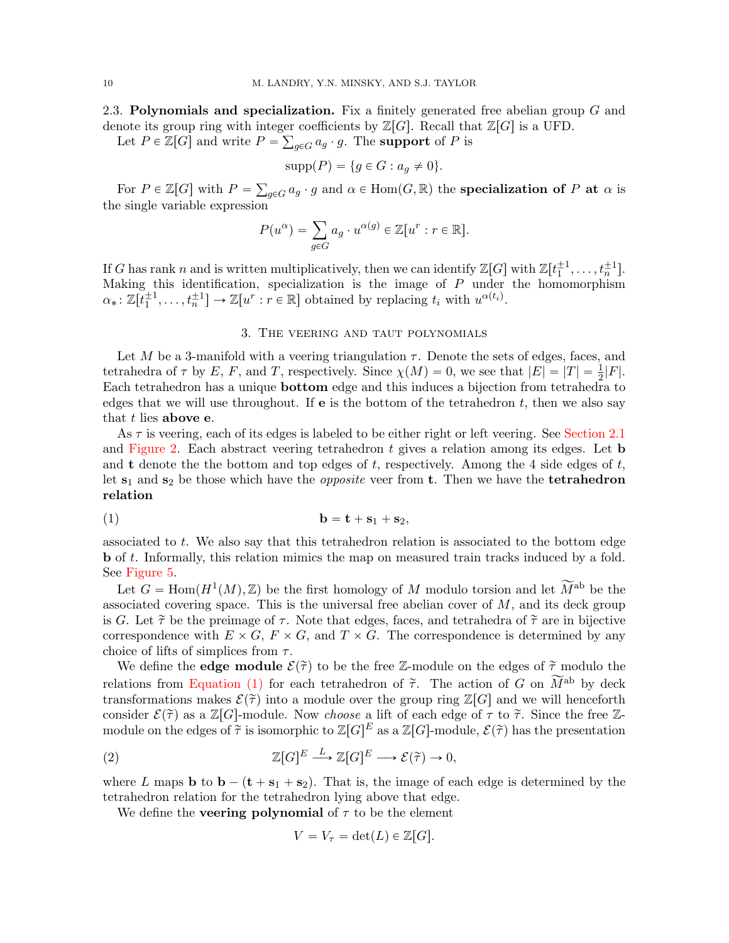2.3. Polynomials and specialization. Fix a finitely generated free abelian group  $G$  and denote its group ring with integer coefficients by  $\mathbb{Z}[G]$ . Recall that  $\mathbb{Z}[G]$  is a UFD.

Let  $P \in \mathbb{Z}[G]$  and write  $P = \sum_{g \in G} a_g \cdot g$ . The **support** of P is

$$
supp(P) = \{ g \in G : a_g \neq 0 \}.
$$

For  $P \in \mathbb{Z}[G]$  with  $P =$  $_{g\in G}\alpha_g\cdot g$  and  $\alpha\in\mathrm{Hom}(G,\mathbb{R})$  the specialization of P at  $\alpha$  is the single variable expression

$$
P(u^{\alpha}) = \sum_{g \in G} a_g \cdot u^{\alpha(g)} \in \mathbb{Z}[u^r : r \in \mathbb{R}].
$$

If G has rank n and is written multiplicatively, then we can identify  $\mathbb{Z}[G]$  with  $\mathbb{Z}[t_1^{\pm 1}, \ldots, t_n^{\pm 1}]$ . Making this identification, specialization is the image of  $P$  under the homomorphism  $\alpha_*: \mathbb{Z}[\overline{t}_1^{\pm 1}, \ldots, t_n^{\pm 1}] \to \mathbb{Z}[u^r : r \in \mathbb{R}]$  obtained by replacing  $t_i$  with  $u^{\alpha(t_i)}$ .

## 3. The veering and taut polynomials

<span id="page-9-0"></span>Let M be a 3-manifold with a veering triangulation  $\tau$ . Denote the sets of edges, faces, and tetrahedra of  $\tau$  by E, F, and T, respectively. Since  $\chi(M) = 0$ , we see that  $|E| = |T| = \frac{1}{2}|F|$ . Each tetrahedron has a unique bottom edge and this induces a bijection from tetrahedra to edges that we will use throughout. If  $e$  is the bottom of the tetrahedron t, then we also say that  $t$  lies above e.

As  $\tau$  is veering, each of its edges is labeled to be either right or left veering. See [Section 2.1](#page-4-1) and [Figure 2.](#page-5-1) Each abstract veering tetrahedron  $t$  gives a relation among its edges. Let b and **t** denote the the bottom and top edges of t, respectively. Among the 4 side edges of t, let  $s_1$  and  $s_2$  be those which have the *opposite* veer from **t**. Then we have the **tetrahedron** relation

<span id="page-9-1"></span>
$$
b = t + s_1 + s_2,
$$

associated to t. We also say that this tetrahedron relation is associated to the bottom edge b of t. Informally, this relation mimics the map on measured train tracks induced by a fold. See [Figure 5.](#page-13-0)

Let  $G = \text{Hom}(H^1(M), \mathbb{Z})$  be the first homology of M modulo torsion and let  $\widetilde{M}^{\text{ab}}$  be the associated covering space. This is the universal free abelian cover of  $M$ , and its deck group is G. Let  $\tilde{\tau}$  be the preimage of  $\tau$ . Note that edges, faces, and tetrahedra of  $\tilde{\tau}$  are in bijective correspondence with  $E \times G$ ,  $F \times G$ , and  $T \times G$ . The correspondence is determined by any choice of lifts of simplices from  $\tau$ .

We define the **edge module**  $\mathcal{E}(\tilde{\tau})$  to be the free Z-module on the edges of  $\tilde{\tau}$  modulo the relations from [Equation \(1\)](#page-9-1) for each tetrahedron of  $\tilde{\tau}$ . The action of G on  $\widetilde{M}^{ab}$  by deck transformations makes  $\mathcal{E}(\tilde{\tau})$  into a module over the group ring  $\mathbb{Z}[G]$  and we will henceforth consider  $\mathcal{E}(\tilde{\tau})$  as a  $\mathbb{Z}[G]$ -module. Now *choose* a lift of each edge of  $\tau$  to  $\tilde{\tau}$ . Since the free Zmodule on the edges of  $\tilde{\tau}$  is isomorphic to  $\mathbb{Z}[G]^E$  as a  $\mathbb{Z}[G]$ -module,  $\mathcal{E}(\tilde{\tau})$  has the presentation

<span id="page-9-2"></span>(2) 
$$
\mathbb{Z}[G]^E \xrightarrow{L} \mathbb{Z}[G]^E \longrightarrow \mathcal{E}(\tilde{\tau}) \to 0,
$$

where L maps **b** to  $\mathbf{b} - (\mathbf{t} + \mathbf{s}_1 + \mathbf{s}_2)$ . That is, the image of each edge is determined by the tetrahedron relation for the tetrahedron lying above that edge.

We define the **veering polynomial** of  $\tau$  to be the element

$$
V = V_{\tau} = \det(L) \in \mathbb{Z}[G].
$$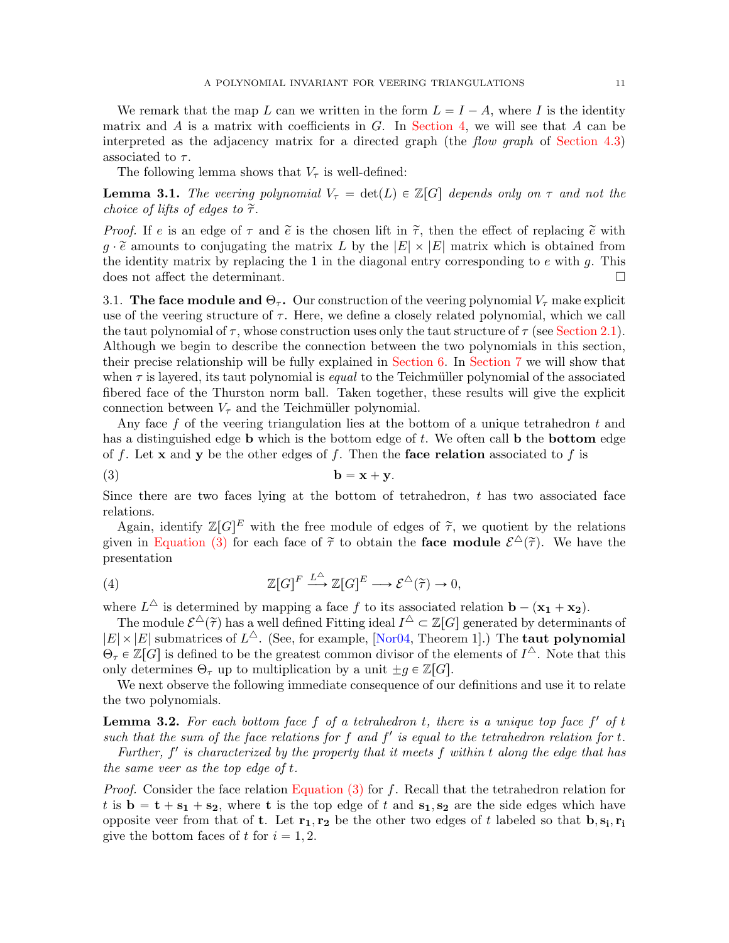We remark that the map L can we written in the form  $L = I - A$ , where I is the identity matrix and A is a matrix with coefficients in  $G$ . In [Section 4,](#page-11-0) we will see that A can be interpreted as the adjacency matrix for a directed graph (the *flow graph* of [Section 4.3\)](#page-14-0) associated to  $\tau$ .

The following lemma shows that  $V_{\tau}$  is well-defined:

<span id="page-10-2"></span>**Lemma 3.1.** The veering polynomial  $V_\tau = det(L) \in \mathbb{Z}[G]$  depends only on  $\tau$  and not the choice of lifts of edges to  $\tilde{\tau}$ .

*Proof.* If e is an edge of  $\tau$  and  $\tilde{e}$  is the chosen lift in  $\tilde{\tau}$ , then the effect of replacing  $\tilde{e}$  with  $g \cdot \tilde{e}$  amounts to conjugating the matrix L by the  $|E| \times |E|$  matrix which is obtained from the identity matrix by replacing the 1 in the diagonal entry corresponding to  $e$  with  $g$ . This does not affect the determinant.

<span id="page-10-4"></span>3.1. The face module and  $\Theta_{\tau}$ . Our construction of the veering polynomial  $V_{\tau}$  make explicit use of the veering structure of  $\tau$ . Here, we define a closely related polynomial, which we call the taut polynomial of  $\tau$ , whose construction uses only the taut structure of  $\tau$  (see [Section 2.1\)](#page-4-1). Although we begin to describe the connection between the two polynomials in this section, their precise relationship will be fully explained in [Section 6.](#page-31-0) In [Section 7](#page-42-0) we will show that when  $\tau$  is layered, its taut polynomial is *equal* to the Teichmüller polynomial of the associated fibered face of the Thurston norm ball. Taken together, these results will give the explicit connection between  $V_{\tau}$  and the Teichmüller polynomial.

Any face f of the veering triangulation lies at the bottom of a unique tetrahedron t and has a distinguished edge **b** which is the bottom edge of  $t$ . We often call **b** the **bottom** edge of f. Let x and y be the other edges of f. Then the face relation associated to f is

<span id="page-10-0"></span>
$$
b = x + y.
$$

Since there are two faces lying at the bottom of tetrahedron,  $t$  has two associated face relations.

Again, identify  $\mathbb{Z}[G]^E$  with the free module of edges of  $\tilde{\tau}$ , we quotient by the relations given in [Equation \(3\)](#page-10-0) for each face of  $\tilde{\tau}$  to obtain the **face module**  $\mathcal{E}^{\Delta}(\tilde{\tau})$ . We have the presentation

<span id="page-10-3"></span>(4) 
$$
\mathbb{Z}[G]^F \xrightarrow{L^{\Delta}} \mathbb{Z}[G]^E \longrightarrow \mathcal{E}^{\Delta}(\tilde{\tau}) \to 0,
$$

where  $L^{\triangle}$  is determined by mapping a face f to its associated relation  $\mathbf{b} - (\mathbf{x_1} + \mathbf{x_2})$ .

The module  $\mathcal{E}^{\Delta}(\tilde{\tau})$  has a well defined Fitting ideal  $I^{\Delta} \subset \mathbb{Z}[G]$  generated by determinants of  $|E| \times |E|$  submatrices of  $L^{\Delta}$ . (See, for example, [\[Nor04,](#page-48-20) Theorem 1].) The **taut polynomial**  $\Theta_{\tau} \in \mathbb{Z}[G]$  is defined to be the greatest common divisor of the elements of  $I^{\Delta}$ . Note that this only determines  $\Theta_{\tau}$  up to multiplication by a unit  $\pm g \in \mathbb{Z}[G].$ 

We next observe the following immediate consequence of our definitions and use it to relate the two polynomials.

<span id="page-10-1"></span>**Lemma 3.2.** For each bottom face  $f$  of a tetrahedron  $t$ , there is a unique top face  $f'$  of  $t$ such that the sum of the face relations for f and  $f'$  is equal to the tetrahedron relation for t.

Further,  $f'$  is characterized by the property that it meets  $f$  within  $t$  along the edge that has the same veer as the top edge of t.

*Proof.* Consider the face relation [Equation \(3\)](#page-10-0) for f. Recall that the tetrahedron relation for t is  $\mathbf{b} = \mathbf{t} + \mathbf{s_1} + \mathbf{s_2}$ , where t is the top edge of t and  $\mathbf{s_1}, \mathbf{s_2}$  are the side edges which have opposite veer from that of **t**. Let  $\mathbf{r_1}, \mathbf{r_2}$  be the other two edges of t labeled so that  $\mathbf{b}, \mathbf{s_i}, \mathbf{r_i}$ give the bottom faces of t for  $i = 1, 2$ .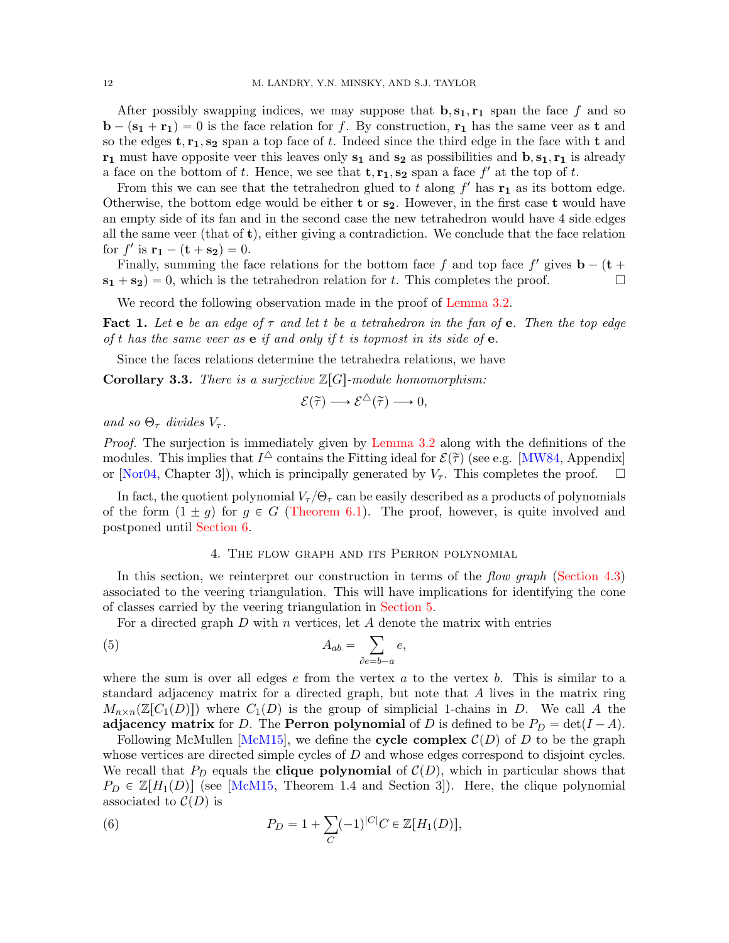After possibly swapping indices, we may suppose that  $\mathbf{b}, \mathbf{s}_1, \mathbf{r}_1$  span the face f and so  $\mathbf{b} - (\mathbf{s_1} + \mathbf{r_1}) = 0$  is the face relation for f. By construction,  $\mathbf{r_1}$  has the same veer as t and so the edges  $t, r_1, s_2$  span a top face of t. Indeed since the third edge in the face with t and  $r_1$  must have opposite veer this leaves only  $s_1$  and  $s_2$  as possibilities and  $b, s_1, r_1$  is already a face on the bottom of t. Hence, we see that  $\mathbf{t}, \mathbf{r_1}, \mathbf{s_2}$  span a face  $f'$  at the top of t.

From this we can see that the tetrahedron glued to t along  $f'$  has  $\mathbf{r}_1$  as its bottom edge. Otherwise, the bottom edge would be either t or  $s_2$ . However, in the first case t would have an empty side of its fan and in the second case the new tetrahedron would have 4 side edges all the same veer (that of  $\mathbf{t}$ ), either giving a contradiction. We conclude that the face relation for  $f'$  is  $\mathbf{r_1} - (\mathbf{t} + \mathbf{s_2}) = 0.$ 

Finally, summing the face relations for the bottom face f and top face  $f'$  gives  $\mathbf{b} - (\mathbf{t} +$  $s_1 + s_2 = 0$ , which is the tetrahedron relation for t. This completes the proof.

We record the following observation made in the proof of [Lemma 3.2.](#page-10-1)

<span id="page-11-3"></span>**Fact 1.** Let **e** be an edge of  $\tau$  and let t be a tetrahedron in the fan of **e**. Then the top edge of t has the same veer as  $e$  if and only if t is topmost in its side of  $e$ .

Since the faces relations determine the tetrahedra relations, we have

**Corollary 3.3.** There is a surjective  $\mathbb{Z}[G]$ -module homomorphism:

$$
\mathcal{E}(\widetilde{\tau}) \longrightarrow \mathcal{E}^{\triangle}(\widetilde{\tau}) \longrightarrow 0,
$$

and so  $\Theta_{\tau}$  divides  $V_{\tau}$ .

Proof. The surjection is immediately given by [Lemma 3.2](#page-10-1) along with the definitions of the modules. This implies that  $I^{\triangle}$  contains the Fitting ideal for  $\mathcal{E}(\tilde{\tau})$  (see e.g. [\[MW84,](#page-48-21) Appendix] or [\[Nor04,](#page-48-20) Chapter 3]), which is principally generated by  $V_{\tau}$ . This completes the proof.  $\square$ 

In fact, the quotient polynomial  $V_\tau/{\Theta_\tau}$  can be easily described as a products of polynomials of the form  $(1 \pm g)$  for  $g \in G$  [\(Theorem 6.1\)](#page-32-0). The proof, however, is quite involved and postponed until [Section 6.](#page-31-0)

### 4. The flow graph and its Perron polynomial

<span id="page-11-0"></span>In this section, we reinterpret our construction in terms of the flow graph [\(Section 4.3\)](#page-14-0) associated to the veering triangulation. This will have implications for identifying the cone of classes carried by the veering triangulation in [Section 5.](#page-17-0)

For a directed graph  $D$  with  $n$  vertices, let  $A$  denote the matrix with entries

<span id="page-11-1"></span>(5) 
$$
A_{ab} = \sum_{\partial e = b-a} e,
$$

where the sum is over all edges  $e$  from the vertex  $a$  to the vertex  $b$ . This is similar to a standard adjacency matrix for a directed graph, but note that A lives in the matrix ring  $M_{n\times n}(\mathbb{Z}[C_1(D)])$  where  $C_1(D)$  is the group of simplicial 1-chains in D. We call A the adjacency matrix for D. The Perron polynomial of D is defined to be  $P_D = \det(I - A)$ .

Following McMullen [\[McM15\]](#page-48-22), we define the cycle complex  $\mathcal{C}(D)$  of D to be the graph whose vertices are directed simple cycles of  $D$  and whose edges correspond to disjoint cycles. We recall that  $P_D$  equals the **clique polynomial** of  $\mathcal{C}(D)$ , which in particular shows that  $P_D \in \mathbb{Z}[H_1(D)]$  (see [\[McM15,](#page-48-22) Theorem 1.4 and Section 3]). Here, the clique polynomial associated to  $\mathcal{C}(D)$  is

<span id="page-11-2"></span>(6) 
$$
P_D = 1 + \sum_C (-1)^{|C|} C \in \mathbb{Z}[H_1(D)],
$$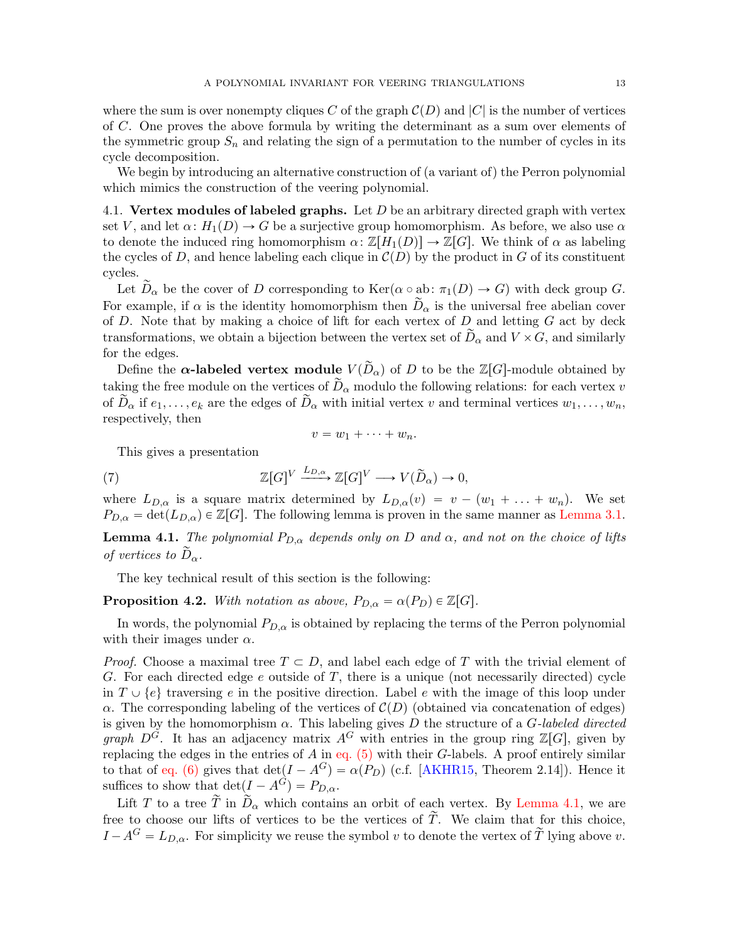We begin by introducing an alternative construction of (a variant of) the Perron polynomial which mimics the construction of the veering polynomial.

4.1. Vertex modules of labeled graphs. Let  $D$  be an arbitrary directed graph with vertex set V, and let  $\alpha$ :  $H_1(D) \to G$  be a surjective group homomorphism. As before, we also use  $\alpha$ to denote the induced ring homomorphism  $\alpha \colon \mathbb{Z}[H_1(D)] \to \mathbb{Z}[G]$ . We think of  $\alpha$  as labeling the cycles of D, and hence labeling each clique in  $\mathcal{C}(D)$  by the product in G of its constituent cycles.

Let  $\widetilde{D}_{\alpha}$  be the cover of D corresponding to  $\text{Ker}(\alpha \circ ab: \pi_1(D) \to G)$  with deck group G. For example, if  $\alpha$  is the identity homomorphism then  $D_{\alpha}$  is the universal free abelian cover of  $D$ . Note that by making a choice of lift for each vertex of  $D$  and letting  $G$  act by deck transformations, we obtain a bijection between the vertex set of  $D_{\alpha}$  and  $V \times G$ , and similarly for the edges.

Define the  $\alpha$ -labeled vertex module  $V(\tilde{D}_{\alpha})$  of D to be the  $\mathbb{Z}[G]$ -module obtained by taking the free module on the vertices of  $\widetilde{D}_{\alpha}$  modulo the following relations: for each vertex v of  $\widetilde{D}_{\alpha}$  if  $e_1, \ldots, e_k$  are the edges of  $\widetilde{D}_{\alpha}$  with initial vertex v and terminal vertices  $w_1, \ldots, w_n$ , respectively, then

$$
v=w_1+\cdots+w_n.
$$

This gives a presentation

<span id="page-12-1"></span>(7) 
$$
\mathbb{Z}[G]^V \xrightarrow{L_{D,\alpha}} \mathbb{Z}[G]^V \longrightarrow V(\widetilde{D}_{\alpha}) \to 0,
$$

where  $L_{D,\alpha}$  is a square matrix determined by  $L_{D,\alpha}(v) = v - (w_1 + \ldots + w_n)$ . We set  $P_{D,\alpha} = \det(L_{D,\alpha}) \in \mathbb{Z}[G]$ . The following lemma is proven in the same manner as [Lemma 3.1.](#page-10-2)

<span id="page-12-0"></span>**Lemma 4.1.** The polynomial  $P_{D,\alpha}$  depends only on D and  $\alpha$ , and not on the choice of lifts of vertices to  $\tilde{D}_{\alpha}$ .

The key technical result of this section is the following:

<span id="page-12-2"></span>**Proposition 4.2.** With notation as above,  $P_{D,\alpha} = \alpha(P_D) \in \mathbb{Z}[G].$ 

In words, the polynomial  $P_{D,\alpha}$  is obtained by replacing the terms of the Perron polynomial with their images under  $\alpha$ .

*Proof.* Choose a maximal tree  $T \subset D$ , and label each edge of T with the trivial element of G. For each directed edge  $e$  outside of  $T$ , there is a unique (not necessarily directed) cycle in  $T \cup \{e\}$  traversing e in the positive direction. Label e with the image of this loop under α. The corresponding labeling of the vertices of  $C(D)$  (obtained via concatenation of edges) is given by the homomorphism  $\alpha$ . This labeling gives D the structure of a G-labeled directed graph  $D^G$ . It has an adjacency matrix  $A^G$  with entries in the group ring  $\mathbb{Z}[G]$ , given by replacing the edges in the entries of A in eq.  $(5)$  with their G-labels. A proof entirely similar to that of [eq. \(6\)](#page-11-2) gives that  $\det(I - A^G) = \alpha(P_D)$  (c.f. [\[AKHR15,](#page-47-8) Theorem 2.14]). Hence it suffices to show that  $\det(I - A^G) = P_{D,\alpha}$ .

Lift T to a tree  $\tilde{T}$  in  $\tilde{D}_{\alpha}$  which contains an orbit of each vertex. By [Lemma 4.1,](#page-12-0) we are free to choose our lifts of vertices to be the vertices of  $\tilde{T}$ . We claim that for this choice,  $I - A<sup>G</sup> = L<sub>D,\alpha</sub>$ . For simplicity we reuse the symbol v to denote the vertex of  $\widetilde{T}$  lying above v.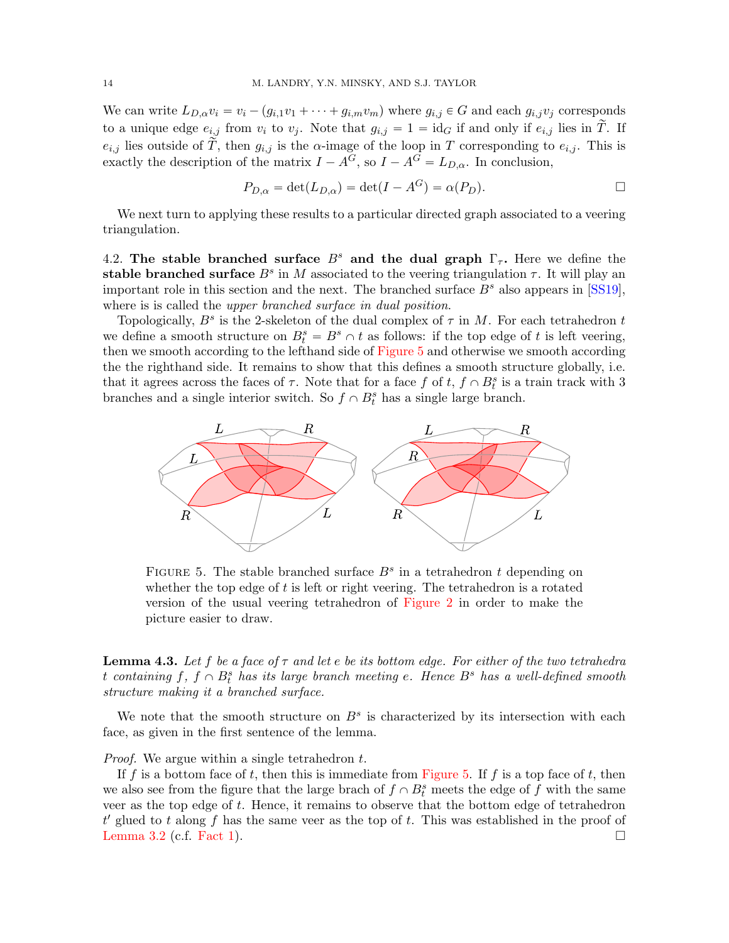We can write  $L_{D,\alpha}v_i = v_i - (g_{i,1}v_1 + \cdots + g_{i,m}v_m)$  where  $g_{i,j} \in G$  and each  $g_{i,j}v_j$  corresponds to a unique edge  $e_{i,j}$  from  $v_i$  to  $v_j$ . Note that  $g_{i,j} = 1 = id_G$  if and only if  $e_{i,j}$  lies in  $\tilde{T}$ . If  $e_{i,j}$  lies outside of  $\overline{\widetilde{T}}$ , then  $g_{i,j}$  is the  $\alpha$ -image of the loop in T corresponding to  $e_{i,j}$ . This is exactly the description of the matrix  $I - A^G$ , so  $I - A^G = L_{D,\alpha}$ . In conclusion,

$$
P_{D,\alpha} = \det(L_{D,\alpha}) = \det(I - A^G) = \alpha(P_D).
$$

We next turn to applying these results to a particular directed graph associated to a veering triangulation.

<span id="page-13-1"></span>4.2. The stable branched surface  $B^s$  and the dual graph  $\Gamma_{\tau}$ . Here we define the stable branched surface  $B^s$  in M associated to the veering triangulation  $\tau$ . It will play an important role in this section and the next. The branched surface  $B<sup>s</sup>$  also appears in [\[SS19\]](#page-48-7), where is is called the *upper branched surface in dual position*.

Topologically,  $B^s$  is the 2-skeleton of the dual complex of  $\tau$  in M. For each tetrahedron t we define a smooth structure on  $B_t^s = B^s \cap t$  as follows: if the top edge of t is left veering, then we smooth according to the lefthand side of [Figure 5](#page-13-0) and otherwise we smooth according the the righthand side. It remains to show that this defines a smooth structure globally, i.e. that it agrees across the faces of  $\tau$ . Note that for a face  $f$  of  $t, f \cap B_t^s$  is a train track with 3 branches and a single interior switch. So  $f \n S<sub>t</sub>$  has a single large branch.



<span id="page-13-0"></span>FIGURE 5. The stable branched surface  $B^s$  in a tetrahedron t depending on whether the top edge of t is left or right veering. The tetrahedron is a rotated version of the usual veering tetrahedron of [Figure 2](#page-5-1) in order to make the picture easier to draw.

<span id="page-13-2"></span>**Lemma 4.3.** Let f be a face of  $\tau$  and let e be its bottom edge. For either of the two tetrahedra t containing  $f, f \cap B_t^s$  has its large branch meeting e. Hence  $B^s$  has a well-defined smooth structure making it a branched surface.

We note that the smooth structure on  $B<sup>s</sup>$  is characterized by its intersection with each face, as given in the first sentence of the lemma.

Proof. We argue within a single tetrahedron t.

If f is a bottom face of t, then this is immediate from [Figure 5.](#page-13-0) If f is a top face of t, then we also see from the figure that the large brach of  $f \cap B_t^s$  meets the edge of f with the same veer as the top edge of  $t$ . Hence, it remains to observe that the bottom edge of tetrahedron  $t'$  glued to t along f has the same veer as the top of t. This was established in the proof of [Lemma 3.2](#page-10-1) (c.f. [Fact 1\)](#page-11-3).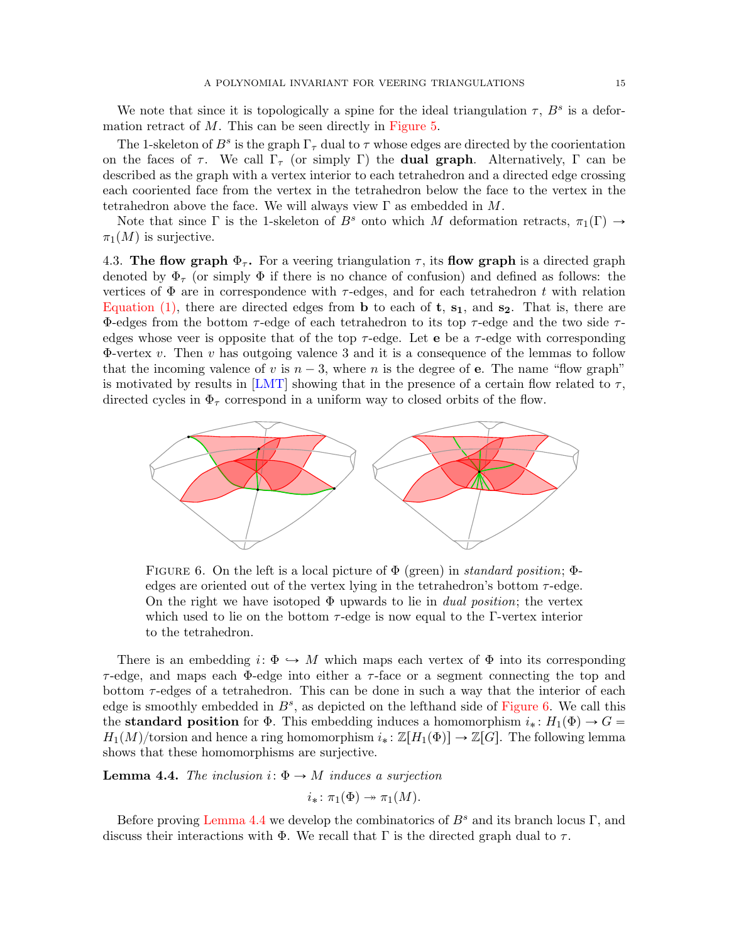We note that since it is topologically a spine for the ideal triangulation  $\tau$ ,  $B^s$  is a deformation retract of  $M$ . This can be seen directly in [Figure 5.](#page-13-0)

The 1-skeleton of  $B^s$  is the graph  $\Gamma_\tau$  dual to  $\tau$  whose edges are directed by the coorientation on the faces of  $\tau$ . We call  $\Gamma_{\tau}$  (or simply Γ) the **dual graph**. Alternatively, Γ can be described as the graph with a vertex interior to each tetrahedron and a directed edge crossing each cooriented face from the vertex in the tetrahedron below the face to the vertex in the tetrahedron above the face. We will always view  $\Gamma$  as embedded in M.

Note that since Γ is the 1-skeleton of  $B^s$  onto which M deformation retracts,  $\pi_1(\Gamma) \rightarrow$  $\pi_1(M)$  is surjective.

<span id="page-14-0"></span>4.3. The flow graph  $\Phi_{\tau}$ . For a veering triangulation  $\tau$ , its flow graph is a directed graph denoted by  $\Phi_{\tau}$  (or simply  $\Phi$  if there is no chance of confusion) and defined as follows: the vertices of  $\Phi$  are in correspondence with  $\tau$ -edges, and for each tetrahedron t with relation [Equation \(1\),](#page-9-1) there are directed edges from **b** to each of **t**,  $s_1$ , and  $s_2$ . That is, there are Φ-edges from the bottom  $\tau$ -edge of each tetrahedron to its top  $\tau$ -edge and the two side  $\tau$ edges whose veer is opposite that of the top  $\tau$ -edge. Let **e** be a  $\tau$ -edge with corresponding  $\Phi$ -vertex v. Then v has outgoing valence 3 and it is a consequence of the lemmas to follow that the incoming valence of v is  $n - 3$ , where n is the degree of **e**. The name "flow graph" is motivated by results in [\[LMT\]](#page-48-12) showing that in the presence of a certain flow related to  $\tau$ , directed cycles in  $\Phi_{\tau}$  correspond in a uniform way to closed orbits of the flow.



<span id="page-14-1"></span>FIGURE 6. On the left is a local picture of  $\Phi$  (green) in *standard position*;  $\Phi$ edges are oriented out of the vertex lying in the tetrahedron's bottom  $\tau$ -edge. On the right we have isotoped  $\Phi$  upwards to lie in *dual position*; the vertex which used to lie on the bottom  $\tau$ -edge is now equal to the Γ-vertex interior to the tetrahedron.

There is an embedding  $i: \Phi \hookrightarrow M$  which maps each vertex of  $\Phi$  into its corresponding  $\tau$ -edge, and maps each Φ-edge into either a  $\tau$ -face or a segment connecting the top and bottom  $\tau$ -edges of a tetrahedron. This can be done in such a way that the interior of each edge is smoothly embedded in  $B^s$ , as depicted on the lefthand side of [Figure 6.](#page-14-1) We call this the **standard position** for  $\Phi$ . This embedding induces a homomorphism  $i_* : H_1(\Phi) \to G =$  $H_1(M)/$ torsion and hence a ring homomorphism  $i_* : \mathbb{Z}[H_1(\Phi)] \to \mathbb{Z}[G]$ . The following lemma shows that these homomorphisms are surjective.

<span id="page-14-2"></span>**Lemma 4.4.** The inclusion  $i: \Phi \rightarrow M$  induces a surjection

$$
i_*\colon \pi_1(\Phi) \twoheadrightarrow \pi_1(M).
$$

Before proving [Lemma 4.4](#page-14-2) we develop the combinatorics of  $B<sup>s</sup>$  and its branch locus Γ, and discuss their interactions with  $\Phi$ . We recall that  $\Gamma$  is the directed graph dual to  $\tau$ .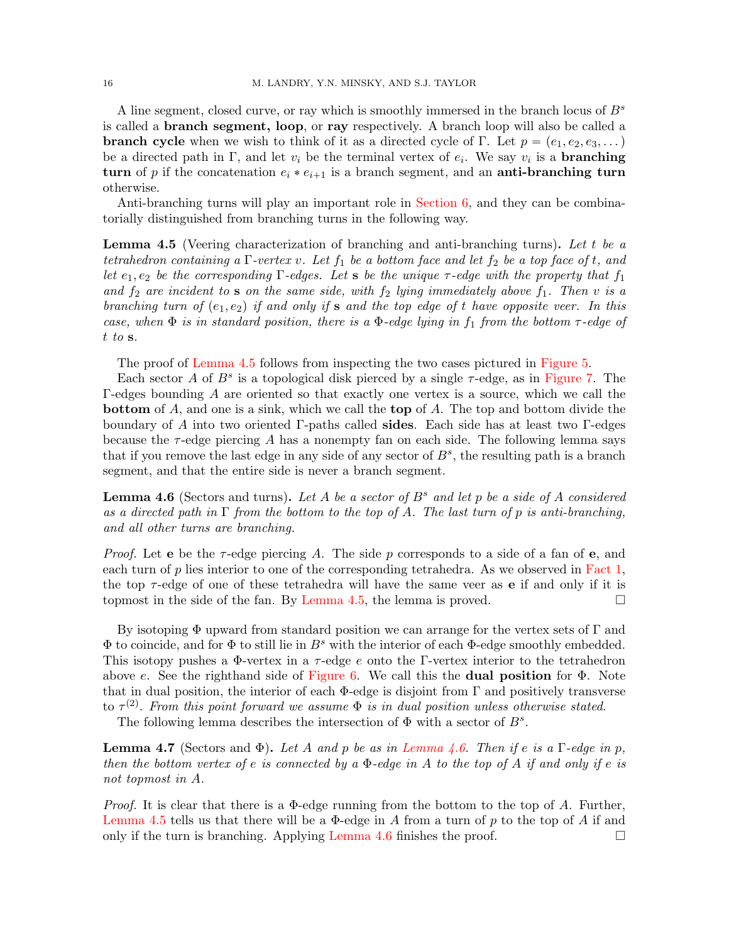A line segment, closed curve, or ray which is smoothly immersed in the branch locus of  $B<sup>s</sup>$ is called a branch segment, loop, or ray respectively. A branch loop will also be called a **branch cycle** when we wish to think of it as a directed cycle of Γ. Let  $p = (e_1, e_2, e_3, \dots)$ be a directed path in  $\Gamma$ , and let  $v_i$  be the terminal vertex of  $e_i$ . We say  $v_i$  is a **branching** turn of p if the concatenation  $e_i * e_{i+1}$  is a branch segment, and an anti-branching turn otherwise.

Anti-branching turns will play an important role in [Section 6,](#page-31-0) and they can be combinatorially distinguished from branching turns in the following way.

<span id="page-15-0"></span>Lemma 4.5 (Veering characterization of branching and anti-branching turns). Let t be a tetrahedron containing a  $\Gamma$ -vertex v. Let  $f_1$  be a bottom face and let  $f_2$  be a top face of t, and let  $e_1, e_2$  be the corresponding  $\Gamma$ -edges. Let **s** be the unique  $\tau$ -edge with the property that  $f_1$ and  $f_2$  are incident to s on the same side, with  $f_2$  lying immediately above  $f_1$ . Then v is a branching turn of  $(e_1, e_2)$  if and only if s and the top edge of t have opposite veer. In this case, when  $\Phi$  is in standard position, there is a  $\Phi$ -edge lying in  $f_1$  from the bottom  $\tau$ -edge of t to s.

The proof of [Lemma 4.5](#page-15-0) follows from inspecting the two cases pictured in [Figure 5.](#page-13-0)

Each sector A of  $B^s$  is a topological disk pierced by a single  $\tau$ -edge, as in [Figure 7.](#page-16-1) The Γ-edges bounding A are oriented so that exactly one vertex is a source, which we call the bottom of A, and one is a sink, which we call the top of A. The top and bottom divide the boundary of A into two oriented Γ-paths called sides. Each side has at least two Γ-edges because the  $\tau$ -edge piercing A has a nonempty fan on each side. The following lemma says that if you remove the last edge in any side of any sector of  $B^s$ , the resulting path is a branch segment, and that the entire side is never a branch segment.

<span id="page-15-1"></span>**Lemma 4.6** (Sectors and turns). Let A be a sector of  $B^s$  and let p be a side of A considered as a directed path in  $\Gamma$  from the bottom to the top of A. The last turn of p is anti-branching, and all other turns are branching.

*Proof.* Let **e** be the  $\tau$ -edge piercing A. The side p corresponds to a side of a fan of **e**, and each turn of  $p$  lies interior to one of the corresponding tetrahedra. As we observed in [Fact 1,](#page-11-3) the top  $\tau$ -edge of one of these tetrahedra will have the same veer as **e** if and only if it is topmost in the side of the fan. By [Lemma 4.5,](#page-15-0) the lemma is proved.  $\square$ 

By isotoping  $\Phi$  upward from standard position we can arrange for the vertex sets of  $\Gamma$  and  $\Phi$  to coincide, and for  $\Phi$  to still lie in  $B^s$  with the interior of each  $\Phi$ -edge smoothly embedded. This isotopy pushes a  $\Phi$ -vertex in a  $\tau$ -edge e onto the Γ-vertex interior to the tetrahedron above e. See the righthand side of [Figure 6.](#page-14-1) We call this the **dual position** for  $\Phi$ . Note that in dual position, the interior of each  $\Phi$ -edge is disjoint from  $\Gamma$  and positively transverse to  $\tau^{(2)}$ . From this point forward we assume  $\Phi$  is in dual position unless otherwise stated.

The following lemma describes the intersection of  $\Phi$  with a sector of  $B^s$ .

<span id="page-15-2"></span>**Lemma 4.7** (Sectors and  $\Phi$ ). Let A and p be as in [Lemma 4.6.](#page-15-1) Then if e is a  $\Gamma$ -edge in p, then the bottom vertex of e is connected by a  $\Phi$ -edge in A to the top of A if and only if e is not topmost in A.

*Proof.* It is clear that there is a  $\Phi$ -edge running from the bottom to the top of A. Further, [Lemma 4.5](#page-15-0) tells us that there will be a  $\Phi$ -edge in A from a turn of p to the top of A if and only if the turn is branching. Applying [Lemma 4.6](#page-15-1) finishes the proof.  $\Box$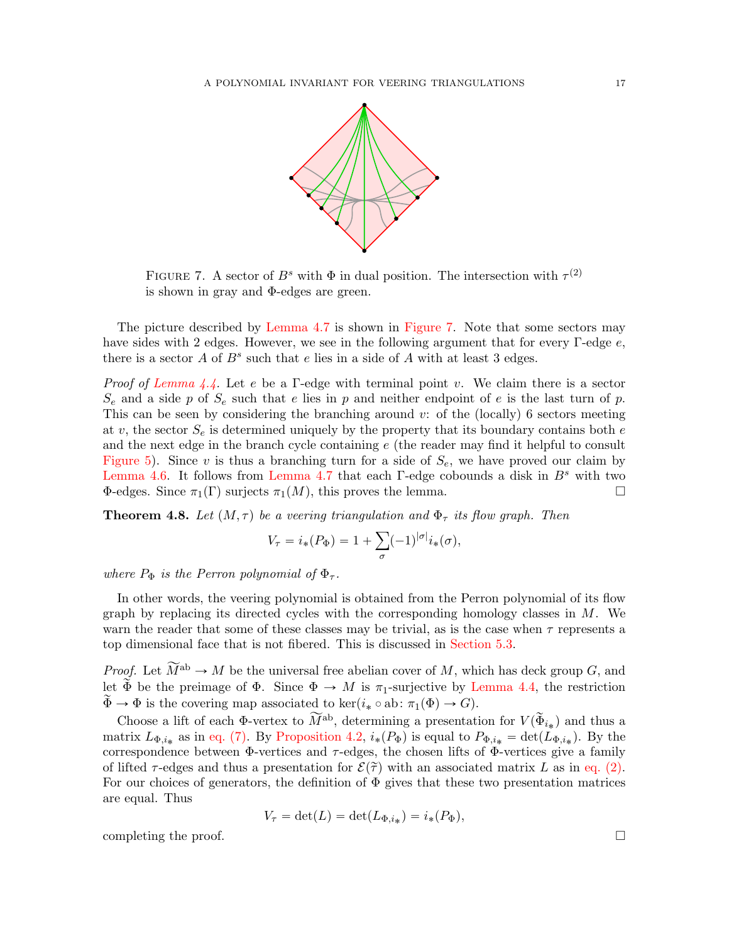

<span id="page-16-1"></span>FIGURE 7. A sector of  $B^s$  with  $\Phi$  in dual position. The intersection with  $\tau^{(2)}$ is shown in gray and Φ-edges are green.

The picture described by [Lemma 4.7](#page-15-2) is shown in [Figure 7.](#page-16-1) Note that some sectors may have sides with 2 edges. However, we see in the following argument that for every Γ-edge e, there is a sector  $A$  of  $B^s$  such that  $e$  lies in a side of  $A$  with at least 3 edges.

*Proof of [Lemma 4.4.](#page-14-2)* Let e be a Γ-edge with terminal point v. We claim there is a sector  $S_e$  and a side p of  $S_e$  such that e lies in p and neither endpoint of e is the last turn of p. This can be seen by considering the branching around  $v:$  of the (locally) 6 sectors meeting at v, the sector  $S_e$  is determined uniquely by the property that its boundary contains both e and the next edge in the branch cycle containing e (the reader may find it helpful to consult [Figure 5\)](#page-13-0). Since v is thus a branching turn for a side of  $S_e$ , we have proved our claim by [Lemma 4.6.](#page-15-1) It follows from [Lemma 4.7](#page-15-2) that each  $\Gamma$ -edge cobounds a disk in  $B^s$  with two  $\Phi$ -edges. Since  $\pi_1(\Gamma)$  surjects  $\pi_1(M)$ , this proves the lemma.

<span id="page-16-0"></span>**Theorem 4.8.** Let  $(M, \tau)$  be a veering triangulation and  $\Phi_{\tau}$  its flow graph. Then

$$
V_{\tau} = i_{*}(P_{\Phi}) = 1 + \sum_{\sigma} (-1)^{|\sigma|} i_{*}(\sigma),
$$

where  $P_{\Phi}$  is the Perron polynomial of  $\Phi_{\tau}$ .

In other words, the veering polynomial is obtained from the Perron polynomial of its flow graph by replacing its directed cycles with the corresponding homology classes in M. We warn the reader that some of these classes may be trivial, as is the case when  $\tau$  represents a top dimensional face that is not fibered. This is discussed in [Section 5.3.](#page-29-2)

*Proof.* Let  $\widetilde{M}^{ab} \to M$  be the universal free abelian cover of M, which has deck group G, and let  $\tilde{\Phi}$  be the preimage of  $\Phi$ . Since  $\Phi \to M$  is  $\pi_1$ -surjective by [Lemma 4.4,](#page-14-2) the restriction  $\widetilde{\Phi} \to \Phi$  is the covering map associated to ker $(i_* \circ ab : \pi_1(\Phi) \to G)$ .

Choose a lift of each  $\Phi$ -vertex to  $\widetilde{M}^{ab}$ , determining a presentation for  $V(\widetilde{\Phi}_{i_*})$  and thus a matrix  $L_{\Phi,i*}$  as in [eq. \(7\).](#page-12-1) By [Proposition 4.2,](#page-12-2)  $i_*(P_{\Phi})$  is equal to  $P_{\Phi,i*} = \det(L_{\Phi,i*})$ . By the correspondence between  $\Phi$ -vertices and  $\tau$ -edges, the chosen lifts of  $\Phi$ -vertices give a family of lifted  $\tau$ -edges and thus a presentation for  $\mathcal{E}(\tilde{\tau})$  with an associated matrix L as in [eq. \(2\).](#page-9-2) For our choices of generators, the definition of  $\Phi$  gives that these two presentation matrices are equal. Thus

$$
V_{\tau} = \det(L) = \det(L_{\Phi, i_*}) = i_*(P_{\Phi}),
$$

completing the proof.  $\Box$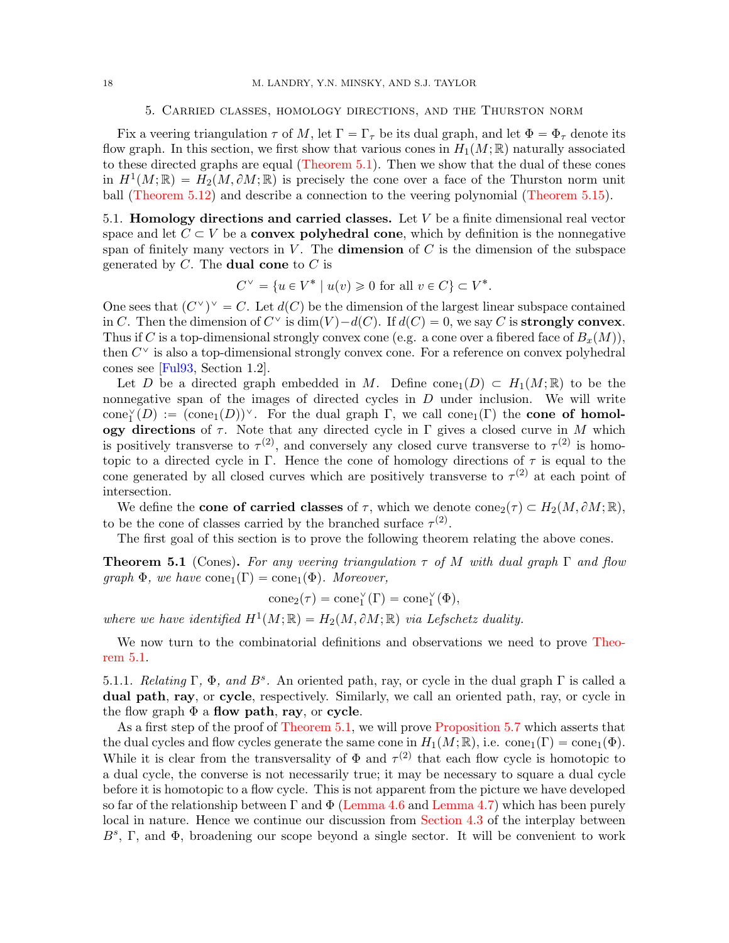#### 5. Carried classes, homology directions, and the Thurston norm

<span id="page-17-0"></span>Fix a veering triangulation  $\tau$  of M, let  $\Gamma = \Gamma_{\tau}$  be its dual graph, and let  $\Phi = \Phi_{\tau}$  denote its flow graph. In this section, we first show that various cones in  $H_1(M;\mathbb{R})$  naturally associated to these directed graphs are equal [\(Theorem 5.1\)](#page-17-2). Then we show that the dual of these cones in  $H^1(M; \mathbb{R}) = H_2(M, \partial M; \mathbb{R})$  is precisely the cone over a face of the Thurston norm unit ball [\(Theorem 5.12\)](#page-26-1) and describe a connection to the veering polynomial [\(Theorem 5.15\)](#page-29-1).

<span id="page-17-1"></span>5.1. **Homology directions and carried classes.** Let  $V$  be a finite dimensional real vector space and let  $C \subset V$  be a **convex polyhedral cone**, which by definition is the nonnegative span of finitely many vectors in  $V$ . The **dimension** of  $C$  is the dimension of the subspace generated by  $C$ . The **dual cone** to  $C$  is

$$
C^{\vee} = \{ u \in V^* \mid u(v) \geq 0 \text{ for all } v \in C \} \subset V^*.
$$

One sees that  $(C^{\vee})^{\vee} = C$ . Let  $d(C)$  be the dimension of the largest linear subspace contained in C. Then the dimension of  $C^{\vee}$  is  $\dim(V) - d(C)$ . If  $d(C) = 0$ , we say C is **strongly convex**. Thus if C is a top-dimensional strongly convex cone (e.g. a cone over a fibered face of  $B<sub>x</sub>(M)$ ), then  $C^{\vee}$  is also a top-dimensional strongly convex cone. For a reference on convex polyhedral cones see [\[Ful93,](#page-48-23) Section 1.2].

Let D be a directed graph embedded in M. Define cone<sub>1</sub> $(D) \subset H_1(M; \mathbb{R})$  to be the nonnegative span of the images of directed cycles in  $D$  under inclusion. We will write  $cone_1^{\vee}(D) := (cone_1(D))^{\vee}$ . For the dual graph  $\Gamma$ , we call cone<sub>1</sub>( $\Gamma$ ) the **cone of homol**ogy directions of  $\tau$ . Note that any directed cycle in  $\Gamma$  gives a closed curve in M which is positively transverse to  $\tau^{(2)}$ , and conversely any closed curve transverse to  $\tau^{(2)}$  is homotopic to a directed cycle in Γ. Hence the cone of homology directions of  $\tau$  is equal to the cone generated by all closed curves which are positively transverse to  $\tau^{(2)}$  at each point of intersection.

We define the **cone of carried classes** of  $\tau$ , which we denote  $cone_2(\tau) \subset H_2(M, \partial M; \mathbb{R}),$ to be the cone of classes carried by the branched surface  $\tau^{(2)}$ .

The first goal of this section is to prove the following theorem relating the above cones.

<span id="page-17-2"></span>**Theorem 5.1** (Cones). For any veering triangulation  $\tau$  of M with dual graph  $\Gamma$  and flow  $graph \Phi$ , we have  $cone_1(\Gamma) = cone_1(\Phi)$ . Moreover,

$$
\mathrm{cone}_2(\tau)=\mathrm{cone}_1^\vee(\Gamma)=\mathrm{cone}_1^\vee(\Phi),
$$

where we have identified  $H^1(M; \mathbb{R}) = H_2(M, \partial M; \mathbb{R})$  via Lefschetz duality.

We now turn to the combinatorial definitions and observations we need to prove [Theo](#page-17-2)[rem 5.1.](#page-17-2)

<span id="page-17-3"></span>5.1.1. Relating  $\Gamma$ ,  $\Phi$ , and  $B^s$ . An oriented path, ray, or cycle in the dual graph  $\Gamma$  is called a dual path, ray, or cycle, respectively. Similarly, we call an oriented path, ray, or cycle in the flow graph  $\Phi$  a flow path, ray, or cycle.

As a first step of the proof of [Theorem 5.1,](#page-17-2) we will prove [Proposition 5.7](#page-22-0) which asserts that the dual cycles and flow cycles generate the same cone in  $H_1(M;\mathbb{R})$ , i.e. cone<sub>1</sub> $(\Gamma) = \text{cone}_1(\Phi)$ . While it is clear from the transversality of  $\Phi$  and  $\tau^{(2)}$  that each flow cycle is homotopic to a dual cycle, the converse is not necessarily true; it may be necessary to square a dual cycle before it is homotopic to a flow cycle. This is not apparent from the picture we have developed so far of the relationship between  $\Gamma$  and  $\Phi$  [\(Lemma 4.6](#page-15-1) and [Lemma 4.7\)](#page-15-2) which has been purely local in nature. Hence we continue our discussion from [Section 4.3](#page-14-0) of the interplay between  $B^s$ , Γ, and Φ, broadening our scope beyond a single sector. It will be convenient to work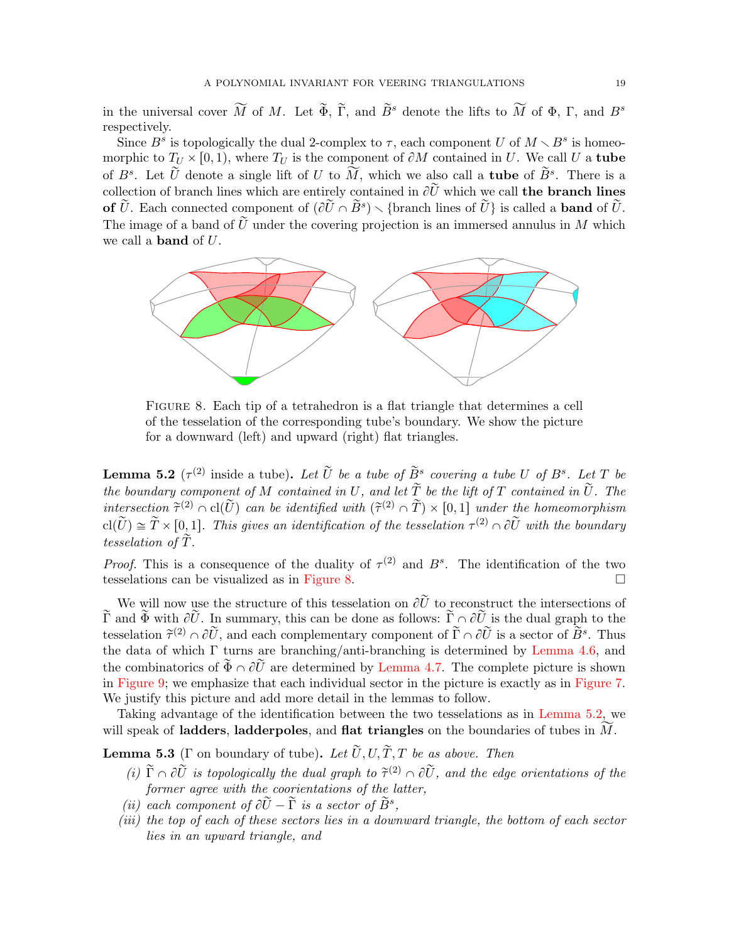in the universal cover  $\widetilde{M}$  of M. Let  $\widetilde{\Phi}$ ,  $\widetilde{\Gamma}$ , and  $\widetilde{B}^s$  denote the lifts to  $\widetilde{M}$  of  $\Phi$ ,  $\Gamma$ , and  $B^s$ respectively.

Since  $B^s$  is topologically the dual 2-complex to  $\tau$ , each component U of  $M \setminus B^s$  is homeomorphic to  $T_U \times [0, 1)$ , where  $T_U$  is the component of  $\partial M$  contained in U. We call U a tube of  $B^s$ . Let  $\tilde{U}$  denote a single lift of U to  $\hat{M}$ , which we also call a **tube** of  $\tilde{B}^s$ . There is a collection of branch lines which are entirely contained in  $\partial \tilde{U}$  which we call the branch lines of  $\widetilde{U}$ . Each connected component of  $(\partial \widetilde{U} \cap \widetilde{B}^s) \setminus {\text{branch lines of }} \widetilde{U}$  is called a **band** of  $\widetilde{U}$ . The image of a band of  $\tilde{U}$  under the covering projection is an immersed annulus in M which we call a band of U.



<span id="page-18-0"></span>Figure 8. Each tip of a tetrahedron is a flat triangle that determines a cell of the tesselation of the corresponding tube's boundary. We show the picture for a downward (left) and upward (right) flat triangles.

<span id="page-18-1"></span>**Lemma 5.2** ( $\tau^{(2)}$  inside a tube). Let  $\widetilde{U}$  be a tube of  $\widetilde{B}^s$  covering a tube U of  $B^s$ . Let T be the boundary component of M contained in U, and let  $\widetilde{T}$  be the lift of T contained in  $\widetilde{U}$ . The intersection  $\tilde{\tau}^{(2)} \cap \text{cl}(\tilde{U})$  can be identified with  $(\tilde{\tau}^{(2)} \cap \tilde{T}) \times [0,1]$  under the homeomorphism  $\text{cl}(\widetilde{U}) \cong \widetilde{T} \times [0, 1]$ . This gives an identification of the tesselation  $\tau^{(2)} \cap \partial \widetilde{U}$  with the boundary tesselation of  $\tilde{T}$ .

*Proof.* This is a consequence of the duality of  $\tau^{(2)}$  and  $B^s$ . The identification of the two tesselations can be visualized as in [Figure 8.](#page-18-0)

We will now use the structure of this tesselation on  $\partial \tilde{U}$  to reconstruct the intersections of  $\tilde{\Gamma}$  and  $\tilde{\Phi}$  with  $\partial \tilde{U}$ . In summary, this can be done as follows:  $\tilde{\Gamma} \cap \partial \tilde{U}$  is the dual graph to the tesselation  $\tilde{\tau}^{(2)} \cap \partial \tilde{U}$ , and each complementary component of  $\tilde{\Gamma} \cap \partial \tilde{U}$  is a sector of  $\tilde{B}^s$ . Thus the data of which  $\Gamma$  turns are branching/anti-branching is determined by [Lemma 4.6,](#page-15-1) and the combinatorics of  $\widetilde{\Phi} \cap \partial \widetilde{U}$  are determined by [Lemma 4.7.](#page-15-2) The complete picture is shown in [Figure 9;](#page-19-0) we emphasize that each individual sector in the picture is exactly as in [Figure 7.](#page-16-1) We justify this picture and add more detail in the lemmas to follow.

Taking advantage of the identification between the two tesselations as in [Lemma 5.2,](#page-18-1) we will speak of **ladders**, **ladderpoles**, and **flat triangles** on the boundaries of tubes in  $M$ .

<span id="page-18-2"></span>**Lemma 5.3** (Γ on boundary of tube). Let  $\widetilde{U}$ ,  $U$ ,  $\widetilde{T}$ , T be as above. Then

- (i)  $\tilde{\Gamma} \cap \partial \tilde{U}$  is topologically the dual graph to  $\tilde{\tau}^{(2)} \cap \partial \tilde{U}$ , and the edge orientations of the former agree with the coorientations of the latter,
- (ii) each component of  $\partial \tilde{U} \tilde{\Gamma}$  is a sector of  $\tilde{B}^s$ ,
- (iii) the top of each of these sectors lies in a downward triangle, the bottom of each sector lies in an upward triangle, and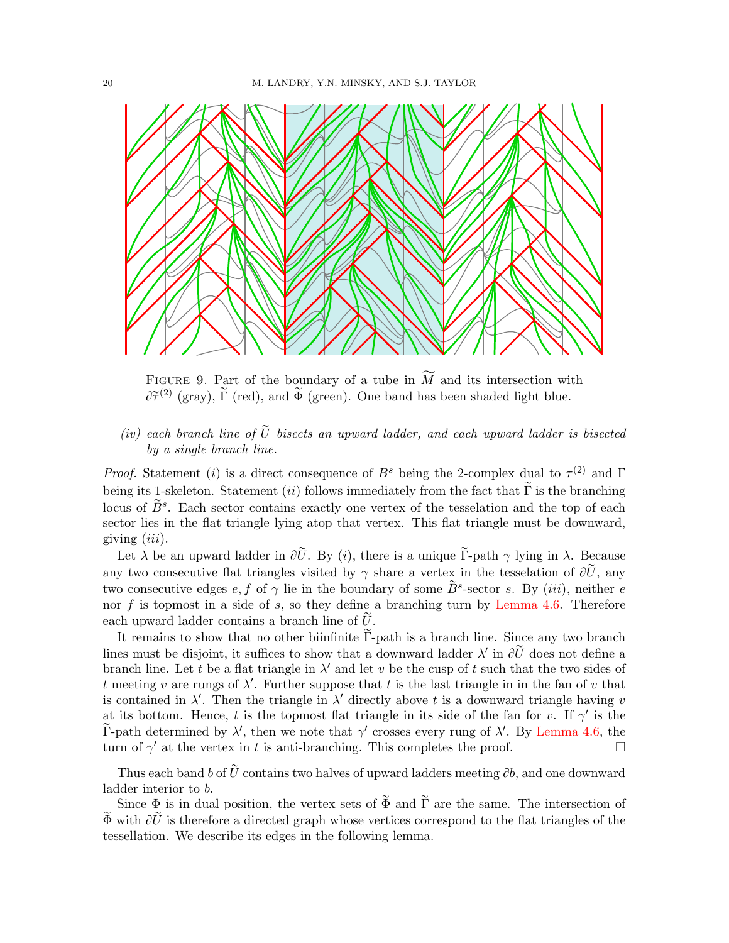

<span id="page-19-0"></span>FIGURE 9. Part of the boundary of a tube in  $\widetilde{M}$  and its intersection with  $\partial \tilde{\tau}^{(2)}$  (gray),  $\tilde{\Gamma}$  (red), and  $\tilde{\Phi}$  (green). One band has been shaded light blue.

# (iv) each branch line of  $\tilde{U}$  bisects an upward ladder, and each upward ladder is bisected by a single branch line.

*Proof.* Statement (i) is a direct consequence of  $B^s$  being the 2-complex dual to  $\tau^{(2)}$  and  $\Gamma$ being its 1-skeleton. Statement *(ii)* follows immediately from the fact that  $\widetilde{\Gamma}$  is the branching locus of  $\widetilde{B}^s$ . Each sector contains exactly one vertex of the tesselation and the top of each sector lies in the flat triangle lying atop that vertex. This flat triangle must be downward, giving  $(iii)$ .

Let  $\lambda$  be an upward ladder in  $\partial \tilde{U}$ . By (i), there is a unique  $\tilde{\Gamma}$ -path  $\gamma$  lying in  $\lambda$ . Because any two consecutive flat triangles visited by  $\gamma$  share a vertex in the tesselation of  $\partial \tilde{U}$ , any two consecutive edges  $e, f$  of  $\gamma$  lie in the boundary of some  $\widetilde{B}^s$ -sector s. By (*iii*), neither e nor f is topmost in a side of s, so they define a branching turn by [Lemma 4.6.](#page-15-1) Therefore each upward ladder contains a branch line of  $\hat{U}$ .

It remains to show that no other biinfinite  $\tilde{\Gamma}$ -path is a branch line. Since any two branch lines must be disjoint, it suffices to show that a downward ladder  $\lambda'$  in  $\partial \tilde{U}$  does not define a branch line. Let t be a flat triangle in  $\lambda'$  and let v be the cusp of t such that the two sides of t meeting v are rungs of  $\lambda'$ . Further suppose that t is the last triangle in in the fan of v that is contained in  $\lambda'$ . Then the triangle in  $\lambda'$  directly above t is a downward triangle having v at its bottom. Hence, t is the topmost flat triangle in its side of the fan for v. If  $\gamma'$  is the  $\tilde{\Gamma}$ -path determined by  $\lambda'$ , then we note that  $\gamma'$  crosses every rung of  $\lambda'$ . By [Lemma 4.6,](#page-15-1) the turn of  $\gamma'$  at the vertex in t is anti-branching. This completes the proof.

Thus each band b of  $\tilde{U}$  contains two halves of upward ladders meeting  $\partial b$ , and one downward ladder interior to b.

<span id="page-19-1"></span>Since  $\Phi$  is in dual position, the vertex sets of  $\widetilde{\Phi}$  and  $\widetilde{\Gamma}$  are the same. The intersection of  $\widetilde{\Phi}$  with  $\partial \widetilde{U}$  is therefore a directed graph whose vertices correspond to the flat triangles of the tessellation. We describe its edges in the following lemma.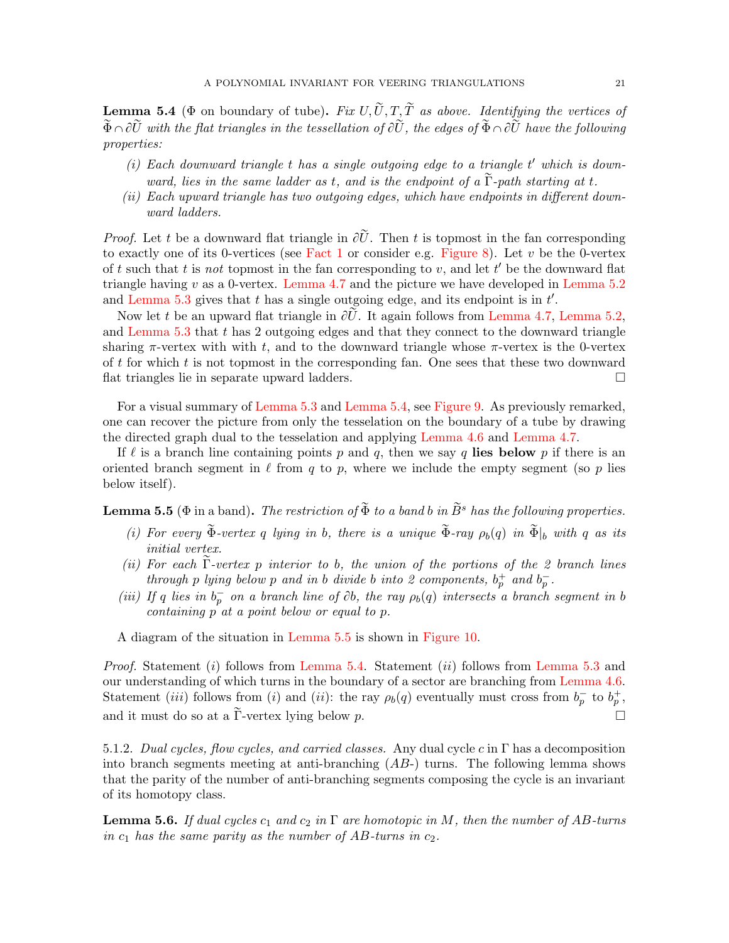**Lemma 5.4** ( $\Phi$  on boundary of tube). Fix  $U, \tilde{U}, T, \tilde{T}$  as above. Identifying the vertices of  $\widetilde{\Phi}\cap\partial\widetilde{U}$  with the flat triangles in the tessellation of  $\partial\widetilde{U}$ , the edges of  $\widetilde{\Phi}\cap\partial\widetilde{U}$  have the following properties:

- $(i)$  Each downward triangle  $t$  has a single outgoing edge to a triangle  $t'$  which is downward, lies in the same ladder as t, and is the endpoint of a  $\overline{\Gamma}$ -path starting at t.
- (ii) Each upward triangle has two outgoing edges, which have endpoints in different downward ladders.

*Proof.* Let t be a downward flat triangle in  $\partial \tilde{U}$ . Then t is topmost in the fan corresponding to exactly one of its 0-vertices (see [Fact 1](#page-11-3) or consider e.g. [Figure 8\)](#page-18-0). Let  $v$  be the 0-vertex of t such that t is not topmost in the fan corresponding to  $v$ , and let  $t'$  be the downward flat triangle having  $v$  as a 0-vertex. [Lemma 4.7](#page-15-2) and the picture we have developed in [Lemma 5.2](#page-18-1) and [Lemma 5.3](#page-18-2) gives that  $t$  has a single outgoing edge, and its endpoint is in  $t'$ .

Now let t be an upward flat triangle in  $\partial \tilde{U}$ . It again follows from [Lemma 4.7,](#page-15-2) [Lemma 5.2,](#page-18-1) and [Lemma 5.3](#page-18-2) that t has 2 outgoing edges and that they connect to the downward triangle sharing  $\pi$ -vertex with with t, and to the downward triangle whose  $\pi$ -vertex is the 0-vertex of  $t$  for which  $t$  is not topmost in the corresponding fan. One sees that these two downward flat triangles lie in separate upward ladders.

For a visual summary of [Lemma 5.3](#page-18-2) and [Lemma 5.4,](#page-19-1) see [Figure 9.](#page-19-0) As previously remarked, one can recover the picture from only the tesselation on the boundary of a tube by drawing the directed graph dual to the tesselation and applying [Lemma 4.6](#page-15-1) and [Lemma 4.7.](#page-15-2)

If  $\ell$  is a branch line containing points p and q, then we say q lies below p if there is an oriented branch segment in  $\ell$  from q to p, where we include the empty segment (so p lies below itself).

<span id="page-20-0"></span>**Lemma 5.5** ( $\Phi$  in a band). The restriction of  $\widetilde{\Phi}$  to a band b in  $\widetilde{B}^s$  has the following properties.

- (i) For every  $\widetilde{\Phi}$ -vertex q lying in b, there is a unique  $\widetilde{\Phi}$ -ray  $\rho_b(q)$  in  $\widetilde{\Phi}|_b$  with q as its initial vertex.
- (ii) For each  $\tilde{\Gamma}$ -vertex p interior to b, the union of the portions of the 2 branch lines through p lying below p and in b divide b into 2 components,  $b_p^+$  and  $b_p^-$ .
- (iii) If q lies in  $b_p^-$  on a branch line of  $\partial b$ , the ray  $\rho_b(q)$  intersects a branch segment in b containing p at a point below or equal to p.

A diagram of the situation in [Lemma 5.5](#page-20-0) is shown in [Figure 10.](#page-21-0)

*Proof.* Statement (*i*) follows from [Lemma 5.4.](#page-19-1) Statement (*ii*) follows from [Lemma 5.3](#page-18-2) and our understanding of which turns in the boundary of a sector are branching from [Lemma 4.6.](#page-15-1) Statement *(iii)* follows from *(i)* and *(ii)*: the ray  $\rho_b(q)$  eventually must cross from  $b_p^-$  to  $b_p^+$ , and it must do so at a  $\tilde{\Gamma}$ -vertex lying below p.

5.1.2. Dual cycles, flow cycles, and carried classes. Any dual cycle c in  $\Gamma$  has a decomposition into branch segments meeting at anti-branching  $(AB)$  turns. The following lemma shows that the parity of the number of anti-branching segments composing the cycle is an invariant of its homotopy class.

<span id="page-20-1"></span>**Lemma 5.6.** If dual cycles  $c_1$  and  $c_2$  in  $\Gamma$  are homotopic in M, then the number of AB-turns in  $c_1$  has the same parity as the number of AB-turns in  $c_2$ .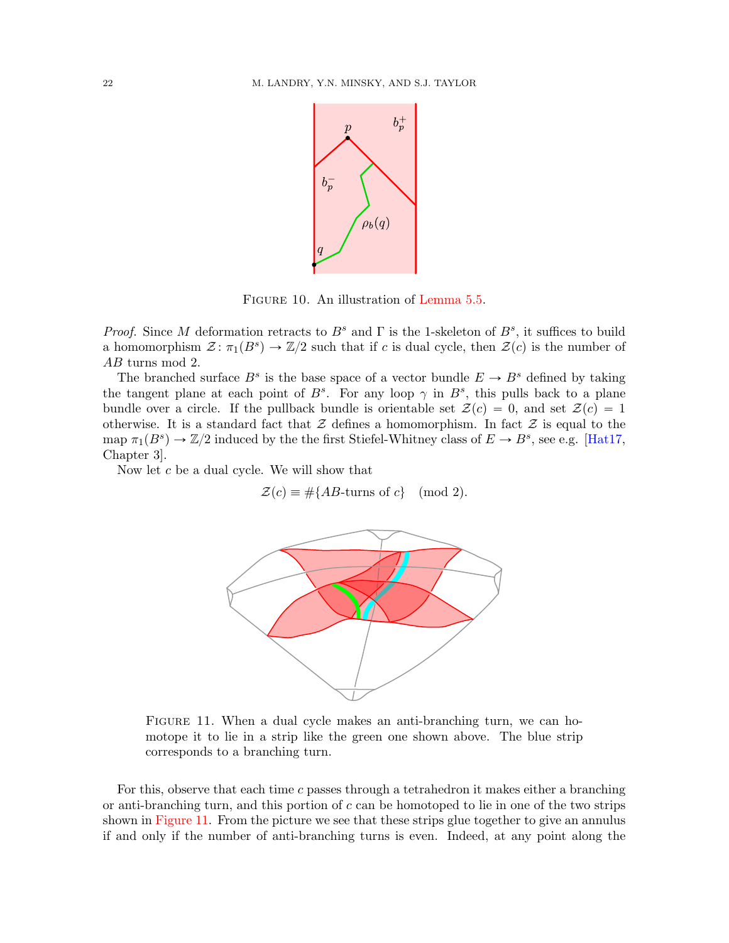

<span id="page-21-0"></span>FIGURE 10. An illustration of [Lemma 5.5.](#page-20-0)

Proof. Since M deformation retracts to  $B^s$  and  $\Gamma$  is the 1-skeleton of  $B^s$ , it suffices to build a homomorphism  $\mathcal{Z} : \pi_1(B^s) \to \mathbb{Z}/2$  such that if c is dual cycle, then  $\mathcal{Z}(c)$  is the number of AB turns mod 2.

The branched surface  $B^s$  is the base space of a vector bundle  $E \to B^s$  defined by taking the tangent plane at each point of  $B^s$ . For any loop  $\gamma$  in  $B^s$ , this pulls back to a plane bundle over a circle. If the pullback bundle is orientable set  $\mathcal{Z}(c) = 0$ , and set  $\mathcal{Z}(c) = 1$ otherwise. It is a standard fact that  $\mathcal Z$  defines a homomorphism. In fact  $\mathcal Z$  is equal to the map  $\pi_1(B^s) \to \mathbb{Z}/2$  induced by the the first Stiefel-Whitney class of  $E \to B^s$ , see e.g. [\[Hat17,](#page-48-24) Chapter 3].

Now let  $c$  be a dual cycle. We will show that

 $\mathcal{Z}(c) \equiv #{AB\textrm{-turns of } c} \pmod{2}.$ 



<span id="page-21-1"></span>FIGURE 11. When a dual cycle makes an anti-branching turn, we can homotope it to lie in a strip like the green one shown above. The blue strip corresponds to a branching turn.

For this, observe that each time c passes through a tetrahedron it makes either a branching or anti-branching turn, and this portion of  $c$  can be homotoped to lie in one of the two strips shown in [Figure 11.](#page-21-1) From the picture we see that these strips glue together to give an annulus if and only if the number of anti-branching turns is even. Indeed, at any point along the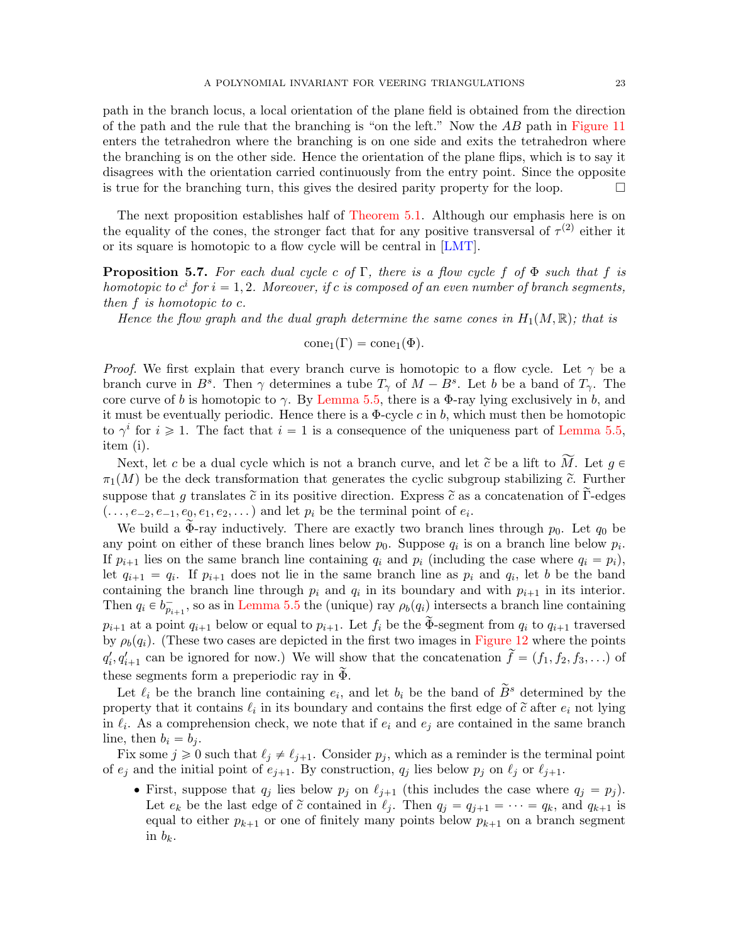path in the branch locus, a local orientation of the plane field is obtained from the direction of the path and the rule that the branching is "on the left." Now the AB path in [Figure 11](#page-21-1) enters the tetrahedron where the branching is on one side and exits the tetrahedron where the branching is on the other side. Hence the orientation of the plane flips, which is to say it disagrees with the orientation carried continuously from the entry point. Since the opposite is true for the branching turn, this gives the desired parity property for the loop.  $\Box$ 

The next proposition establishes half of [Theorem 5.1.](#page-17-2) Although our emphasis here is on the equality of the cones, the stronger fact that for any positive transversal of  $\tau^{(2)}$  either it or its square is homotopic to a flow cycle will be central in [\[LMT\]](#page-48-12).

<span id="page-22-0"></span>**Proposition 5.7.** For each dual cycle c of Γ, there is a flow cycle f of  $\Phi$  such that f is homotopic to  $c^i$  for  $i = 1, 2$ . Moreover, if c is composed of an even number of branch segments, then f is homotopic to c.

Hence the flow graph and the dual graph determine the same cones in  $H_1(M, \mathbb{R})$ ; that is

$$
\text{cone}_1(\Gamma) = \text{cone}_1(\Phi).
$$

*Proof.* We first explain that every branch curve is homotopic to a flow cycle. Let  $\gamma$  be a branch curve in  $B^s$ . Then  $\gamma$  determines a tube  $T_{\gamma}$  of  $M - B^s$ . Let b be a band of  $T_{\gamma}$ . The core curve of b is homotopic to  $\gamma$ . By [Lemma 5.5,](#page-20-0) there is a Φ-ray lying exclusively in b, and it must be eventually periodic. Hence there is a  $\Phi$ -cycle c in b, which must then be homotopic to  $\gamma^i$  for  $i \geq 1$ . The fact that  $i = 1$  is a consequence of the uniqueness part of [Lemma 5.5,](#page-20-0) item (i).

Next, let c be a dual cycle which is not a branch curve, and let  $\tilde{c}$  be a lift to  $\tilde{M}$ . Let  $g \in$  $\pi_1(M)$  be the deck transformation that generates the cyclic subgroup stabilizing  $\tilde{c}$ . Further suppose that g translates  $\tilde{c}$  in its positive direction. Express  $\tilde{c}$  as a concatenation of Γ-edges  $( \ldots, e_{-2}, e_{-1}, e_0, e_1, e_2, \ldots)$  and let  $p_i$  be the terminal point of  $e_i$ .

We build a  $\Phi$ -ray inductively. There are exactly two branch lines through  $p_0$ . Let  $q_0$  be any point on either of these branch lines below  $p_0$ . Suppose  $q_i$  is on a branch line below  $p_i$ . If  $p_{i+1}$  lies on the same branch line containing  $q_i$  and  $p_i$  (including the case where  $q_i = p_i$ ), let  $q_{i+1} = q_i$ . If  $p_{i+1}$  does not lie in the same branch line as  $p_i$  and  $q_i$ , let b be the band containing the branch line through  $p_i$  and  $q_i$  in its boundary and with  $p_{i+1}$  in its interior. Then  $q_i \in b_{p_{i+1}}^-$ , so as in [Lemma 5.5](#page-20-0) the (unique) ray  $\rho_b(q_i)$  intersects a branch line containing  $p_{i+1}$  at a point  $q_{i+1}$  below or equal to  $p_{i+1}$ . Let  $f_i$  be the  $\Phi$ -segment from  $q_i$  to  $q_{i+1}$  traversed by  $\rho_b(q_i)$ . (These two cases are depicted in the first two images in [Figure 12](#page-24-0) where the points  $q'_i, q'_{i+1}$  can be ignored for now.) We will show that the concatenation  $\tilde{f} = (f_1, f_2, f_3, ...)$  of these segments form a preperiodic ray in  $\Phi$ .

Let  $\ell_i$  be the branch line containing  $e_i$ , and let  $b_i$  be the band of  $\widetilde{B}^s$  determined by the property that it contains  $\ell_i$  in its boundary and contains the first edge of  $\tilde{c}$  after  $e_i$  not lying in  $\ell_i$ . As a comprehension check, we note that if  $e_i$  and  $e_j$  are contained in the same branch line, then  $b_i = b_j$ .

Fix some  $j \geq 0$  such that  $\ell_j \neq \ell_{j+1}$ . Consider  $p_j$ , which as a reminder is the terminal point of  $e_j$  and the initial point of  $e_{j+1}$ . By construction,  $q_j$  lies below  $p_j$  on  $\ell_j$  or  $\ell_{j+1}$ .

• First, suppose that  $q_j$  lies below  $p_j$  on  $\ell_{j+1}$  (this includes the case where  $q_j = p_j$ ). Let  $e_k$  be the last edge of  $\tilde{c}$  contained in  $\ell_j$ . Then  $q_j = q_{j+1} = \cdots = q_k$ , and  $q_{k+1}$  is equal to either  $p_{k+1}$  or one of finitely many points below  $p_{k+1}$  on a branch segment in  $b_k$ .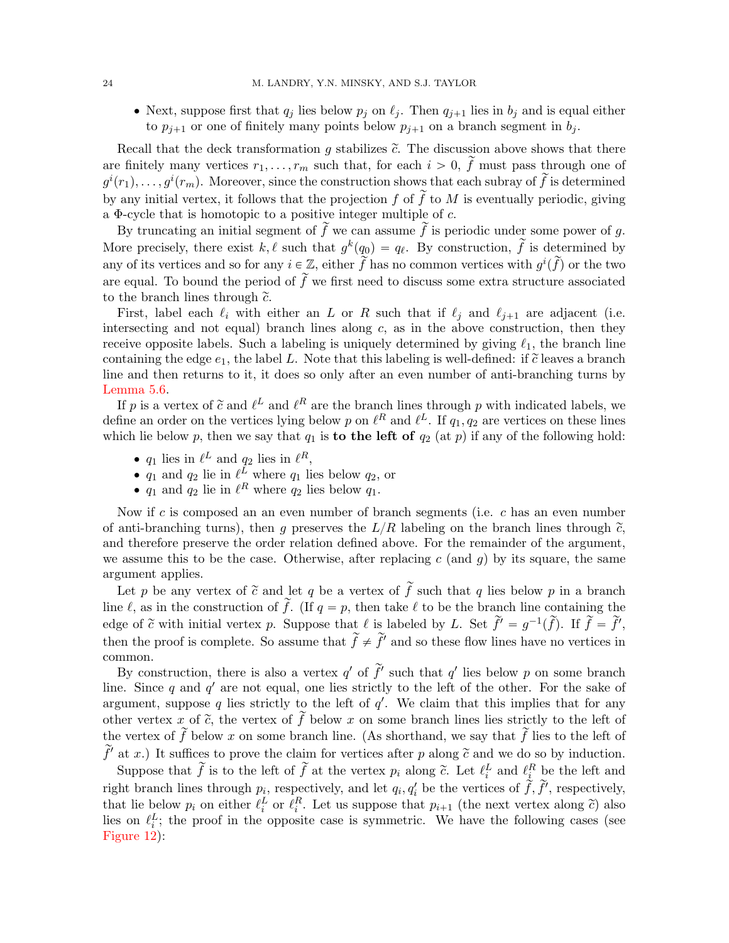• Next, suppose first that  $q_j$  lies below  $p_j$  on  $\ell_j$ . Then  $q_{j+1}$  lies in  $b_j$  and is equal either to  $p_{j+1}$  or one of finitely many points below  $p_{j+1}$  on a branch segment in  $b_j$ .

Recall that the deck transformation g stabilizes  $\tilde{c}$ . The discussion above shows that there are finitely many vertices  $r_1, \ldots, r_m$  such that, for each  $i > 0$ ,  $\tilde{f}$  must pass through one of  $g^{i}(r_1), \ldots, g^{i}(r_m)$ . Moreover, since the construction shows that each subray of  $\widetilde{f}$  is determined by any initial vertex, it follows that the projection f of  $\tilde{f}$  to M is eventually periodic, giving a Φ-cycle that is homotopic to a positive integer multiple of c.

By truncating an initial segment of  $\tilde{f}$  we can assume  $\tilde{f}$  is periodic under some power of g. More precisely, there exist k,  $\ell$  such that  $g^k(q_0) = q_\ell$ . By construction,  $\tilde{f}$  is determined by any of its vertices and so for any  $i \in \mathbb{Z}$ , either  $\widetilde{f}$  has no common vertices with  $g^i(\widetilde{f})$  or the two are equal. To bound the period of  $\tilde{f}$  we first need to discuss some extra structure associated to the branch lines through  $\tilde{c}$ .

First, label each  $\ell_i$  with either an L or R such that if  $\ell_j$  and  $\ell_{j+1}$  are adjacent (i.e. intersecting and not equal) branch lines along  $c$ , as in the above construction, then they receive opposite labels. Such a labeling is uniquely determined by giving  $\ell_1$ , the branch line containing the edge  $e_1$ , the label L. Note that this labeling is well-defined: if  $\tilde{c}$  leaves a branch line and then returns to it, it does so only after an even number of anti-branching turns by [Lemma 5.6.](#page-20-1)

If p is a vertex of  $\tilde{c}$  and  $\ell^L$  and  $\ell^R$  are the branch lines through p with indicated labels, we define an order on the vertices lying below p on  $\ell^R$  and  $\ell^L$ . If  $q_1, q_2$  are vertices on these lines which lie below p, then we say that  $q_1$  is **to the left of**  $q_2$  (at p) if any of the following hold:

- $q_1$  lies in  $\ell^L$  and  $q_2$  lies in  $\ell^R$ ,
- $q_1$  and  $q_2$  lie in  $\ell^L$  where  $q_1$  lies below  $q_2$ , or
- $q_1$  and  $q_2$  lie in  $\ell^R$  where  $q_2$  lies below  $q_1$ .

Now if c is composed an an even number of branch segments (i.e.  $c$  has an even number of anti-branching turns), then q preserves the  $L/R$  labeling on the branch lines through  $\tilde{c}$ , and therefore preserve the order relation defined above. For the remainder of the argument, we assume this to be the case. Otherwise, after replacing c (and q) by its square, the same argument applies.

Let p be any vertex of  $\tilde{c}$  and let q be a vertex of  $\tilde{f}$  such that q lies below p in a branch line  $\ell$ , as in the construction of  $\tilde{f}$ . (If  $q = p$ , then take  $\ell$  to be the branch line containing the edge of  $\tilde{c}$  with initial vertex p. Suppose that  $\ell$  is labeled by L. Set  $\tilde{f}' = g^{-1}(\tilde{f})$ . If  $\tilde{f} = \tilde{f}'$ , then the proof is complete. So assume that  $\tilde{f} \neq \tilde{f}'$  and so these flow lines have no vertices in common.

By construction, there is also a vertex  $q'$  of  $\tilde{f}'$  such that  $q'$  lies below p on some branch line. Since q and  $q'$  are not equal, one lies strictly to the left of the other. For the sake of argument, suppose q lies strictly to the left of  $q'$ . We claim that this implies that for any other vertex x of  $\tilde{c}$ , the vertex of  $\tilde{f}$  below x on some branch lines lies strictly to the left of the vertex of  $\tilde{f}$  below x on some branch line. (As shorthand, we say that  $\tilde{f}$  lies to the left of  $\tilde{f}'$  at x.) It suffices to prove the claim for vertices after p along  $\tilde{c}$  and we do so by induction.

Suppose that  $\tilde{f}$  is to the left of  $\tilde{f}$  at the vertex  $p_i$  along  $\tilde{c}$ . Let  $\ell_i^L$  and  $\ell_i^R$  be the left and right branch lines through  $p_i$ , respectively, and let  $q_i, q'_i$  be the vertices of  $\dot{\tilde{f}}, \tilde{f}'$ , respectively, that lie below  $p_i$  on either  $\ell_i^L$  or  $\ell_i^R$ . Let us suppose that  $p_{i+1}$  (the next vertex along  $\tilde{c}$ ) also lies on  $\ell_i^L$ ; the proof in the opposite case is symmetric. We have the following cases (see [Figure 12\)](#page-24-0):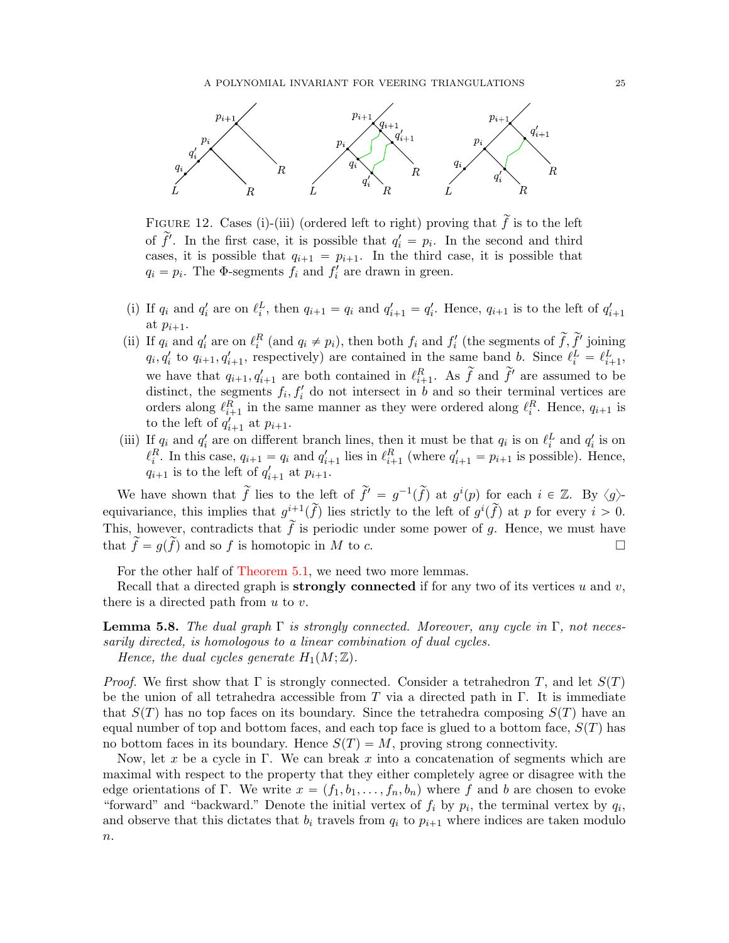

<span id="page-24-0"></span>FIGURE 12. Cases (i)-(iii) (ordered left to right) proving that  $\tilde{f}$  is to the left of  $\tilde{f}'$ . In the first case, it is possible that  $q'_i = p_i$ . In the second and third cases, it is possible that  $q_{i+1} = p_{i+1}$ . In the third case, it is possible that  $q_i = p_i$ . The  $\Phi$ -segments  $f_i$  and  $f'_i$  are drawn in green.

- (i) If  $q_i$  and  $q'_i$  are on  $\ell_i^L$ , then  $q_{i+1} = q_i$  and  $q'_{i+1} = q'_i$ . Hence,  $q_{i+1}$  is to the left of  $q'_{i+1}$ at  $p_{i+1}$ .
- (ii) If  $q_i$  and  $q'_i$  are on  $\ell_i^R$  (and  $q_i \neq p_i$ ), then both  $f_i$  and  $f'_i$  (the segments of  $\tilde{f}, \tilde{f}'$  joining  $q_i, q'_i$  to  $q_{i+1}, q'_{i+1}$ , respectively) are contained in the same band b. Since  $\ell_i^L = \ell_{i+1}^L$ , we have that  $q_{i+1}, q'_{i+1}$  are both contained in  $\ell_{i+1}^R$ . As  $\tilde{f}$  and  $\tilde{f}'$  are assumed to be distinct, the segments  $f_i, f'_i$  do not intersect in b and so their terminal vertices are orders along  $\ell_{i+1}^R$  in the same manner as they were ordered along  $\ell_i^R$ . Hence,  $q_{i+1}$  is to the left of  $q'_{i+1}$  at  $p_{i+1}$ .
- (iii) If  $q_i$  and  $q'_i$  are on different branch lines, then it must be that  $q_i$  is on  $\ell_i^L$  and  $q'_i$  is on  $\ell_i^R$ . In this case,  $q_{i+1} = q_i$  and  $q'_{i+1}$  lies in  $\ell_{i+1}^R$  (where  $q'_{i+1} = p_{i+1}$  is possible). Hence,  $q_{i+1}$  is to the left of  $q'_{i+1}$  at  $p_{i+1}$ .

We have shown that  $\tilde{f}$  lies to the left of  $\tilde{f}' = g^{-1}(\tilde{f})$  at  $g^{i}(p)$  for each  $i \in \mathbb{Z}$ . By  $\langle g \rangle$ equivariance, this implies that  $g^{i+1}(\tilde{f})$  lies strictly to the left of  $g^{i}(\tilde{f})$  at p for every  $i > 0$ . This, however, contradicts that  $\tilde{f}$  is periodic under some power of g. Hence, we must have that  $\widetilde{f} = g(\widetilde{f})$  and so f is homotopic in M to c.

For the other half of [Theorem 5.1,](#page-17-2) we need two more lemmas.

Recall that a directed graph is **strongly connected** if for any two of its vertices u and v, there is a directed path from  $u$  to  $v$ .

<span id="page-24-1"></span>**Lemma 5.8.** The dual graph  $\Gamma$  is strongly connected. Moreover, any cycle in  $\Gamma$ , not necessarily directed, is homologous to a linear combination of dual cycles. Hence, the dual cycles generate  $H_1(M; \mathbb{Z})$ .

*Proof.* We first show that  $\Gamma$  is strongly connected. Consider a tetrahedron T, and let  $S(T)$ be the union of all tetrahedra accessible from T via a directed path in  $\Gamma$ . It is immediate that  $S(T)$  has no top faces on its boundary. Since the tetrahedra composing  $S(T)$  have an equal number of top and bottom faces, and each top face is glued to a bottom face,  $S(T)$  has no bottom faces in its boundary. Hence  $S(T) = M$ , proving strong connectivity.

Now, let x be a cycle in Γ. We can break x into a concatenation of segments which are maximal with respect to the property that they either completely agree or disagree with the edge orientations of Γ. We write  $x = (f_1, b_1, \ldots, f_n, b_n)$  where f and b are chosen to evoke "forward" and "backward." Denote the initial vertex of  $f_i$  by  $p_i$ , the terminal vertex by  $q_i$ , and observe that this dictates that  $b_i$  travels from  $q_i$  to  $p_{i+1}$  where indices are taken modulo  $n$ .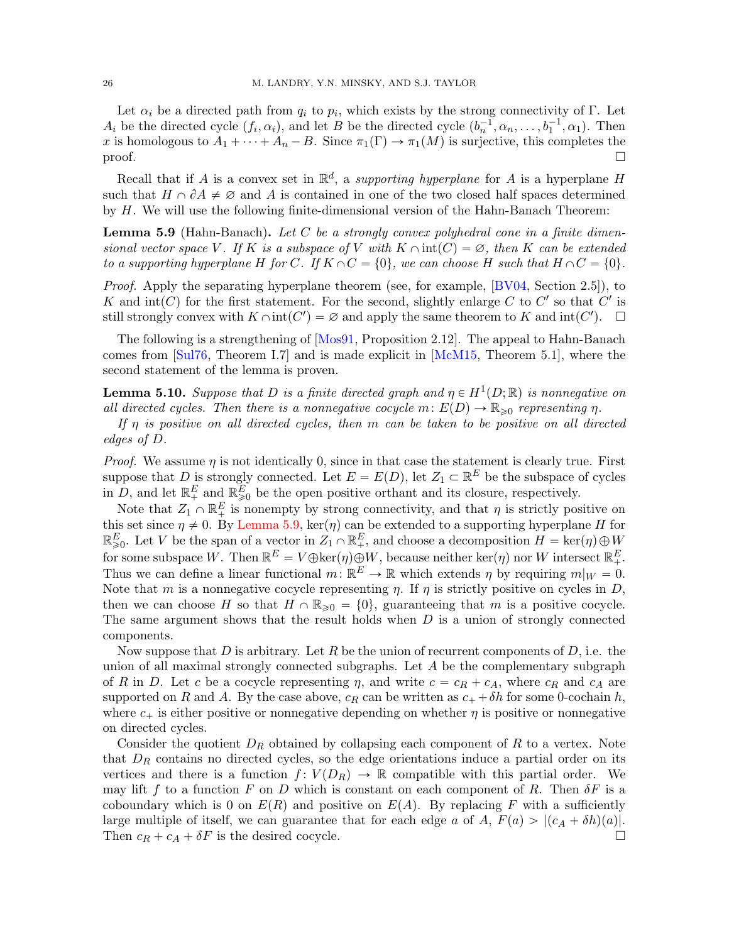Let  $\alpha_i$  be a directed path from  $q_i$  to  $p_i$ , which exists by the strong connectivity of  $\Gamma$ . Let  $A_i$  be the directed cycle  $(f_i, \alpha_i)$ , and let B be the directed cycle  $(b_n^{-1}, \alpha_n, \ldots, b_1^{-1}, \alpha_1)$ . Then x is homologous to  $A_1 + \cdots + A_n - B$ . Since  $\pi_1(\Gamma) \to \pi_1(M)$  is surjective, this completes the  $\Box$ 

Recall that if A is a convex set in  $\mathbb{R}^d$ , a supporting hyperplane for A is a hyperplane H such that  $H \cap \partial A \neq \emptyset$  and A is contained in one of the two closed half spaces determined by H. We will use the following finite-dimensional version of the Hahn-Banach Theorem:

<span id="page-25-0"></span>**Lemma 5.9** (Hahn-Banach). Let C be a strongly convex polyhedral cone in a finite dimensional vector space V. If K is a subspace of V with  $K \cap int(C) = \emptyset$ , then K can be extended to a supporting hyperplane H for C. If  $K \cap C = \{0\}$ , we can choose H such that  $H \cap C = \{0\}$ .

Proof. Apply the separating hyperplane theorem (see, for example, [\[BV04,](#page-47-9) Section 2.5]), to K and  $\text{int}(C)$  for the first statement. For the second, slightly enlarge C to C' so that C' is still strongly convex with  $K \cap int(C') = \varnothing$  and apply the same theorem to K and  $int(C')$ .  $\Box$ 

The following is a strengthening of [\[Mos91,](#page-48-25) Proposition 2.12]. The appeal to Hahn-Banach comes from [\[Sul76,](#page-49-1) Theorem I.7] and is made explicit in [\[McM15,](#page-48-22) Theorem 5.1], where the second statement of the lemma is proven.

<span id="page-25-1"></span>**Lemma 5.10.** Suppose that D is a finite directed graph and  $\eta \in H^1(D;\mathbb{R})$  is nonnegative on all directed cycles. Then there is a nonnegative cocycle  $m: E(D) \to \mathbb{R}_{\geq 0}$  representing  $\eta$ .

If  $\eta$  is positive on all directed cycles, then m can be taken to be positive on all directed edges of D.

*Proof.* We assume  $\eta$  is not identically 0, since in that case the statement is clearly true. First suppose that D is strongly connected. Let  $E = E(D)$ , let  $Z_1 \subset \mathbb{R}^E$  be the subspace of cycles in D, and let  $\mathbb{R}^E_+$  and  $\mathbb{R}^E_{\geq 0}$  be the open positive orthant and its closure, respectively.

Note that  $Z_1 \cap \mathbb{R}^E_+$  is nonempty by strong connectivity, and that  $\eta$  is strictly positive on this set since  $\eta \neq 0$ . By [Lemma 5.9,](#page-25-0) ker $(\eta)$  can be extended to a supporting hyperplane H for  $\mathbb{R}_{\geqslant 0}^E$ . Let V be the span of a vector in  $Z_1 \cap \mathbb{R}_+^E$ , and choose a decomposition  $H = \ker(\eta) \oplus W$ for some subspace W. Then  $\mathbb{R}^E = V \oplus \ker(\eta) \oplus W$ , because neither  $\ker(\eta)$  nor W intersect  $\mathbb{R}^E_+$ . Thus we can define a linear functional  $m: \mathbb{R}^E \to \mathbb{R}$  which extends  $\eta$  by requiring  $m|_W = 0$ . Note that m is a nonnegative cocycle representing  $\eta$ . If  $\eta$  is strictly positive on cycles in D, then we can choose H so that  $H \cap \mathbb{R}_{\geq 0} = \{0\}$ , guaranteeing that m is a positive cocycle. The same argument shows that the result holds when  $D$  is a union of strongly connected components.

Now suppose that D is arbitrary. Let R be the union of recurrent components of D, i.e. the union of all maximal strongly connected subgraphs. Let  $A$  be the complementary subgraph of R in D. Let c be a cocycle representing  $\eta$ , and write  $c = c_R + c_A$ , where  $c_R$  and  $c_A$  are supported on R and A. By the case above,  $c_R$  can be written as  $c_+ + \delta h$  for some 0-cochain h, where  $c_+$  is either positive or nonnegative depending on whether  $\eta$  is positive or nonnegative on directed cycles.

<span id="page-25-2"></span>Consider the quotient  $D_R$  obtained by collapsing each component of R to a vertex. Note that  $D_R$  contains no directed cycles, so the edge orientations induce a partial order on its vertices and there is a function  $f: V(D_R) \to \mathbb{R}$  compatible with this partial order. We may lift f to a function F on D which is constant on each component of R. Then  $\delta F$  is a coboundary which is 0 on  $E(R)$  and positive on  $E(A)$ . By replacing F with a sufficiently large multiple of itself, we can guarantee that for each edge a of A,  $F(a) > |(c_A + \delta h)(a)|$ . Then  $c_R + c_A + \delta F$  is the desired cocycle.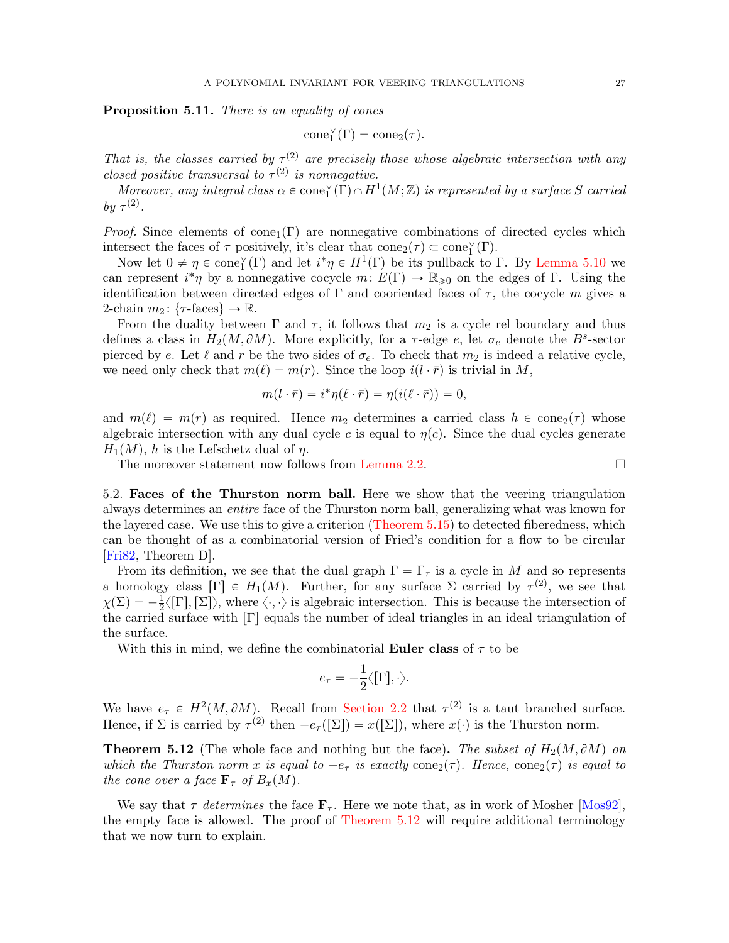Proposition 5.11. There is an equality of cones

$$
\mathrm{cone}_1^{\vee}(\Gamma) = \mathrm{cone}_2(\tau).
$$

That is, the classes carried by  $\tau^{(2)}$  are precisely those whose algebraic intersection with any closed positive transversal to  $\tau^{(2)}$  is nonnegative.

Moreover, any integral class  $\alpha \in \text{cone}_1^{\vee}(\overline{\Gamma}) \cap H^1(M;\mathbb{Z})$  is represented by a surface S carried by  $\tau^{(2)}$ .

*Proof.* Since elements of cone<sub>1</sub> $(\Gamma)$  are nonnegative combinations of directed cycles which intersect the faces of  $\tau$  positively, it's clear that  $cone_2(\tau) \subset cone_1^{\vee}(\Gamma)$ .

Now let  $0 \neq \eta \in \text{cone}_1^{\vee}(\Gamma)$  and let  $i^*\eta \in H^1(\Gamma)$  be its pullback to  $\Gamma$ . By [Lemma 5.10](#page-25-1) we can represent  $i^*\eta$  by a nonnegative cocycle  $m: E(\Gamma) \to \mathbb{R}_{\geqslant 0}$  on the edges of  $\Gamma$ . Using the identification between directed edges of  $\Gamma$  and cooriented faces of  $\tau$ , the cocycle m gives a 2-chain  $m_2$ : { $\tau$ -faces}  $\rightarrow \mathbb{R}$ .

From the duality between  $\Gamma$  and  $\tau$ , it follows that  $m_2$  is a cycle rel boundary and thus defines a class in  $H_2(M, \partial M)$ . More explicitly, for a  $\tau$ -edge e, let  $\sigma_e$  denote the  $B^s$ -sector pierced by e. Let  $\ell$  and r be the two sides of  $\sigma_e$ . To check that  $m_2$  is indeed a relative cycle, we need only check that  $m(\ell) = m(r)$ . Since the loop  $i(l \cdot \bar{r})$  is trivial in M,

$$
m(l \cdot \bar{r}) = i^* \eta(\ell \cdot \bar{r}) = \eta(i(\ell \cdot \bar{r})) = 0,
$$

and  $m(\ell) = m(r)$  as required. Hence  $m_2$  determines a carried class  $h \in \text{cone}_2(\tau)$  whose algebraic intersection with any dual cycle c is equal to  $\eta(c)$ . Since the dual cycles generate  $H_1(M)$ , h is the Lefschetz dual of  $\eta$ .

The moreover statement now follows from [Lemma 2.2.](#page-7-1)

<span id="page-26-0"></span>5.2. Faces of the Thurston norm ball. Here we show that the veering triangulation always determines an entire face of the Thurston norm ball, generalizing what was known for the layered case. We use this to give a criterion [\(Theorem 5.15\)](#page-29-1) to detected fiberedness, which can be thought of as a combinatorial version of Fried's condition for a flow to be circular [\[Fri82,](#page-48-11) Theorem D].

From its definition, we see that the dual graph  $\Gamma = \Gamma_{\tau}$  is a cycle in M and so represents a homology class  $[\Gamma] \in H_1(M)$ . Further, for any surface  $\Sigma$  carried by  $\tau^{(2)}$ , we see that  $\chi(\Sigma) = -\frac{1}{2}\langle \Gamma, \Sigma \rangle$ , where  $\langle \cdot, \cdot \rangle$  is algebraic intersection. This is because the intersection of the carried surface with  $\Gamma$ ] equals the number of ideal triangles in an ideal triangulation of the surface.

With this in mind, we define the combinatorial **Euler class** of  $\tau$  to be

$$
e_\tau = -\frac{1}{2}\big\langle [\Gamma], \cdot \big\rangle.
$$

We have  $e_{\tau} \in H^2(M, \partial M)$ . Recall from [Section 2.2](#page-8-1) that  $\tau^{(2)}$  is a taut branched surface. Hence, if  $\Sigma$  is carried by  $\tau^{(2)}$  then  $-e_{\tau}([\Sigma]) = x([\Sigma])$ , where  $x(\cdot)$  is the Thurston norm.

<span id="page-26-1"></span>**Theorem 5.12** (The whole face and nothing but the face). The subset of  $H_2(M, \partial M)$  on which the Thurston norm x is equal to  $-e_{\tau}$  is exactly cone<sub>2</sub>( $\tau$ ). Hence, cone<sub>2</sub>( $\tau$ ) is equal to the cone over a face  $\mathbf{F}_{\tau}$  of  $B_x(M)$ .

We say that  $\tau$  determines the face  $\mathbf{F}_{\tau}$ . Here we note that, as in work of Mosher [\[Mos92\]](#page-48-26), the empty face is allowed. The proof of [Theorem 5.12](#page-26-1) will require additional terminology that we now turn to explain.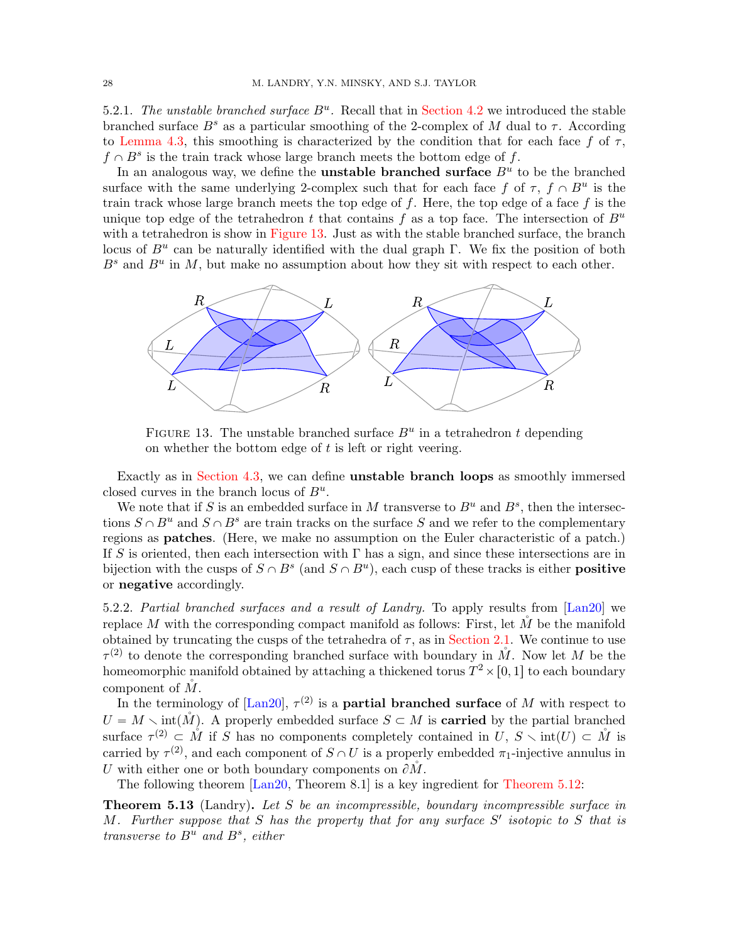5.2.1. The unstable branched surface  $B^u$ . Recall that in [Section 4.2](#page-13-1) we introduced the stable branched surface  $B^s$  as a particular smoothing of the 2-complex of M dual to  $\tau$ . According to [Lemma 4.3,](#page-13-2) this smoothing is characterized by the condition that for each face f of  $\tau$ ,  $f \cap B^s$  is the train track whose large branch meets the bottom edge of f.

In an analogous way, we define the **unstable branched surface**  $B^u$  to be the branched surface with the same underlying 2-complex such that for each face f of  $\tau$ ,  $f \cap B^u$  is the train track whose large branch meets the top edge of  $f$ . Here, the top edge of a face  $f$  is the unique top edge of the tetrahedron t that contains f as a top face. The intersection of  $B^u$ with a tetrahedron is show in [Figure 13.](#page-27-0) Just as with the stable branched surface, the branch locus of  $B^u$  can be naturally identified with the dual graph Γ. We fix the position of both  $B<sup>s</sup>$  and  $B<sup>u</sup>$  in M, but make no assumption about how they sit with respect to each other.



<span id="page-27-0"></span>FIGURE 13. The unstable branched surface  $B^u$  in a tetrahedron t depending on whether the bottom edge of  $t$  is left or right veering.

Exactly as in [Section 4.3,](#page-14-0) we can define unstable branch loops as smoothly immersed closed curves in the branch locus of  $B^u$ .

We note that if S is an embedded surface in M transverse to  $B^u$  and  $B^s$ , then the intersections  $S \cap B^u$  and  $S \cap B^s$  are train tracks on the surface S and we refer to the complementary regions as patches. (Here, we make no assumption on the Euler characteristic of a patch.) If S is oriented, then each intersection with  $\Gamma$  has a sign, and since these intersections are in bijection with the cusps of  $S \cap B^s$  (and  $S \cap B^u$ ), each cusp of these tracks is either **positive** or negative accordingly.

5.2.2. Partial branched surfaces and a result of Landry. To apply results from [\[Lan20\]](#page-48-16) we replace M with the corresponding compact manifold as follows: First, let  $M$  be the manifold obtained by truncating the cusps of the tetrahedra of  $\tau$ , as in [Section 2.1.](#page-4-1) We continue to use  $\tau^{(2)}$  to denote the corresponding branched surface with boundary in  $\mathring{M}$ . Now let M be the homeomorphic manifold obtained by attaching a thickened torus  $T^2 \times [0, 1]$  to each boundary component of  $\check{M}$ .

In the terminology of  $\text{[Lan20]}$ ,  $\tau^{(2)}$  is a **partial branched surface** of M with respect to  $U = M \setminus \text{int}(\mathring{M})$ . A properly embedded surface  $S \subset M$  is **carried** by the partial branched surface  $\tau^{(2)} \subset \mathring{M}$  if S has no components completely contained in  $U, S \setminus \text{int}(U) \subset \mathring{M}$  is carried by  $\tau^{(2)}$ , and each component of  $S \cap U$  is a properly embedded  $\pi_1$ -injective annulus in U with either one or both boundary components on  $\partial M$ .

The following theorem [\[Lan20,](#page-48-16) Theorem 8.1] is a key ingredient for [Theorem 5.12:](#page-26-1)

<span id="page-27-1"></span>Theorem 5.13 (Landry). Let S be an incompressible, boundary incompressible surface in M. Further suppose that  $S$  has the property that for any surface  $S'$  isotopic to  $S$  that is transverse to  $B^u$  and  $B^s$ , either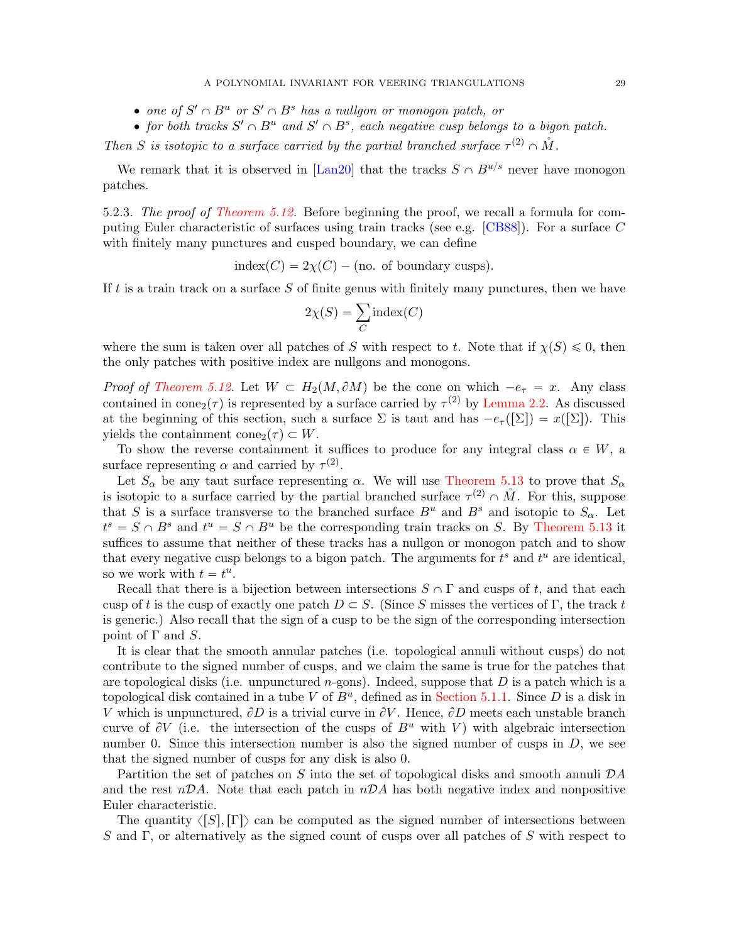- one of  $S' \cap B^u$  or  $S' \cap B^s$  has a nullgon or monogon patch, or
- for both tracks  $S' \cap B^u$  and  $S' \cap B^s$ , each negative cusp belongs to a bigon patch.

Then S is isotopic to a surface carried by the partial branched surface  $\tau^{(2)} \cap \mathring{M}$ .

We remark that it is observed in [\[Lan20\]](#page-48-16) that the tracks  $S \cap B^{u/s}$  never have monogon patches.

5.2.3. The proof of [Theorem 5.12.](#page-26-1) Before beginning the proof, we recall a formula for computing Euler characteristic of surfaces using train tracks (see e.g. [\[CB88\]](#page-48-27)). For a surface C with finitely many punctures and cusped boundary, we can define

$$
index(C) = 2\chi(C) - (no. of boundary cusps).
$$

If  $t$  is a train track on a surface  $S$  of finite genus with finitely many punctures, then we have

$$
2\chi(S) = \sum_C \text{index}(C)
$$

where the sum is taken over all patches of S with respect to t. Note that if  $\chi(S) \leq 0$ , then the only patches with positive index are nullgons and monogons.

*Proof of [Theorem 5.12.](#page-26-1)* Let  $W \subset H_2(M, \partial M)$  be the cone on which  $-e_\tau = x$ . Any class contained in cone<sub>2</sub>( $\tau$ ) is represented by a surface carried by  $\tau^{(2)}$  by [Lemma 2.2.](#page-7-1) As discussed at the beginning of this section, such a surface  $\Sigma$  is taut and has  $-e_{\tau}([\Sigma]) = x([\Sigma])$ . This yields the containment cone<sub>2</sub> $(\tau) \subset W$ .

To show the reverse containment it suffices to produce for any integral class  $\alpha \in W$ , a surface representing  $\alpha$  and carried by  $\tau^{(2)}$ .

Let  $S_\alpha$  be any taut surface representing  $\alpha$ . We will use [Theorem 5.13](#page-27-1) to prove that  $S_\alpha$ is isotopic to a surface carried by the partial branched surface  $\tau^{(2)} \cap M$ . For this, suppose that S is a surface transverse to the branched surface  $B^u$  and  $B^s$  and isotopic to  $S_{\alpha}$ . Let  $t^s = S \cap B^s$  and  $t^u = S \cap B^u$  be the corresponding train tracks on S. By [Theorem 5.13](#page-27-1) it suffices to assume that neither of these tracks has a nullgon or monogon patch and to show that every negative cusp belongs to a bigon patch. The arguments for  $t^s$  and  $t^u$  are identical, so we work with  $t = t^u$ .

Recall that there is a bijection between intersections  $S \cap \Gamma$  and cusps of t, and that each cusp of t is the cusp of exactly one patch  $D \subset S$ . (Since S misses the vertices of Γ, the track t is generic.) Also recall that the sign of a cusp to be the sign of the corresponding intersection point of  $\Gamma$  and  $S$ .

It is clear that the smooth annular patches (i.e. topological annuli without cusps) do not contribute to the signed number of cusps, and we claim the same is true for the patches that are topological disks (i.e. unpunctured *n*-gons). Indeed, suppose that  $D$  is a patch which is a topological disk contained in a tube V of  $B^u$ , defined as in [Section 5.1.1.](#page-17-3) Since D is a disk in V which is unpunctured,  $\partial D$  is a trivial curve in  $\partial V$ . Hence,  $\partial D$  meets each unstable branch curve of  $\partial V$  (i.e. the intersection of the cusps of  $B^u$  with V) with algebraic intersection number 0. Since this intersection number is also the signed number of cusps in  $D$ , we see that the signed number of cusps for any disk is also 0.

Partition the set of patches on S into the set of topological disks and smooth annuli  $\mathcal{D}A$ and the rest  $n\mathcal{D}A$ . Note that each patch in  $n\mathcal{D}A$  has both negative index and nonpositive Euler characteristic.

The quantity  $\langle |S|, |\Gamma| \rangle$  can be computed as the signed number of intersections between S and Γ, or alternatively as the signed count of cusps over all patches of S with respect to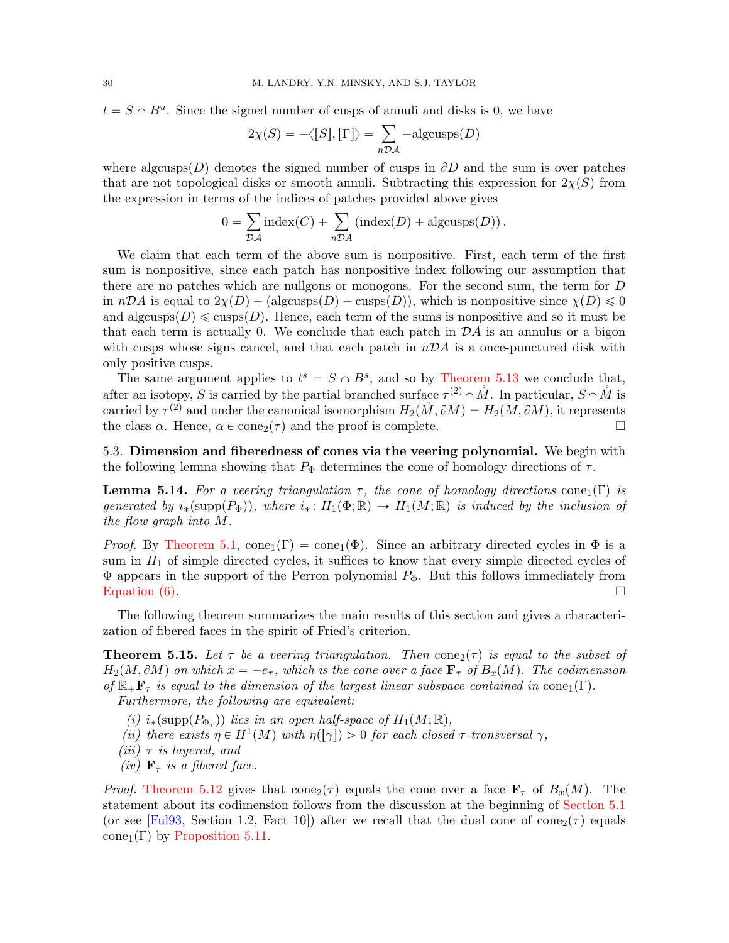$t = S \cap B^u$ . Since the signed number of cusps of annuli and disks is 0, we have<br> $2\chi(S) = -\langle [S], [\Gamma] \rangle = \sum_i -algcusps(D)$ 

$$
2\chi(S) = -\langle [S], [\Gamma] \rangle = \sum_{n \mathcal{D} \mathcal{A}} -algcusps(D)
$$

where algcusps(D) denotes the signed number of cusps in  $\partial D$  and the sum is over patches that are not topological disks or smooth annuli. Subtracting this expression for  $2\chi(S)$  from

the expression in terms of the indices of patches provided above gives  
\n
$$
0 = \sum_{\mathcal{D}A} \text{index}(C) + \sum_{n \mathcal{D}A} (\text{index}(D) + \text{algcusps}(D)).
$$

We claim that each term of the above sum is nonpositive. First, each term of the first sum is nonpositive, since each patch has nonpositive index following our assumption that there are no patches which are nullgons or monogons. For the second sum, the term for D in  $nDA$  is equal to  $2\chi(D) + (\text{algcusps}(D) - \text{cusps}(D))$ , which is nonpositive since  $\chi(D) \leq 0$ and algcusps $(D) \leq \text{cusps}(D)$ . Hence, each term of the sums is nonpositive and so it must be that each term is actually 0. We conclude that each patch in  $\mathcal{D}A$  is an annulus or a bigon with cusps whose signs cancel, and that each patch in  $nDA$  is a once-punctured disk with only positive cusps.

The same argument applies to  $t^s = S \cap B^s$ , and so by [Theorem 5.13](#page-27-1) we conclude that, after an isotopy, S is carried by the partial branched surface  $\tau^{(2)} \cap M$ . In particular,  $S \cap M$  is carried by  $\tau^{(2)}$  and under the canonical isomorphism  $H_2(M, \partial M) = H_2(M, \partial M)$ , it represents the class  $\alpha$ . Hence,  $\alpha \in \text{cone}_2(\tau)$  and the proof is complete.

<span id="page-29-2"></span>5.3. Dimension and fiberedness of cones via the veering polynomial. We begin with the following lemma showing that  $P_{\Phi}$  determines the cone of homology directions of  $\tau$ .

<span id="page-29-0"></span>**Lemma 5.14.** For a veering triangulation  $\tau$ , the cone of homology directions cone<sub>1</sub>(Γ) is generated by  $i_*(\text{supp}(P_\Phi))$ , where  $i_* : H_1(\Phi; \mathbb{R}) \to H_1(M; \mathbb{R})$  is induced by the inclusion of the flow graph into M.

*Proof.* By [Theorem 5.1,](#page-17-2)  $cone_1(\Gamma) = cone_1(\Phi)$ . Since an arbitrary directed cycles in  $\Phi$  is a sum in  $H_1$  of simple directed cycles, it suffices to know that every simple directed cycles of  $\Phi$  appears in the support of the Perron polynomial  $P_{\Phi}$ . But this follows immediately from Equation  $(6)$ .

The following theorem summarizes the main results of this section and gives a characterization of fibered faces in the spirit of Fried's criterion.

<span id="page-29-1"></span>**Theorem 5.15.** Let  $\tau$  be a veering triangulation. Then cone  $(\tau)$  is equal to the subset of  $H_2(M, \partial M)$  on which  $x = -e_{\tau}$ , which is the cone over a face  $\mathbf{F}_{\tau}$  of  $B_x(M)$ . The codimension of  $\mathbb{R}_+\mathbf{F}_\tau$  is equal to the dimension of the largest linear subspace contained in cone<sub>1</sub>(Γ). Furthermore, the following are equivalent:

- (i)  $i_*(\text{supp}(P_{\Phi_{\tau}}))$  lies in an open half-space of  $H_1(M;\mathbb{R}),$
- (ii) there exists  $\eta \in H^1(M)$  with  $\eta([\gamma]) > 0$  for each closed  $\tau$ -transversal  $\gamma$ ,
- (*iii*)  $\tau$  *is layered, and*
- (iv)  $\mathbf{F}_{\tau}$  is a fibered face.

*Proof.* [Theorem 5.12](#page-26-1) gives that cone<sub>2</sub>( $\tau$ ) equals the cone over a face  $\mathbf{F}_{\tau}$  of  $B_x(M)$ . The statement about its codimension follows from the discussion at the beginning of [Section 5.1](#page-17-1) (or see [\[Ful93,](#page-48-23) Section 1.2, Fact 10]) after we recall that the dual cone of cone  $\sigma(\tau)$  equals cone<sub>1</sub>(Γ) by [Proposition 5.11.](#page-25-2)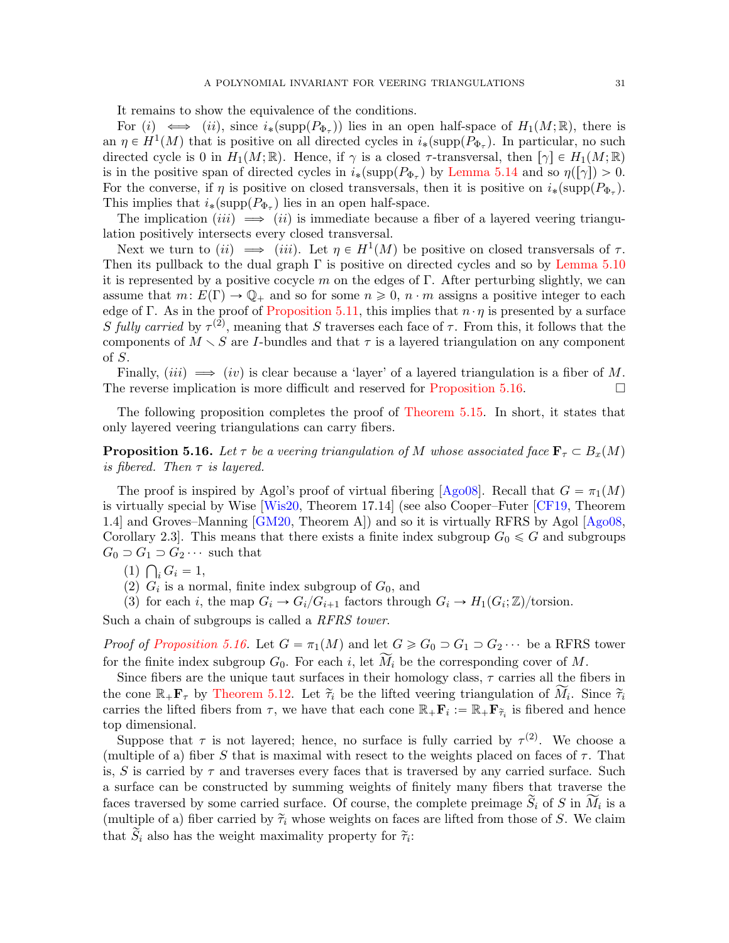It remains to show the equivalence of the conditions.

For  $(i) \iff (ii)$ , since  $i_*(\text{supp}(P_{\Phi_{\tau}}))$  lies in an open half-space of  $H_1(M;\mathbb{R})$ , there is an  $\eta \in H^1(M)$  that is positive on all directed cycles in  $i_*(\text{supp}(P_{\Phi_{\tau}}))$ . In particular, no such directed cycle is 0 in  $H_1(M; \mathbb{R})$ . Hence, if  $\gamma$  is a closed  $\tau$ -transversal, then  $[\gamma] \in H_1(M; \mathbb{R})$ is in the positive span of directed cycles in  $i_*(\text{supp}(P_{\Phi_{\tau}}))$  by [Lemma 5.14](#page-29-0) and so  $\eta([\gamma]) > 0$ . For the converse, if  $\eta$  is positive on closed transversals, then it is positive on  $i_*(\text{supp}(P_{\Phi_{\tau}}))$ . This implies that  $i_*(\text{supp}(P_{\Phi_\tau})$  lies in an open half-space.

The implication (*iii*)  $\implies$  (*ii*) is immediate because a fiber of a layered veering triangulation positively intersects every closed transversal.

Next we turn to (ii)  $\implies$  (iii). Let  $\eta \in H^1(M)$  be positive on closed transversals of  $\tau$ . Then its pullback to the dual graph  $\Gamma$  is positive on directed cycles and so by [Lemma 5.10](#page-25-1) it is represented by a positive cocycle m on the edges of  $\Gamma$ . After perturbing slightly, we can assume that  $m: E(\Gamma) \to \mathbb{Q}_+$  and so for some  $n \geq 0$ ,  $n \cdot m$  assigns a positive integer to each edge of Γ. As in the proof of [Proposition 5.11,](#page-25-2) this implies that  $n \cdot \eta$  is presented by a surface S fully carried by  $\tau^{(2)}$ , meaning that S traverses each face of  $\tau$ . From this, it follows that the components of  $M \setminus S$  are I-bundles and that  $\tau$  is a layered triangulation on any component of S.

Finally, (iii)  $\implies$  (iv) is clear because a 'layer' of a layered triangulation is a fiber of M. The reverse implication is more difficult and reserved for [Proposition 5.16.](#page-30-0)  $\Box$ 

The following proposition completes the proof of [Theorem 5.15.](#page-29-1) In short, it states that only layered veering triangulations can carry fibers.

<span id="page-30-0"></span>**Proposition 5.16.** Let  $\tau$  be a veering triangulation of M whose associated face  $\mathbf{F}_{\tau} \subset B_x(M)$ is fibered. Then  $\tau$  is layered.

The proof is inspired by Agol's proof of virtual fibering [\[Ago08\]](#page-47-10). Recall that  $G = \pi_1(M)$ is virtually special by Wise [\[Wis20,](#page-49-2) Theorem 17.14] (see also Cooper–Futer [\[CF19,](#page-48-28) Theorem 1.4] and Groves–Manning [\[GM20,](#page-48-29) Theorem A]) and so it is virtually RFRS by Agol [\[Ago08,](#page-47-10) Corollary 2.3. This means that there exists a finite index subgroup  $G_0 \leq G$  and subgroups  $G_0 \supset G_1 \supset G_2 \cdots$  such that

- $(1) \bigcap_i G_i = 1,$
- (2)  $G_i$  is a normal, finite index subgroup of  $G_0$ , and

(3) for each i, the map  $G_i \to G_i/G_{i+1}$  factors through  $G_i \to H_1(G_i; \mathbb{Z})$ /torsion.

Such a chain of subgroups is called a RFRS tower.

*Proof of [Proposition 5.16.](#page-30-0)* Let  $G = \pi_1(M)$  and let  $G \ge G_0 \supset G_1 \supset G_2 \cdots$  be a RFRS tower for the finite index subgroup  $G_0$ . For each i, let  $\tilde{M}_i$  be the corresponding cover of M.

Since fibers are the unique taut surfaces in their homology class,  $\tau$  carries all the fibers in the cone  $\mathbb{R}_+$ **F**<sub>τ</sub> by [Theorem 5.12.](#page-26-1) Let  $\tilde{\tau}_i$  be the lifted veering triangulation of  $\widetilde{M}_i$ . Since  $\tilde{\tau}_i$ carries the lifted fibers from  $\tau$ , we have that each cone  $\mathbb{R}_+$ **F**<sub>i</sub> :=  $\mathbb{R}_+$ **F**<sub> $\tilde{\tau}_i$  is fibered and hence</sub> top dimensional.

<span id="page-30-1"></span>Suppose that  $\tau$  is not layered; hence, no surface is fully carried by  $\tau^{(2)}$ . We choose a (multiple of a) fiber S that is maximal with resect to the weights placed on faces of  $\tau$ . That is, S is carried by  $\tau$  and traverses every faces that is traversed by any carried surface. Such a surface can be constructed by summing weights of finitely many fibers that traverse the faces traversed by some carried surface. Of course, the complete preimage  $\widetilde{S}_i$  of S in  $\widetilde{M}_i$  is a (multiple of a) fiber carried by  $\tilde{\tau}_i$  whose weights on faces are lifted from those of S. We claim that  $\hat{S}_i$  also has the weight maximality property for  $\tilde{\tau}_i$ :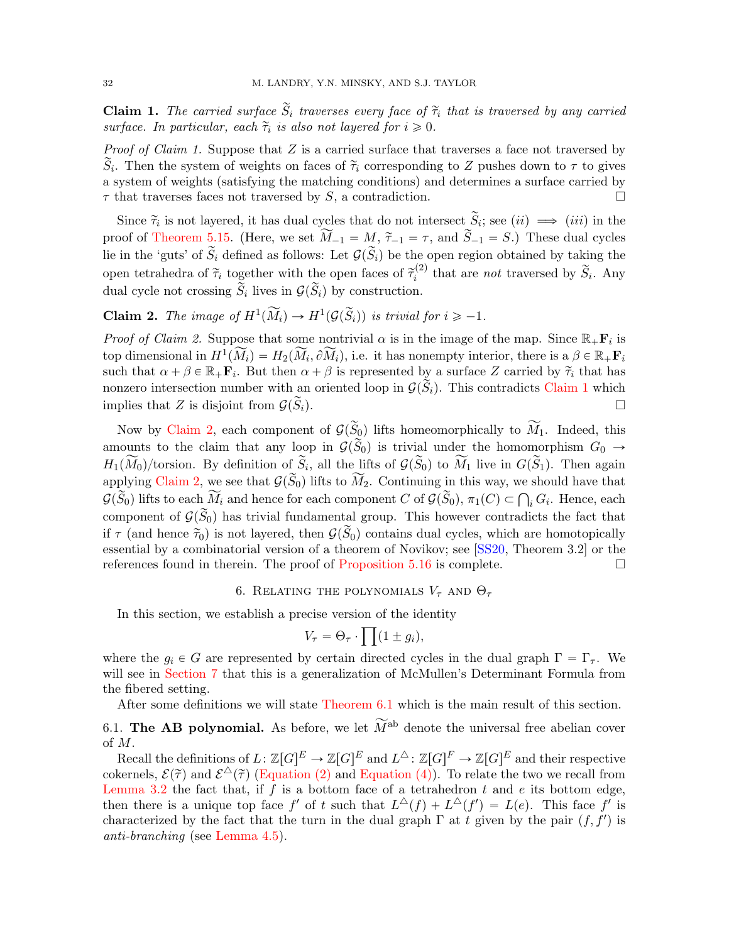**Claim 1.** The carried surface  $\tilde{S}_i$  traverses every face of  $\tilde{\tau}_i$  that is traversed by any carried surface. In particular, each  $\tilde{\tau}_i$  is also not layered for  $i \geq 0$ .

*Proof of Claim 1.* Suppose that  $Z$  is a carried surface that traverses a face not traversed by  $\widetilde{S}_i$ . Then the system of weights on faces of  $\widetilde{\tau}_i$  corresponding to Z pushes down to  $\tau$  to gives a system of weights (satisfying the matching conditions) and determines a surface carried by  $\tau$  that traverses faces not traversed by S, a contradiction.

Since  $\tilde{\tau}_i$  is not layered, it has dual cycles that do not intersect  $\tilde{S}_i$ ; see  $(ii) \implies (iii)$  in the proof of [Theorem 5.15.](#page-29-1) (Here, we set  $\widetilde{M}_{-1} = M$ ,  $\widetilde{\tau}_{-1} = \tau$ , and  $\widetilde{S}_{-1} = S$ .) These dual cycles lie in the 'guts' of  $\widetilde{S}_i$  defined as follows: Let  $\mathcal{G}(\widetilde{S}_i)$  be the open region obtained by taking the open tetrahedra of  $\tilde{\tau}_i$  together with the open faces of  $\tilde{\tau}_i^{(2)}$  $\tilde{s}_i^{(2)}$  that are *not* traversed by  $\tilde{S}_i$ . Any dual cycle not crossing  $\widetilde{S}_i$  lives in  $\mathcal{G}(\widetilde{S}_i)$  by construction.

<span id="page-31-1"></span>**Claim 2.** The image of  $H^1(\widetilde{M}_i) \to H^1(\mathcal{G}(\widetilde{S}_i))$  is trivial for  $i \geq -1$ .

*Proof of Claim 2.* Suppose that some nontrivial  $\alpha$  is in the image of the map. Since  $\mathbb{R}_+$ **F**<sub>i</sub> is top dimensional in  $H^1(\widetilde{M}_i) = H_2(\widetilde{M}_i, \partial \widetilde{M}_i)$ , i.e. it has nonempty interior, there is a  $\beta \in \mathbb{R}_+$ **F**<sub>i</sub> such that  $\alpha + \beta \in \mathbb{R}_+$ **F**<sub>i</sub>. But then  $\alpha + \beta$  is represented by a surface Z carried by  $\tilde{\tau}_i$  that has nonzero intersection number with an oriented loop in  $\mathcal{G}(\widetilde{S}_i)$ . This contradicts [Claim 1](#page-30-1) which implies that Z is disjoint from  $G(\tilde{S}_i)$ .

Now by [Claim 2,](#page-31-1) each component of  $\mathcal{G}(\widetilde{S}_0)$  lifts homeomorphically to  $\widetilde{M}_1$ . Indeed, this amounts to the claim that any loop in  $\mathcal{G}(\widetilde{S}_0)$  is trivial under the homomorphism  $G_0 \rightarrow$  $H_1(\widetilde{M}_0)/\text{torsion}$ . By definition of  $\widetilde{S}_i$ , all the lifts of  $\mathcal{G}(\widetilde{S}_0)$  to  $\widetilde{M}_1$  live in  $G(\widetilde{S}_1)$ . Then again applying [Claim 2,](#page-31-1) we see that  $\mathcal{G}(\widetilde{S}_0)$  lifts to  $\widetilde{M}_2$ . Continuing in this way, we should have that applying Claim 2, we see that  $\mathcal{G}(S_0)$  lifts to  $M_2$ . Continuing in this way, we should have that  $\mathcal{G}(\widetilde{S}_0)$  lifts to each  $\widetilde{M}_i$  and hence for each component  $C$  of  $\mathcal{G}(\widetilde{S}_0)$ ,  $\pi_1(C) \subset \bigcap_i G_i$ . He component of  $\mathcal{G}(\widetilde{S}_0)$  has trivial fundamental group. This however contradicts the fact that if  $\tau$  (and hence  $\tilde{\tau}_0$ ) is not layered, then  $\mathcal{G}(\tilde{S}_0)$  contains dual cycles, which are homotopically essential by a combinatorial version of a theorem of Novikov; see [\[SS20,](#page-49-3) Theorem 3.2] or the references found in therein. The proof of [Proposition 5.16](#page-30-0) is complete.  $\Box$ 

## 6. RELATING THE POLYNOMIALS  $V_\tau$  and  $\Theta_\tau$

<span id="page-31-0"></span>In this section, we establish a precise version of the identity

$$
V_{\tau} = \Theta_{\tau} \cdot \prod (1 \pm g_i),
$$

where the  $g_i \in G$  are represented by certain directed cycles in the dual graph  $\Gamma = \Gamma_{\tau}$ . We will see in [Section 7](#page-42-0) that this is a generalization of McMullen's Determinant Formula from the fibered setting.

After some definitions we will state [Theorem 6.1](#page-32-0) which is the main result of this section.

6.1. The AB polynomial. As before, we let  $\widetilde{M}^{ab}$  denote the universal free abelian cover of M.

Recall the definitions of  $L \colon \mathbb{Z}[G]^E \to \mathbb{Z}[G]^E$  and  $L^{\Delta} \colon \mathbb{Z}[G]^F \to \mathbb{Z}[G]^E$  and their respective cokernels,  $\mathcal{E}(\tilde{\tau})$  and  $\mathcal{E}^{\Delta}(\tilde{\tau})$  [\(Equation \(2\)](#page-9-2) and [Equation \(4\)\)](#page-10-3). To relate the two we recall from [Lemma 3.2](#page-10-1) the fact that, if  $f$  is a bottom face of a tetrahedron  $t$  and  $e$  its bottom edge, then there is a unique top face f' of t such that  $L^{\Delta}(f) + L^{\Delta}(f') = L(e)$ . This face f' is characterized by the fact that the turn in the dual graph  $\Gamma$  at t given by the pair  $(f, f')$  is anti-branching (see [Lemma 4.5\)](#page-15-0).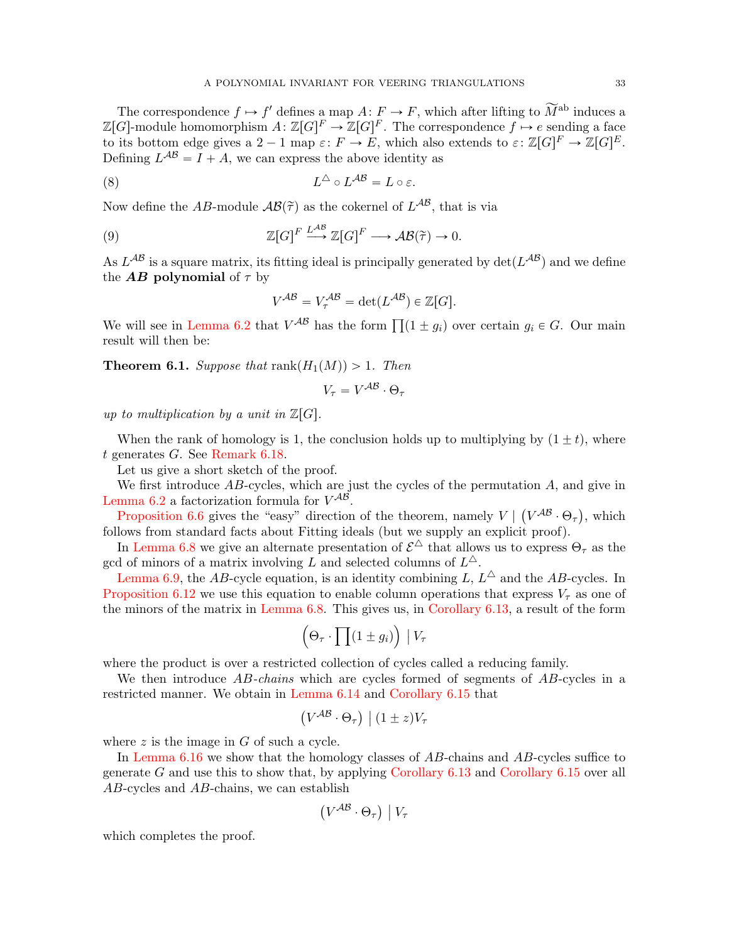The correspondence  $f \mapsto f'$  defines a map  $A: F \to F$ , which after lifting to  $\widetilde{M}^{\text{ab}}$  induces a  $\mathbb{Z}[G]$ -module homomorphism  $A: \mathbb{Z}[G]^F \to \mathbb{Z}[G]^F$ . The correspondence  $f \mapsto e$  sending a face to its bottom edge gives a  $2 - 1$  map  $\varepsilon: F \to E$ , which also extends to  $\varepsilon: \mathbb{Z}[G]^F \to \mathbb{Z}[G]^E$ . Defining  $L^{AB} = I + A$ , we can express the above identity as

(8) 
$$
L^{\triangle} \circ L^{\mathcal{AB}} = L \circ \varepsilon.
$$

Now define the AB-module  $\mathcal{AB}(\tilde{\tau})$  as the cokernel of  $L^{\mathcal{AB}},$  that is via

(9) 
$$
\mathbb{Z}[G]^F \xrightarrow{L^{AB}} \mathbb{Z}[G]^F \longrightarrow \mathcal{AB}(\tilde{\tau}) \to 0.
$$

As  $L^{AB}$  is a square matrix, its fitting ideal is principally generated by  $\det(L^{AB})$  and we define the **AB** polynomial of  $\tau$  by

<span id="page-32-1"></span>
$$
V^{\mathcal{AB}} = V_{\tau}^{\mathcal{AB}} = \det(L^{\mathcal{AB}}) \in \mathbb{Z}[G].
$$

We will see in [Lemma 6.2](#page-33-0) that  $V^{AB}$  has the form  $\prod (1 \pm g_i)$  over certain  $g_i \in G$ . Our main result will then be:

<span id="page-32-0"></span>**Theorem 6.1.** Suppose that  $rank(H_1(M)) > 1$ . Then

$$
V_{\tau} = V^{\mathcal{AB}} \cdot \Theta_{\tau}
$$

up to multiplication by a unit in  $\mathbb{Z}[G]$ .

When the rank of homology is 1, the conclusion holds up to multiplying by  $(1 \pm t)$ , where t generates G. See [Remark 6.18.](#page-42-1)

Let us give a short sketch of the proof.

We first introduce  $AB$ -cycles, which are just the cycles of the permutation  $A$ , and give in [Lemma 6.2](#page-33-0) a factorization formula for  $V^{AB}$ .

[Proposition 6.6](#page-35-0) gives the "easy" direction of the theorem, namely  $V |$  $V^{\cal AB} \cdot \Theta_{\tau}$ , which follows from standard facts about Fitting ideals (but we supply an explicit proof).

In [Lemma 6.8](#page-35-1) we give an alternate presentation of  $\mathcal{E}^{\triangle}$  that allows us to express  $\Theta_{\tau}$  as the gcd of minors of a matrix involving L and selected columns of  $L^{\Delta}$ .

[Lemma 6.9,](#page-35-2) the AB-cycle equation, is an identity combining L,  $L^{\triangle}$  and the AB-cycles. In [Proposition 6.12](#page-36-0) we use this equation to enable column operations that express  $V_\tau$  as one of the minors of the matrix in [Lemma 6.8.](#page-35-1) This gives us, in [Corollary 6.13,](#page-37-0) a result of the form

$$
\left(\Theta_{\tau} \cdot \prod(1 \pm g_i)\right) | V_{\tau}
$$

where the product is over a restricted collection of cycles called a reducing family.

We then introduce AB-chains which are cycles formed of segments of AB-cycles in a restricted manner. We obtain in [Lemma 6.14](#page-38-0) and [Corollary 6.15](#page-39-0) that ` ˘ ˇ

$$
(V^{\mathcal{AB}} \cdot \Theta_{\tau}) \mid (1 \pm z) V_{\tau}
$$

where  $z$  is the image in  $G$  of such a cycle.

In [Lemma 6.16](#page-40-0) we show that the homology classes of AB-chains and AB-cycles suffice to generate G and use this to show that, by applying Corollary  $6.13$  and Corollary  $6.15$  over all AB-cycles and AB-chains, we can establish

$$
(V^{\mathcal{AB}}\cdot \Theta_\tau)\bigm|V_\tau
$$

which completes the proof.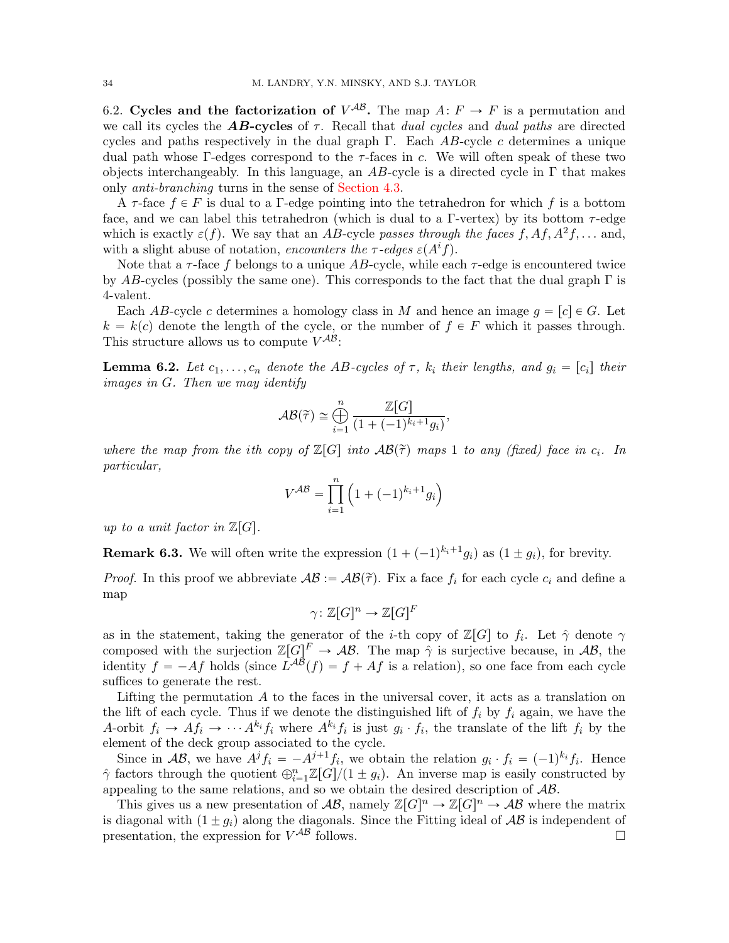6.2. Cycles and the factorization of  $V^{AB}$ . The map  $A: F \to F$  is a permutation and we call its cycles the **AB-cycles** of  $\tau$ . Recall that *dual cycles* and *dual paths* are directed cycles and paths respectively in the dual graph  $\Gamma$ . Each AB-cycle c determines a unique dual path whose Γ-edges correspond to the  $\tau$ -faces in c. We will often speak of these two objects interchangeably. In this language, an AB-cycle is a directed cycle in  $\Gamma$  that makes only anti-branching turns in the sense of [Section 4.3.](#page-14-0)

A  $\tau$ -face  $f \in F$  is dual to a  $\Gamma$ -edge pointing into the tetrahedron for which f is a bottom face, and we can label this tetrahedron (which is dual to a  $\Gamma$ -vertex) by its bottom  $\tau$ -edge which is exactly  $\varepsilon(f)$ . We say that an AB-cycle passes through the faces f, Af,  $A^2f, \ldots$  and, with a slight abuse of notation, encounters the  $\tau$ -edges  $\varepsilon(A^if)$ .

Note that a  $\tau$ -face f belongs to a unique AB-cycle, while each  $\tau$ -edge is encountered twice by AB-cycles (possibly the same one). This corresponds to the fact that the dual graph  $\Gamma$  is 4-valent.

Each AB-cycle c determines a homology class in M and hence an image  $g = [c] \in G$ . Let  $k = k(c)$  denote the length of the cycle, or the number of  $f \in F$  which it passes through. This structure allows us to compute  $V^{AB}$ :

<span id="page-33-0"></span>**Lemma 6.2.** Let  $c_1, \ldots, c_n$  denote the AB-cycles of  $\tau$ ,  $k_i$  their lengths, and  $g_i = [c_i]$  their images in G. Then we may identify

$$
\mathcal{AB}(\widetilde{\tau}) \cong \bigoplus_{i=1}^n \frac{\mathbb{Z}[G]}{(1 + (-1)^{k_i+1}g_i)},
$$

where the map from the ith copy of  $\mathbb{Z}[G]$  into  $\mathcal{AB}(\tilde{\tau})$  maps 1 to any (fixed) face in  $c_i$ . In particular,

$$
V^{\mathcal{AB}} = \prod_{i=1}^{n} \left( 1 + (-1)^{k_i+1} g_i \right)
$$

up to a unit factor in  $\mathbb{Z}[G].$ 

**Remark 6.3.** We will often write the expression  $(1 + (-1)^{k_i+1}g_i)$  as  $(1 \pm g_i)$ , for brevity.

*Proof.* In this proof we abbreviate  $AB := AB(\tilde{\tau})$ . Fix a face  $f_i$  for each cycle  $c_i$  and define a map

$$
\gamma\colon \mathbb{Z}[G]^n \to \mathbb{Z}[G]^F
$$

as in the statement, taking the generator of the *i*-th copy of  $\mathbb{Z}[G]$  to  $f_i$ . Let  $\hat{\gamma}$  denote  $\gamma$ composed with the surjection  $\mathbb{Z}[G]^F \to \mathcal{AB}$ . The map  $\hat{\gamma}$  is surjective because, in  $\mathcal{AB}$ , the identity  $f = -Af$  holds (since  $\overline{L^{AB}}(f) = f + Af$  is a relation), so one face from each cycle suffices to generate the rest.

Lifting the permutation  $A$  to the faces in the universal cover, it acts as a translation on the lift of each cycle. Thus if we denote the distinguished lift of  $f_i$  by  $f_i$  again, we have the A-orbit  $f_i \to Af_i \to \cdots A^{k_i} f_i$  where  $A^{k_i} f_i$  is just  $g_i \cdot f_i$ , the translate of the lift  $f_i$  by the element of the deck group associated to the cycle.

Since in AB, we have  $A^{j}f_{i} = -A^{j+1}f_{i}$ , we obtain the relation  $g_{i} \cdot f_{i} = (-1)^{k_{i}}f_{i}$ . Hence  $\hat{\gamma}$  factors through the quotient  $\bigoplus_{i=1}^n \mathbb{Z}[G]/(1 \pm g_i)$ . An inverse map is easily constructed by appealing to the same relations, and so we obtain the desired description of  $AB$ .

This gives us a new presentation of  $\mathcal{AB}$ , namely  $\mathbb{Z}[G]^n \to \mathbb{Z}[G]^n \to \mathcal{AB}$  where the matrix is diagonal with  $(1 \pm q_i)$  along the diagonals. Since the Fitting ideal of  $AB$  is independent of presentation, the expression for  $V^{AB}$  follows.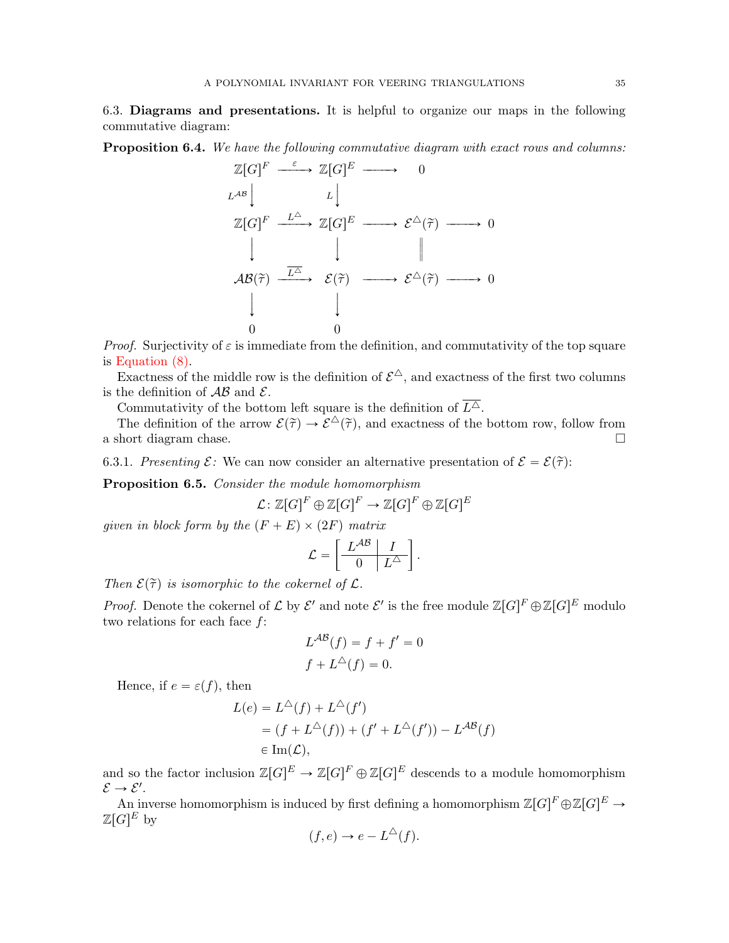6.3. Diagrams and presentations. It is helpful to organize our maps in the following commutative diagram:

<span id="page-34-0"></span>Proposition 6.4. We have the following commutative diagram with exact rows and columns:

$$
\mathbb{Z}[G]^{F} \xrightarrow{\varepsilon} \mathbb{Z}[G]^{E} \longrightarrow 0
$$
\n
$$
L^{AB} \downarrow \downarrow \downarrow
$$
\n
$$
\mathbb{Z}[G]^{F} \xrightarrow{L^{\Delta}} \mathbb{Z}[G]^{E} \longrightarrow \mathcal{E}^{\Delta}(\tilde{\tau}) \longrightarrow 0
$$
\n
$$
\downarrow \qquad \qquad \downarrow \qquad \qquad \parallel
$$
\n
$$
AB(\tilde{\tau}) \xrightarrow{\overline{L^{\Delta}}} \mathcal{E}(\tilde{\tau}) \longrightarrow \mathcal{E}^{\Delta}(\tilde{\tau}) \longrightarrow 0
$$
\n
$$
\downarrow \qquad \qquad \downarrow
$$
\n
$$
0 \qquad 0
$$

*Proof.* Surjectivity of  $\varepsilon$  is immediate from the definition, and commutativity of the top square is [Equation \(8\).](#page-32-1)

Exactness of the middle row is the definition of  $\mathcal{E}^{\triangle}$ , and exactness of the first two columns is the definition of  $AB$  and  $E$ .

Commutativity of the bottom left square is the definition of  $\overline{L^{\Delta}}$ .

The definition of the arrow  $\mathcal{E}(\tilde{\tau}) \to \tilde{\mathcal{E}}^{\triangle}(\tilde{\tau})$ , and exactness of the bottom row, follow from a short diagram chase.

6.3.1. Presenting  $\mathcal{E}$ : We can now consider an alternative presentation of  $\mathcal{E} = \mathcal{E}(\tilde{\tau})$ :

Proposition 6.5. Consider the module homomorphism

$$
\mathcal{L} \colon \mathbb{Z}[G]^F \oplus \mathbb{Z}[G]^F \to \mathbb{Z}[G]^F \oplus \mathbb{Z}[G]^E
$$

given in block form by the  $(F + E) \times (2F)$  matrix

$$
\mathcal{L} = \left[ \begin{array}{c|c} L^{AB} & I \\ \hline 0 & L^{\triangle} \end{array} \right].
$$

Then  $\mathcal{E}(\tilde{\tau})$  is isomorphic to the cokernel of  $\mathcal{L}$ .

*Proof.* Denote the cokernel of  $\mathcal L$  by  $\mathcal E'$  and note  $\mathcal E'$  is the free module  $\mathbb Z[G]^F\oplus\mathbb Z[G]^E$  modulo two relations for each face  $f$ :

$$
L^{AB}(f) = f + f' = 0
$$
  

$$
f + L^{\triangle}(f) = 0.
$$

Hence, if  $e = \varepsilon(f)$ , then

$$
L(e) = L^{\Delta}(f) + L^{\Delta}(f')
$$
  
=  $(f + L^{\Delta}(f)) + (f' + L^{\Delta}(f')) - L^{AB}(f)$   
 $\in \text{Im}(\mathcal{L}),$ 

and so the factor inclusion  $\mathbb{Z}[G]^E \to \mathbb{Z}[G]^F \oplus \mathbb{Z}[G]^E$  descends to a module homomorphism  $\mathcal{E} \rightarrow \mathcal{E}'$ .

An inverse homomorphism is induced by first defining a homomorphism  $\mathbb{Z}[G]^F \oplus \mathbb{Z}[G]^E \to$  $\mathbb{Z}[G]^E$  by

$$
(f, e) \to e - L^{\triangle}(f).
$$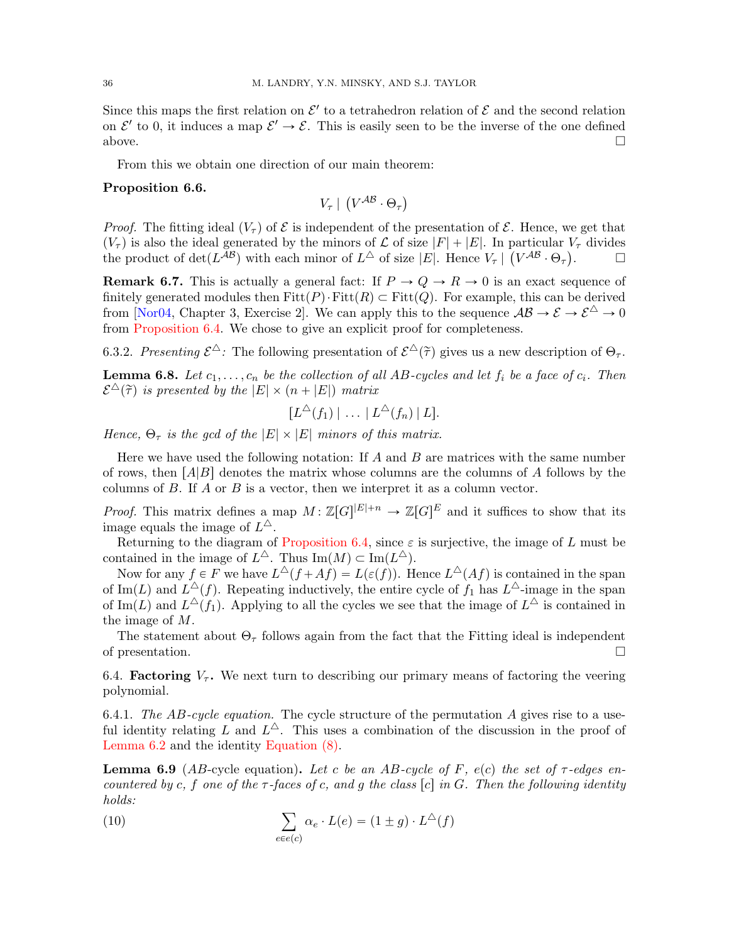Since this maps the first relation on  $\mathcal{E}'$  to a tetrahedron relation of  $\mathcal E$  and the second relation on  $\mathcal{E}'$  to 0, it induces a map  $\mathcal{E}' \to \mathcal{E}$ . This is easily seen to be the inverse of the one defined above.  $\Box$ 

From this we obtain one direction of our main theorem:

### <span id="page-35-0"></span>Proposition 6.6.

$$
V_{\tau} \mid (V^{\mathcal{AB}} \cdot \Theta_{\tau})
$$

*Proof.* The fitting ideal  $(V_\tau)$  of  $\mathcal E$  is independent of the presentation of  $\mathcal E$ . Hence, we get that  $(V_{\tau})$  is also the ideal generated by the minors of  $\mathcal L$  of size  $|F| + |E|$ . In particular  $V_{\tau}$  divides the product of  $\det(L^{AB})$  with each minor of  $L^{\Delta}$  of size |E|. Hence  $V_{\tau}$ |  $(V^{AB} \cdot \Theta_{\tau})$ .

**Remark 6.7.** This is actually a general fact: If  $P \to Q \to R \to 0$  is an exact sequence of finitely generated modules then  $Fitt(P)\cdot Fitt(R) \subset Fitt(Q)$ . For example, this can be derived from [\[Nor04,](#page-48-20) Chapter 3, Exercise 2]. We can apply this to the sequence  $AB \to \mathcal{E} \to \mathcal{E}^{\triangle} \to 0$ from [Proposition 6.4.](#page-34-0) We chose to give an explicit proof for completeness.

6.3.2. Presenting  $\mathcal{E}^{\Delta}$ : The following presentation of  $\mathcal{E}^{\Delta}(\tilde{\tau})$  gives us a new description of  $\Theta_{\tau}$ .

<span id="page-35-1"></span>**Lemma 6.8.** Let  $c_1, \ldots, c_n$  be the collection of all AB-cycles and let  $f_i$  be a face of  $c_i$ . Then  $\mathcal{E}^{\Delta}(\tilde{\tau})$  is presented by the  $|E| \times (n + |E|)$  matrix

 $[L^{\triangle}(f_1) | \ldots | L^{\triangle}(f_n) | L].$ 

Hence,  $\Theta_{\tau}$  is the gcd of the  $|E| \times |E|$  minors of this matrix.

Here we have used the following notation: If  $A$  and  $B$  are matrices with the same number of rows, then  $[A|B]$  denotes the matrix whose columns are the columns of A follows by the columns of B. If A or B is a vector, then we interpret it as a column vector.

*Proof.* This matrix defines a map  $M: \mathbb{Z}[G]^{|E|+n} \to \mathbb{Z}[G]^E$  and it suffices to show that its image equals the image of  $L^{\Delta}$ .

Returning to the diagram of [Proposition 6.4,](#page-34-0) since  $\varepsilon$  is surjective, the image of L must be contained in the image of  $L^{\Delta}$ . Thus  $\text{Im}(M) \subset \text{Im}(L^{\Delta})$ .

Now for any  $f \in F$  we have  $L^{\Delta}(f + Af) = L(\varepsilon(f))$ . Hence  $L^{\Delta}(Af)$  is contained in the span of Im(L) and  $L^{\Delta}(f)$ . Repeating inductively, the entire cycle of  $f_1$  has  $L^{\Delta}$ -image in the span of Im(L) and  $L^{\Delta}(f_1)$ . Applying to all the cycles we see that the image of  $L^{\Delta}$  is contained in the image of M.

The statement about  $\Theta_{\tau}$  follows again from the fact that the Fitting ideal is independent of presentation.

6.4. **Factoring**  $V_{\tau}$ . We next turn to describing our primary means of factoring the veering polynomial.

6.4.1. The AB-cycle equation. The cycle structure of the permutation A gives rise to a useful identity relating L and  $L^{\Delta}$ . This uses a combination of the discussion in the proof of [Lemma 6.2](#page-33-0) and the identity [Equation \(8\).](#page-32-1)

<span id="page-35-2"></span>**Lemma 6.9** (AB-cycle equation). Let c be an AB-cycle of F, e(c) the set of  $\tau$ -edges encountered by c, f one of the  $\tau$ -faces of c, and g the class [c] in G. Then the following identity holds:

<span id="page-35-3"></span>(10) 
$$
\sum_{e \in e(c)} \alpha_e \cdot L(e) = (1 \pm g) \cdot L^{\triangle}(f)
$$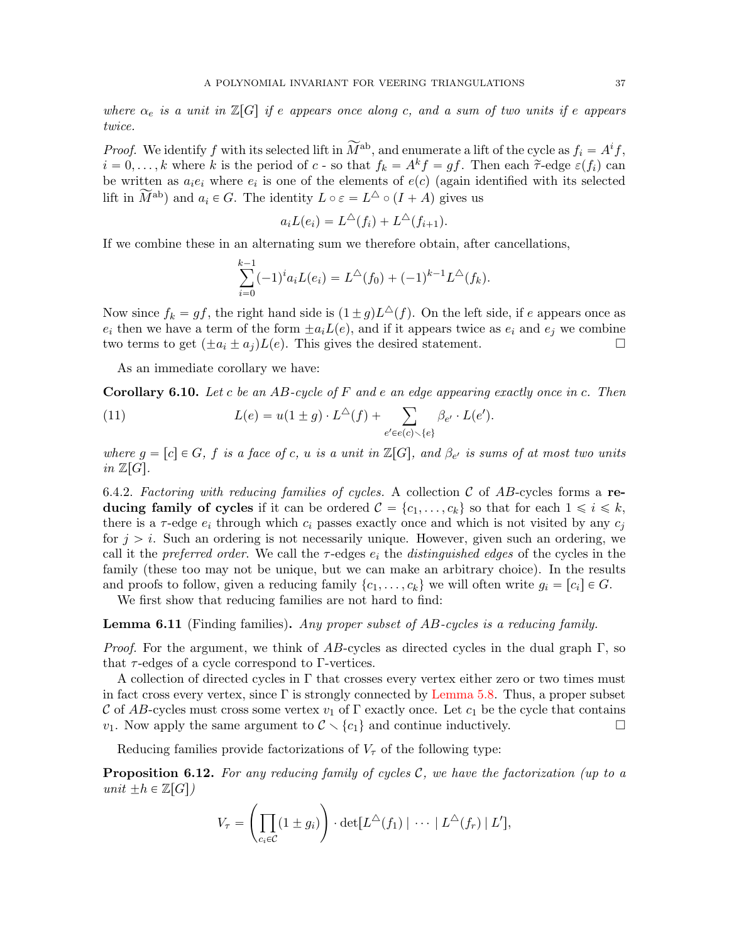where  $\alpha_e$  is a unit in  $\mathbb{Z}[G]$  if e appears once along c, and a sum of two units if e appears twice.

*Proof.* We identify f with its selected lift in  $\widetilde{M}^{ab}$ , and enumerate a lift of the cycle as  $f_i = A^i f$ ,  $i = 0, \ldots, k$  where k is the period of c - so that  $f_k = A^k f = gf$ . Then each  $\tilde{\tau}$ -edge  $\varepsilon(f_i)$  can be written as  $a_i e_i$  where  $e_i$  is one of the elements of  $e(c)$  (again identified with its selected lift in  $\widetilde{M}^{ab}$ ) and  $a_i \in G$ . The identity  $L \circ \varepsilon = L^{\triangle} \circ (I + A)$  gives us

$$
a_i L(e_i) = L^{\triangle}(f_i) + L^{\triangle}(f_{i+1}).
$$

If we combine these in an alternating sum we therefore obtain, after cancellations,

$$
\sum_{i=0}^{k-1} (-1)^{i} a_i L(e_i) = L^{\triangle}(f_0) + (-1)^{k-1} L^{\triangle}(f_k).
$$

Now since  $f_k = gf$ , the right hand side is  $(1 \pm g)L^{\Delta}(f)$ . On the left side, if e appears once as  $e_i$  then we have a term of the form  $\pm a_iL(e)$ , and if it appears twice as  $e_i$  and  $e_j$  we combine two terms to get  $(\pm a_i \pm a_j)L(e)$ . This gives the desired statement.

As an immediate corollary we have:

<span id="page-36-1"></span>**Corollary 6.10.** Let c be an AB-cycle of F and e an edge appearing exactly once in c. Then  
\n(11) 
$$
L(e) = u(1 \pm g) \cdot L^{\Delta}(f) + \sum_{e' \in e(c) \setminus \{e\}} \beta_{e'} \cdot L(e').
$$

where  $g = [c] \in G$ , f is a face of c, u is a unit in  $\mathbb{Z}[G]$ , and  $\beta_{e'}$  is sums of at most two units in  $\mathbb{Z}[G].$ 

6.4.2. Factoring with reducing families of cycles. A collection C of AB-cycles forms a reducing family of cycles if it can be ordered  $\mathcal{C} = \{c_1, \ldots, c_k\}$  so that for each  $1 \leq i \leq k$ , there is a  $\tau$ -edge  $e_i$  through which  $c_i$  passes exactly once and which is not visited by any  $c_j$ for  $j > i$ . Such an ordering is not necessarily unique. However, given such an ordering, we call it the preferred order. We call the  $\tau$ -edges  $e_i$  the distinguished edges of the cycles in the family (these too may not be unique, but we can make an arbitrary choice). In the results and proofs to follow, given a reducing family  $\{c_1, \ldots, c_k\}$  we will often write  $g_i = [c_i] \in G$ .

We first show that reducing families are not hard to find:

<span id="page-36-2"></span>**Lemma 6.11** (Finding families). Any proper subset of AB-cycles is a reducing family.

*Proof.* For the argument, we think of AB-cycles as directed cycles in the dual graph  $\Gamma$ , so that  $\tau$ -edges of a cycle correspond to Γ-vertices.

A collection of directed cycles in  $\Gamma$  that crosses every vertex either zero or two times must in fact cross every vertex, since  $\Gamma$  is strongly connected by [Lemma 5.8.](#page-24-1) Thus, a proper subset C of AB-cycles must cross some vertex  $v_1$  of  $\Gamma$  exactly once. Let  $c_1$  be the cycle that contains  $v_1$ . Now apply the same argument to  $\mathcal{C} \setminus \{c_1\}$  and continue inductively.

Reducing families provide factorizations of  $V_{\tau}$  of the following type:

<span id="page-36-0"></span>**Proposition 6.12.** For any reducing family of cycles  $\mathcal{C}$ , we have the factorization (up to a unit  $\pm h \in \mathbb{Z}[G]$ į,

$$
V_{\tau} = \left(\prod_{c_i \in C} (1 \pm g_i)\right) \cdot \det[L^{\triangle}(f_1) \mid \cdots \mid L^{\triangle}(f_r) \mid L'],
$$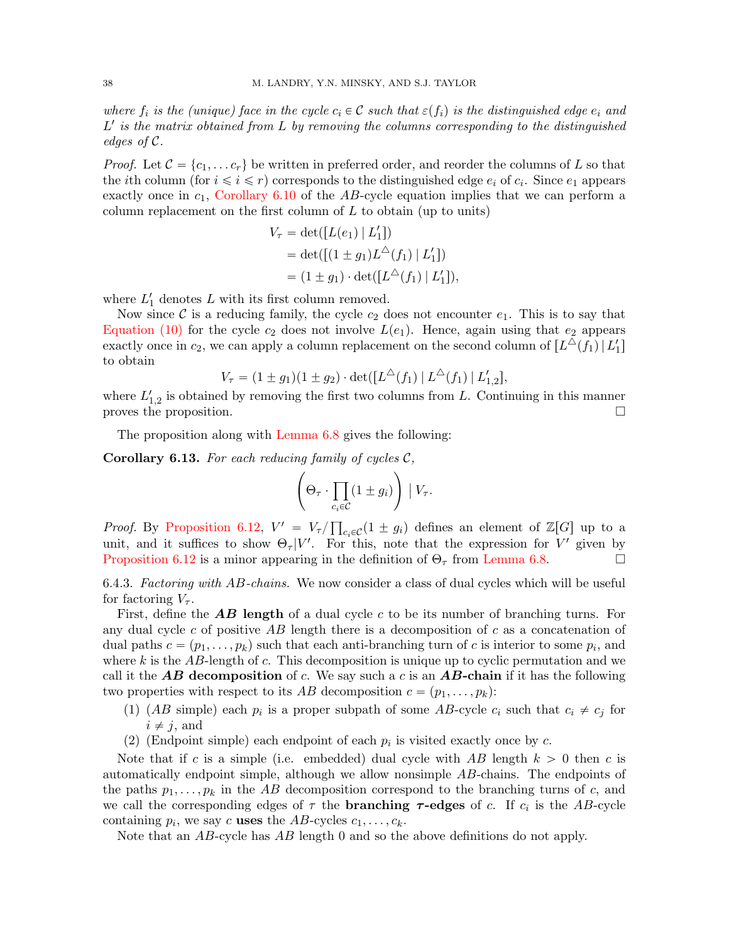where  $f_i$  is the (unique) face in the cycle  $c_i \in \mathcal{C}$  such that  $\varepsilon(f_i)$  is the distinguished edge  $e_i$  and  $L'$  is the matrix obtained from  $L$  by removing the columns corresponding to the distinguished edges of C.

*Proof.* Let  $C = \{c_1, \ldots c_r\}$  be written in preferred order, and reorder the columns of L so that the *i*th column (for  $i \leq i \leq r$ ) corresponds to the distinguished edge  $e_i$  of  $c_i$ . Since  $e_1$  appears exactly once in  $c_1$ , [Corollary 6.10](#page-36-1) of the AB-cycle equation implies that we can perform a column replacement on the first column of  $L$  to obtain (up to units)

$$
V_{\tau} = \det([L(e_1) | L'_1])
$$
  
= det([1 \pm g\_1)L<sup>^</sup>(f\_1) | L'\_1])  
= (1 \pm g\_1) \cdot \det([L<sup>^</sup>(f\_1) | L'\_1]),

where  $L'_1$  denotes L with its first column removed.

Now since C is a reducing family, the cycle  $c_2$  does not encounter  $e_1$ . This is to say that [Equation \(10\)](#page-35-3) for the cycle  $c_2$  does not involve  $L(e_1)$ . Hence, again using that  $e_2$  appears exactly once in  $c_2$ , we can apply a column replacement on the second column of  $[L^{\triangle}(f_1) | L'_1]$ to obtain

$$
V_{\tau} = (1 \pm g_1)(1 \pm g_2) \cdot \det([L^{\Delta}(f_1) | L^{\Delta}(f_1) | L'_{1,2}],
$$

where  $L'_{1,2}$  is obtained by removing the first two columns from L. Continuing in this manner proves the proposition.

The proposition along with [Lemma 6.8](#page-35-1) gives the following:

<span id="page-37-0"></span>**Corollary 6.13.** For each reducing family of cycles  $C$ ,

$$
\left(\Theta_{\tau} \cdot \prod_{c_i \in \mathcal{C}} (1 \pm g_i) \right) \mid V_{\tau}.
$$

*Proof.* By [Proposition 6.12,](#page-36-0)  $V' = V_{\tau}$  $c_i \in \mathcal{C}$  (1  $\pm g_i$ ) defines an element of Z[G] up to a unit, and it suffices to show  $\Theta_{\tau}|V'$ . For this, note that the expression for V' given by [Proposition 6.12](#page-36-0) is a minor appearing in the definition of  $\Theta_{\tau}$  from [Lemma 6.8.](#page-35-1)

6.4.3. Factoring with AB-chains. We now consider a class of dual cycles which will be useful for factoring  $V_{\tau}$ .

First, define the  $\overline{AB}$  length of a dual cycle c to be its number of branching turns. For any dual cycle c of positive AB length there is a decomposition of c as a concatenation of dual paths  $c = (p_1, \ldots, p_k)$  such that each anti-branching turn of c is interior to some  $p_i$ , and where  $k$  is the AB-length of  $c$ . This decomposition is unique up to cyclic permutation and we call it the **AB** decomposition of c. We say such a c is an **AB-chain** if it has the following two properties with respect to its AB decomposition  $c = (p_1, \ldots, p_k)$ :

- (1) (AB simple) each  $p_i$  is a proper subpath of some AB-cycle  $c_i$  such that  $c_i \neq c_j$  for  $i \neq j$ , and
- (2) (Endpoint simple) each endpoint of each  $p_i$  is visited exactly once by c.

Note that if c is a simple (i.e. embedded) dual cycle with AB length  $k > 0$  then c is automatically endpoint simple, although we allow nonsimple AB-chains. The endpoints of the paths  $p_1, \ldots, p_k$  in the AB decomposition correspond to the branching turns of c, and we call the corresponding edges of  $\tau$  the **branching**  $\tau$ **-edges** of c. If  $c_i$  is the AB-cycle containing  $p_i$ , we say c uses the AB-cycles  $c_1, \ldots, c_k$ .

Note that an AB-cycle has AB length 0 and so the above definitions do not apply.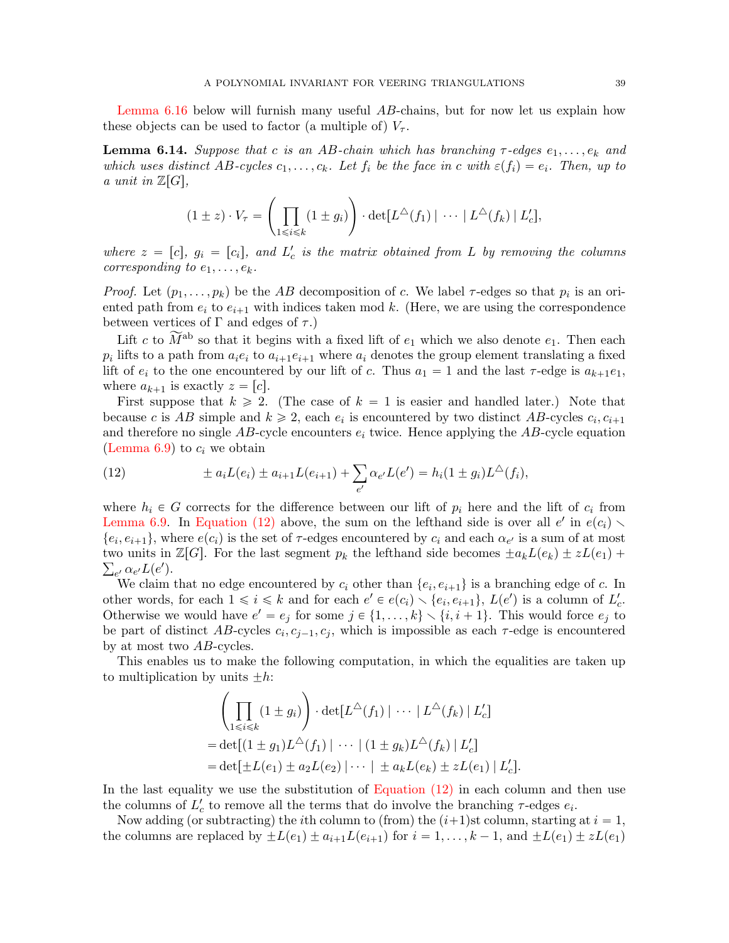[Lemma 6.16](#page-40-0) below will furnish many useful AB-chains, but for now let us explain how these objects can be used to factor (a multiple of)  $V_{\tau}$ .

<span id="page-38-0"></span>**Lemma 6.14.** Suppose that c is an AB-chain which has branching  $\tau$ -edges  $e_1, \ldots, e_k$  and which uses distinct AB-cycles  $c_1, \ldots, c_k$ . Let  $f_i$  be the face in c with  $\varepsilon(f_i) = e_i$ . Then, up to a unit in  $\mathbb{Z}[G],$ 

$$
(1 \pm z) \cdot V_{\tau} = \left(\prod_{1 \leq i \leq k} (1 \pm g_i)\right) \cdot \det[L^{\triangle}(f_1) \mid \cdots \mid L^{\triangle}(f_k) \mid L'_c],
$$

where  $z = [c]$ ,  $g_i = [c_i]$ , and  $L'_c$  is the matrix obtained from L by removing the columns corresponding to  $e_1, \ldots, e_k$ .

*Proof.* Let  $(p_1, \ldots, p_k)$  be the AB decomposition of c. We label  $\tau$ -edges so that  $p_i$  is an oriented path from  $e_i$  to  $e_{i+1}$  with indices taken mod k. (Here, we are using the correspondence between vertices of  $\Gamma$  and edges of  $\tau$ .)

Lift c to  $\widetilde{M}^{ab}$  so that it begins with a fixed lift of  $e_1$  which we also denote  $e_1$ . Then each  $p_i$  lifts to a path from  $a_i e_i$  to  $a_{i+1} e_{i+1}$  where  $a_i$  denotes the group element translating a fixed lift of  $e_i$  to the one encountered by our lift of c. Thus  $a_1 = 1$  and the last  $\tau$ -edge is  $a_{k+1}e_1$ , where  $a_{k+1}$  is exactly  $z = [c]$ .

First suppose that  $k \geq 2$ . (The case of  $k = 1$  is easier and handled later.) Note that because c is AB simple and  $k \geq 2$ , each  $e_i$  is encountered by two distinct AB-cycles  $c_i, c_{i+1}$ and therefore no single  $AB$ -cycle encounters  $e_i$  twice. Hence applying the  $AB$ -cycle equation [\(Lemma 6.9\)](#page-35-2) to  $c_i$  we obtain

<span id="page-38-1"></span>(12) 
$$
\pm a_i L(e_i) \pm a_{i+1} L(e_{i+1}) + \sum_{e'} \alpha_{e'} L(e') = h_i (1 \pm g_i) L^{\triangle}(f_i),
$$

where  $h_i \in G$  corrects for the difference between our lift of  $p_i$  here and the lift of  $c_i$  from [Lemma 6.9.](#page-35-2) In [Equation \(12\)](#page-38-1) above, the sum on the lefthand side is over all  $e'$  in  $e(c_i)$  $\{e_i, e_{i+1}\}\$ , where  $e(c_i)$  is the set of  $\tau$ -edges encountered by  $c_i$  and each  $\alpha_{e'}$  is a sum of at most two units in  $\mathbb{Z}[G]$ . For the last segment  $p_k$  the lefthand side becomes  $\pm a_kL(e_k) \pm zL(e_1) + z$  $_{e'}\alpha_{e'}L(e').$ 

We claim that no edge encountered by  $c_i$  other than  $\{e_i, e_{i+1}\}$  is a branching edge of c. In other words, for each  $1 \leq i \leq k$  and for each  $e' \in e(c_i) \setminus \{e_i, e_{i+1}\}, L(e')$  is a column of  $L'_c$ . Otherwise we would have  $e' = e_j$  for some  $j \in \{1, ..., k\} \setminus \{i, i + 1\}$ . This would force  $e_j$  to be part of distinct  $AB$ -cycles  $c_i, c_{j-1}, c_j$ , which is impossible as each  $\tau$ -edge is encountered by at most two AB-cycles.

This enables us to make the following computation, in which the equalities are taken up to multiplication by units  $\pm h$ :

$$
\left(\prod_{1\leq i\leq k} (1\pm g_i)\right) \cdot \det[L^{\triangle}(f_1) \mid \cdots \mid L^{\triangle}(f_k) \mid L'_c]
$$
  
= det[(1 \pm g\_1)L^{\triangle}(f\_1) \mid \cdots \mid (1 \pm g\_k)L^{\triangle}(f\_k) \mid L'\_c]  
= det[\pm L(e\_1) \pm a\_2L(e\_2) \mid \cdots \mid \pm a\_kL(e\_k) \pm zL(e\_1) \mid L'\_c].

In the last equality we use the substitution of [Equation \(12\)](#page-38-1) in each column and then use the columns of  $L'_{c}$  to remove all the terms that do involve the branching  $\tau$ -edges  $e_i$ .

Now adding (or subtracting) the *i*th column to (from) the  $(i+1)$ st column, starting at  $i = 1$ , the columns are replaced by  $\pm L(e_1)\pm a_{i+1}L(e_{i+1})$  for  $i = 1, \ldots, k - 1$ , and  $\pm L(e_1)\pm zL(e_1)$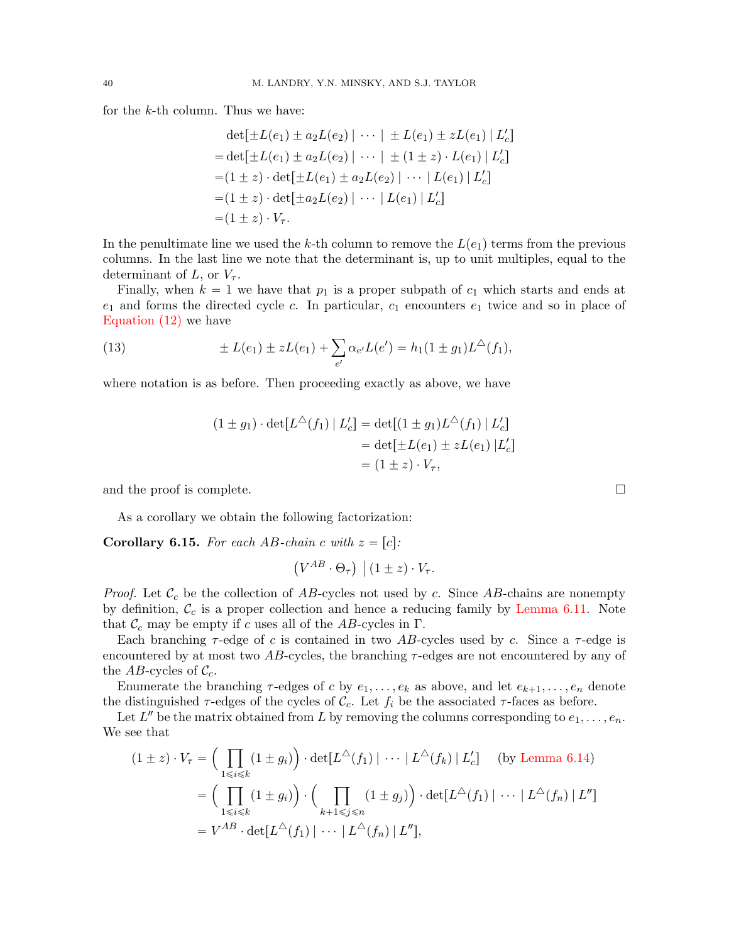for the k-th column. Thus we have:

$$
\det[\pm L(e_1) \pm a_2 L(e_2) | \cdots | \pm L(e_1) \pm zL(e_1) | L'_c]
$$
  
= 
$$
\det[\pm L(e_1) \pm a_2 L(e_2) | \cdots | \pm (1 \pm z) \cdot L(e_1) | L'_c]
$$
  
= 
$$
(1 \pm z) \cdot \det[\pm L(e_1) \pm a_2 L(e_2) | \cdots | L(e_1) | L'_c]
$$
  
= 
$$
(1 \pm z) \cdot \det[\pm a_2 L(e_2) | \cdots | L(e_1) | L'_c]
$$
  
= 
$$
(1 \pm z) \cdot V_\tau.
$$

In the penultimate line we used the k-th column to remove the  $L(e_1)$  terms from the previous columns. In the last line we note that the determinant is, up to unit multiples, equal to the determinant of L, or  $V_{\tau}$ .

Finally, when  $k = 1$  we have that  $p_1$  is a proper subpath of  $c_1$  which starts and ends at  $e_1$  and forms the directed cycle c. In particular,  $c_1$  encounters  $e_1$  twice and so in place of [Equation \(12\)](#page-38-1) we have

(13) 
$$
\pm L(e_1) \pm zL(e_1) + \sum_{e'} \alpha_{e'} L(e') = h_1(1 \pm g_1)L^{\Delta}(f_1),
$$

where notation is as before. Then proceeding exactly as above, we have

$$
(1 \pm g_1) \cdot \det[L^{\triangle}(f_1) | L'_c] = \det[(1 \pm g_1)L^{\triangle}(f_1) | L'_c]
$$
  
=  $\det[\pm L(e_1) \pm zL(e_1) | L'_c]$   
=  $(1 \pm z) \cdot V_\tau$ ,

and the proof is complete.  $\Box$ 

As a corollary we obtain the following factorization:

<span id="page-39-0"></span>**Corollary 6.15.** For each AB-chain c with  $z = [c]$ :

$$
(V^{AB} \cdot \Theta_{\tau}) \mid (1 \pm z) \cdot V_{\tau}.
$$

*Proof.* Let  $\mathcal{C}_c$  be the collection of AB-cycles not used by c. Since AB-chains are nonempty by definition,  $\mathcal{C}_c$  is a proper collection and hence a reducing family by [Lemma 6.11.](#page-36-2) Note that  $\mathcal{C}_c$  may be empty if c uses all of the AB-cycles in Γ.

Each branching  $\tau$ -edge of c is contained in two AB-cycles used by c. Since a  $\tau$ -edge is encountered by at most two  $AB$ -cycles, the branching  $\tau$ -edges are not encountered by any of the AB-cycles of  $\mathcal{C}_c$ .

Enumerate the branching  $\tau$ -edges of c by  $e_1, \ldots, e_k$  as above, and let  $e_{k+1}, \ldots, e_n$  denote the distinguished  $\tau$ -edges of the cycles of  $\mathcal{C}_c$ . Let  $f_i$  be the associated  $\tau$ -faces as before.

Let  $L''$  be the matrix obtained from L by removing the columns corresponding to  $e_1, \ldots, e_n$ . We see that  $\overline{a}$ 

$$
(1 \pm z) \cdot V_{\tau} = \Big( \prod_{1 \leq i \leq k} (1 \pm g_i) \Big) \cdot \det[L^{\triangle}(f_1) \mid \cdots \mid L^{\triangle}(f_k) \mid L_c'] \quad \text{(by Lemma 6.14)}
$$
\n
$$
= \Big( \prod_{1 \leq i \leq k} (1 \pm g_i) \Big) \cdot \Big( \prod_{k+1 \leq j \leq n} (1 \pm g_j) \Big) \cdot \det[L^{\triangle}(f_1) \mid \cdots \mid L^{\triangle}(f_n) \mid L''] \Big)
$$
\n
$$
= V^{AB} \cdot \det[L^{\triangle}(f_1) \mid \cdots \mid L^{\triangle}(f_n) \mid L''],
$$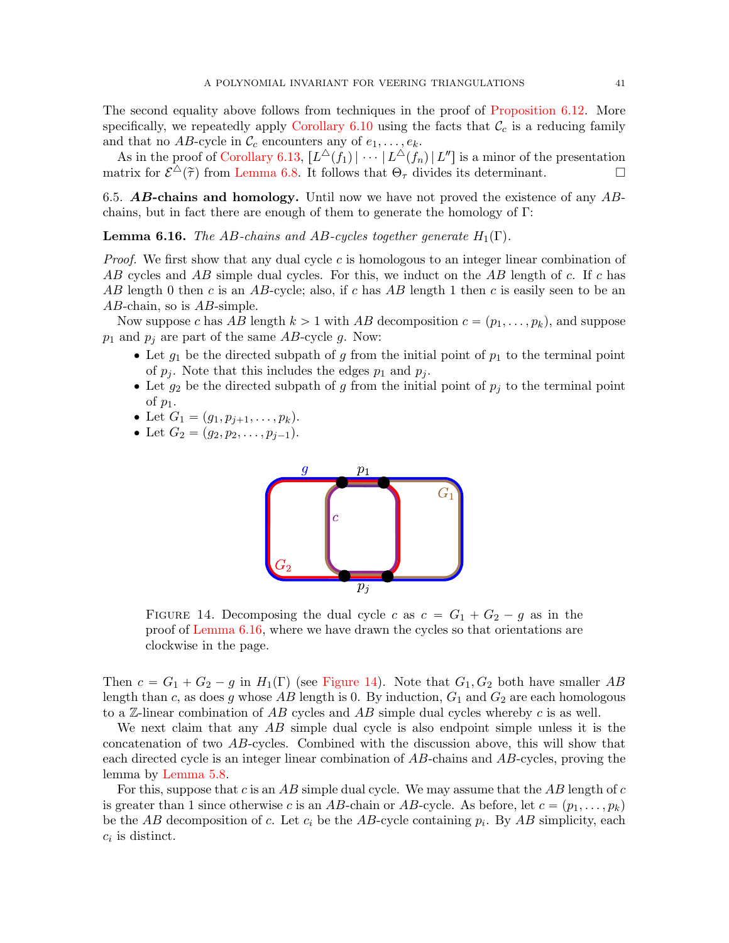The second equality above follows from techniques in the proof of [Proposition 6.12.](#page-36-0) More specifically, we repeatedly apply [Corollary 6.10](#page-36-1) using the facts that  $\mathcal{C}_c$  is a reducing family and that no AB-cycle in  $\mathcal{C}_c$  encounters any of  $e_1, \ldots, e_k$ .

As in the proof of [Corollary 6.13,](#page-37-0)  $[L^{\triangle}(f_1) | \cdots | L^{\triangle}(f_n) | L'']$  is a minor of the presentation matrix for  $\mathcal{E}^{\Delta}(\tilde{\tau})$  from [Lemma 6.8.](#page-35-1) It follows that  $\Theta_{\tau}$  divides its determinant.

6.5.  $\bf{AB}$ -chains and homology. Until now we have not proved the existence of any  $\bf{AB}$ chains, but in fact there are enough of them to generate the homology of Γ:

<span id="page-40-0"></span>**Lemma 6.16.** The AB-chains and AB-cycles together generate  $H_1(\Gamma)$ .

*Proof.* We first show that any dual cycle  $c$  is homologous to an integer linear combination of AB cycles and AB simple dual cycles. For this, we induct on the AB length of c. If c has AB length 0 then c is an AB-cycle; also, if c has AB length 1 then c is easily seen to be an AB-chain, so is AB-simple.

Now suppose c has AB length  $k > 1$  with AB decomposition  $c = (p_1, \ldots, p_k)$ , and suppose  $p_1$  and  $p_j$  are part of the same AB-cycle g. Now:

- Let  $g_1$  be the directed subpath of g from the initial point of  $p_1$  to the terminal point of  $p_j$ . Note that this includes the edges  $p_1$  and  $p_j$ .
- Let  $g_2$  be the directed subpath of g from the initial point of  $p_j$  to the terminal point of  $p_1$ .
- Let  $G_1 = (g_1, p_{j+1}, \ldots, p_k).$
- Let  $G_2 = (q_2, p_2, \ldots, p_{j-1}).$



<span id="page-40-1"></span>FIGURE 14. Decomposing the dual cycle c as  $c = G_1 + G_2 - g$  as in the proof of [Lemma 6.16,](#page-40-0) where we have drawn the cycles so that orientations are clockwise in the page.

Then  $c = G_1 + G_2 - g$  in  $H_1(\Gamma)$  (see [Figure 14\)](#page-40-1). Note that  $G_1, G_2$  both have smaller AB length than c, as does g whose  $AB$  length is 0. By induction,  $G_1$  and  $G_2$  are each homologous to a  $\mathbb{Z}$ -linear combination of  $AB$  cycles and  $AB$  simple dual cycles whereby c is as well.

We next claim that any AB simple dual cycle is also endpoint simple unless it is the concatenation of two AB-cycles. Combined with the discussion above, this will show that each directed cycle is an integer linear combination of AB-chains and AB-cycles, proving the lemma by [Lemma 5.8.](#page-24-1)

For this, suppose that c is an AB simple dual cycle. We may assume that the AB length of c is greater than 1 since otherwise c is an AB-chain or AB-cycle. As before, let  $c = (p_1, \ldots, p_k)$ be the  $AB$  decomposition of c. Let  $c_i$  be the AB-cycle containing  $p_i$ . By AB simplicity, each  $c_i$  is distinct.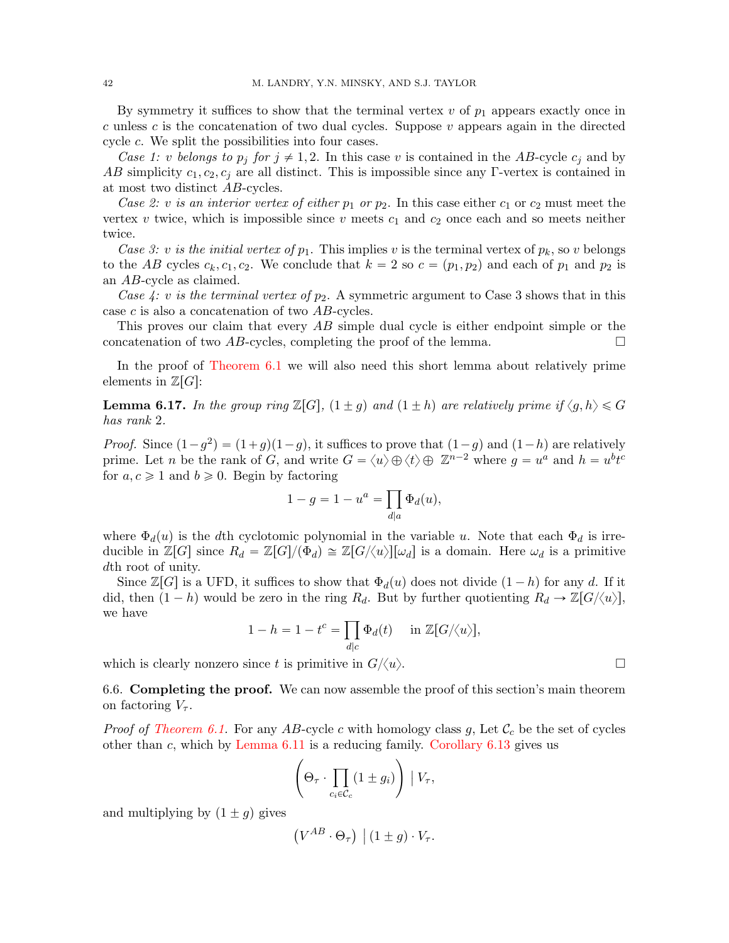By symmetry it suffices to show that the terminal vertex  $v$  of  $p_1$  appears exactly once in c unless c is the concatenation of two dual cycles. Suppose  $v$  appears again in the directed cycle c. We split the possibilities into four cases.

Case 1: v belongs to  $p_j$  for  $j \neq 1, 2$ . In this case v is contained in the AB-cycle  $c_j$  and by AB simplicity  $c_1, c_2, c_j$  are all distinct. This is impossible since any Γ-vertex is contained in at most two distinct AB-cycles.

Case 2: v is an interior vertex of either  $p_1$  or  $p_2$ . In this case either  $c_1$  or  $c_2$  must meet the vertex v twice, which is impossible since v meets  $c_1$  and  $c_2$  once each and so meets neither twice.

Case 3: v is the initial vertex of  $p_1$ . This implies v is the terminal vertex of  $p_k$ , so v belongs to the AB cycles  $c_k, c_1, c_2$ . We conclude that  $k = 2$  so  $c = (p_1, p_2)$  and each of  $p_1$  and  $p_2$  is an AB-cycle as claimed.

Case 4: v is the terminal vertex of  $p_2$ . A symmetric argument to Case 3 shows that in this case c is also a concatenation of two AB-cycles.

This proves our claim that every AB simple dual cycle is either endpoint simple or the concatenation of two AB-cycles, completing the proof of the lemma.

In the proof of [Theorem 6.1](#page-32-0) we will also need this short lemma about relatively prime elements in  $\mathbb{Z}[G]$ :

<span id="page-41-0"></span>**Lemma 6.17.** In the group ring  $\mathbb{Z}[G]$ ,  $(1 \pm g)$  and  $(1 \pm h)$  are relatively prime if  $\langle g, h \rangle \leq G$ has rank 2.

*Proof.* Since  $(1 - g^2) = (1 + g)(1 - g)$ , it suffices to prove that  $(1 - g)$  and  $(1 - h)$  are relatively prime. Let n be the rank of G, and write  $G = \langle u \rangle \oplus \langle t \rangle \oplus \mathbb{Z}^{n-2}$  where  $g = u^a$  and  $h = u^b t^c$ for  $a, c \geq 1$  and  $b \geq 0$ . Begin by factoring

$$
1 - g = 1 - u^a = \prod_{d|a} \Phi_d(u),
$$

where  $\Phi_d(u)$  is the dth cyclotomic polynomial in the variable u. Note that each  $\Phi_d$  is irreducible in  $\mathbb{Z}[G]$  since  $R_d = \mathbb{Z}[G]/(\Phi_d) \cong \mathbb{Z}[G/\langle u \rangle][\omega_d]$  is a domain. Here  $\omega_d$  is a primitive dth root of unity.

Since  $\mathbb{Z}[G]$  is a UFD, it suffices to show that  $\Phi_d(u)$  does not divide  $(1-h)$  for any d. If it did, then  $(1 - h)$  would be zero in the ring  $R_d$ . But by further quotienting  $R_d \rightarrow \mathbb{Z}[G/\langle u \rangle],$ we have

$$
1 - h = 1 - t^c = \prod_{d|c} \Phi_d(t) \quad \text{in } \mathbb{Z}[G/\langle u \rangle],
$$

which is clearly nonzero since t is primitive in  $G/\langle u \rangle$ .

6.6. Completing the proof. We can now assemble the proof of this section's main theorem on factoring  $V_{\tau}$ .

*Proof of [Theorem 6.1.](#page-32-0)* For any AB-cycle c with homology class g, Let  $\mathcal{C}_c$  be the set of cycles other than  $c$ , which by [Lemma 6.11](#page-36-2) is a reducing family. [Corollary 6.13](#page-37-0) gives us

$$
\left(\Theta_{\tau} \cdot \prod_{c_i \in \mathcal{C}_c} (1 \pm g_i) \right) | V_{\tau},
$$

and multiplying by  $(1 \pm g)$  gives

$$
(V^{AB} \cdot \Theta_{\tau}) | (1 \pm g) \cdot V_{\tau}.
$$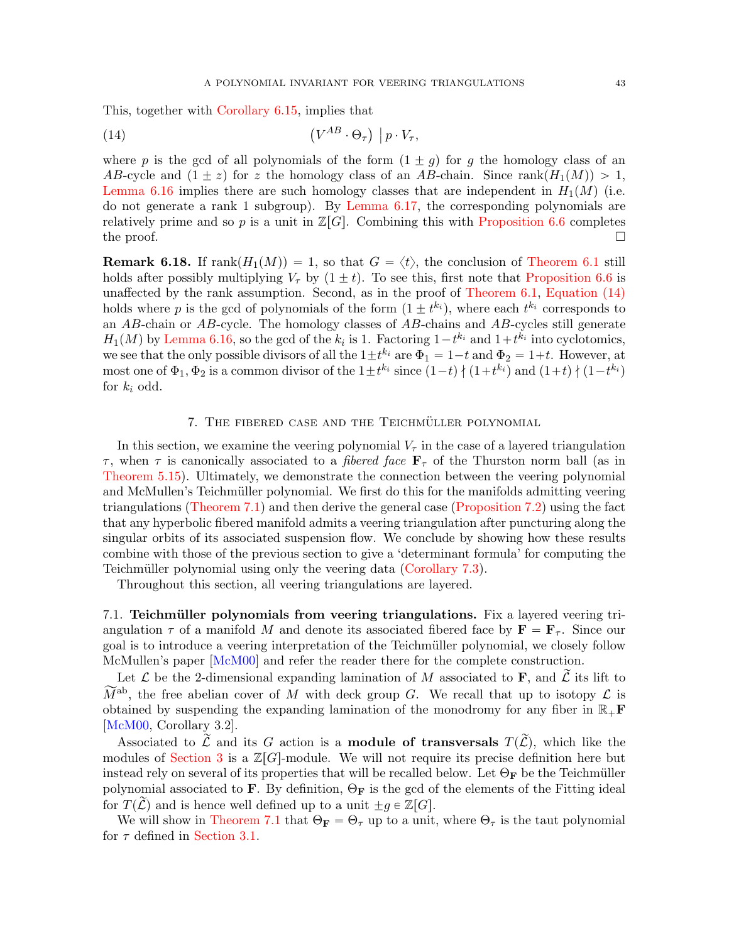This, together with [Corollary 6.15,](#page-39-0) implies that

<span id="page-42-2"></span>(14) 
$$
(V^{AB} \cdot \Theta_{\tau}) | p \cdot V_{\tau},
$$

where p is the gcd of all polynomials of the form  $(1 \pm g)$  for g the homology class of an AB-cycle and  $(1 \pm z)$  for z the homology class of an AB-chain. Since rank $(H_1(M)) > 1$ , [Lemma 6.16](#page-40-0) implies there are such homology classes that are independent in  $H_1(M)$  (i.e. do not generate a rank 1 subgroup). By [Lemma 6.17,](#page-41-0) the corresponding polynomials are relatively prime and so p is a unit in  $\mathbb{Z}[G]$ . Combining this with [Proposition 6.6](#page-35-0) completes the proof.  $\Box$ 

<span id="page-42-1"></span>**Remark 6.18.** If  $rank(H_1(M)) = 1$ , so that  $G = \langle t \rangle$ , the conclusion of [Theorem 6.1](#page-32-0) still holds after possibly multiplying  $V_{\tau}$  by  $(1 \pm t)$ . To see this, first note that [Proposition 6.6](#page-35-0) is unaffected by the rank assumption. Second, as in the proof of [Theorem 6.1,](#page-32-0) [Equation \(14\)](#page-42-2) holds where p is the gcd of polynomials of the form  $(1 \pm t^{k_i})$ , where each  $t^{k_i}$  corresponds to an AB-chain or  $AB$ -cycle. The homology classes of  $\overrightarrow{AB}$ -chains and  $\overrightarrow{AB}$ -cycles still generate  $H_1(M)$  by [Lemma 6.16,](#page-40-0) so the gcd of the  $k_i$  is 1. Factoring  $1-t^{k_i}$  and  $1+t^{k_i}$  into cyclotomics, we see that the only possible divisors of all the  $1 \pm t^{k_i}$  are  $\Phi_1 = 1-t$  and  $\Phi_2 = 1+t$ . However, at most one of  $\Phi_1, \Phi_2$  is a common divisor of the  $1 \pm t^{k_i}$  since  $(1-t) \nmid (1+t^{k_i})$  and  $(1+t) \nmid (1-t^{k_i})$ for  $k_i$  odd.

## 7. THE FIBERED CASE AND THE TEICHMÜLLER POLYNOMIAL

<span id="page-42-0"></span>In this section, we examine the veering polynomial  $V_{\tau}$  in the case of a layered triangulation  $\tau$ , when  $\tau$  is canonically associated to a *fibered face*  $\mathbf{F}_{\tau}$  of the Thurston norm ball (as in [Theorem 5.15\)](#page-29-1). Ultimately, we demonstrate the connection between the veering polynomial and McMullen's Teichmüller polynomial. We first do this for the manifolds admitting veering triangulations [\(Theorem 7.1\)](#page-43-0) and then derive the general case [\(Proposition 7.2\)](#page-46-0) using the fact that any hyperbolic fibered manifold admits a veering triangulation after puncturing along the singular orbits of its associated suspension flow. We conclude by showing how these results combine with those of the previous section to give a 'determinant formula' for computing the Teichmüller polynomial using only the veering data [\(Corollary 7.3\)](#page-47-11).

Throughout this section, all veering triangulations are layered.

7.1. Teichmüller polynomials from veering triangulations. Fix a layered veering triangulation  $\tau$  of a manifold M and denote its associated fibered face by  $\mathbf{F} = \mathbf{F}_{\tau}$ . Since our goal is to introduce a veering interpretation of the Teichm¨uller polynomial, we closely follow McMullen's paper [\[McM00\]](#page-48-8) and refer the reader there for the complete construction.

Let  $\mathcal L$  be the 2-dimensional expanding lamination of M associated to **F**, and  $\tilde{\mathcal L}$  its lift to  $\widetilde{M}^{ab}$ , the free abelian cover of M with deck group G. We recall that up to isotopy  $\mathcal L$  is obtained by suspending the expanding lamination of the monodromy for any fiber in  $\mathbb{R}_+$ **F** [\[McM00,](#page-48-8) Corollary 3.2].

Associated to  $\widetilde{\mathcal{L}}$  and its G action is a **module of transversals**  $T(\widetilde{\mathcal{L}})$ , which like the modules of [Section 3](#page-9-0) is a  $\mathbb{Z}[G]$ -module. We will not require its precise definition here but instead rely on several of its properties that will be recalled below. Let  $\Theta_F$  be the Teichmüller polynomial associated to **F**. By definition,  $\Theta_{\mathbf{F}}$  is the gcd of the elements of the Fitting ideal for  $T(\tilde{\mathcal{L}})$  and is hence well defined up to a unit  $\pm g \in \mathbb{Z}[G].$ 

We will show in [Theorem 7.1](#page-43-0) that  $\Theta_{\mathbf{F}} = \Theta_{\tau}$  up to a unit, where  $\Theta_{\tau}$  is the taut polynomial for  $\tau$  defined in [Section 3.1.](#page-10-4)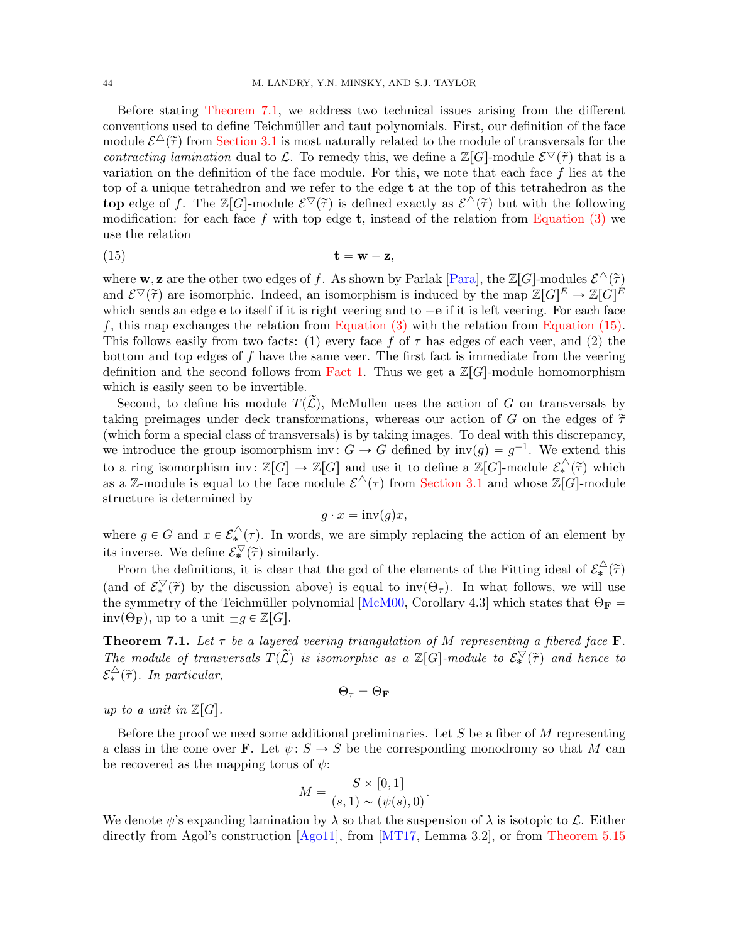Before stating [Theorem 7.1,](#page-43-0) we address two technical issues arising from the different conventions used to define Teichm¨uller and taut polynomials. First, our definition of the face module  $\mathcal{E}^{\Delta}(\tilde{\tau})$  from [Section 3.1](#page-10-4) is most naturally related to the module of transversals for the contracting lamination dual to L. To remedy this, we define a  $\mathbb{Z}[G]$ -module  $\mathcal{E}^\nabla(\tilde{\tau})$  that is a variation on the definition of the face module. For this, we note that each face  $f$  lies at the top of a unique tetrahedron and we refer to the edge t at the top of this tetrahedron as the top edge of f. The  $\mathbb{Z}[G]$ -module  $\mathcal{E}^\nabla(\tilde{\tau})$  is defined exactly as  $\mathcal{E}^{\Delta}(\tilde{\tau})$  but with the following modification: for each face f with top edge **t**, instead of the relation from [Equation \(3\)](#page-10-0) we use the relation

<span id="page-43-1"></span>
$$
t = w + z,
$$

where **w**, **z** are the other two edges of f. As shown by Parlak [\[Para\]](#page-48-10), the  $\mathbb{Z}[G]$ -modules  $\mathcal{E}^{\Delta}(\tilde{\tau})$ and  $\mathcal{E}^\nabla(\tilde{\tau})$  are isomorphic. Indeed, an isomorphism is induced by the map  $\mathbb{Z}[G]^E \to \mathbb{Z}[G]^E$ which sends an edge  $e$  to itself if it is right veering and to  $-e$  if it is left veering. For each face f, this map exchanges the relation from Equation  $(3)$  with the relation from [Equation \(15\).](#page-43-1) This follows easily from two facts: (1) every face f of  $\tau$  has edges of each veer, and (2) the bottom and top edges of f have the same veer. The first fact is immediate from the veering definition and the second follows from [Fact 1.](#page-11-3) Thus we get a  $\mathbb{Z}[G]$ -module homomorphism which is easily seen to be invertible.

Second, to define his module  $T(\mathcal{L})$ , McMullen uses the action of G on transversals by taking preimages under deck transformations, whereas our action of G on the edges of  $\tilde{\tau}$ (which form a special class of transversals) is by taking images. To deal with this discrepancy, we introduce the group isomorphism inv:  $G \to G$  defined by  $inv(g) = g^{-1}$ . We extend this to a ring isomorphism inv:  $\mathbb{Z}[G] \to \mathbb{Z}[G]$  and use it to define a  $\mathbb{Z}[G]$ -module  $\mathcal{E}_{*}^{\triangle}(\tilde{\tau})$  which as a Z-module is equal to the face module  $\mathcal{E}^{\Delta}(\tau)$  from [Section 3.1](#page-10-4) and whose  $\mathbb{Z}[G]$ -module structure is determined by

$$
g \cdot x = \operatorname{inv}(g)x,
$$

where  $g \in G$  and  $x \in \mathcal{E}_{*}^{\triangle}(\tau)$ . In words, we are simply replacing the action of an element by its inverse. We define  $\mathcal{E}_{*}^{\nabla}(\tilde{\tau})$  similarly.

From the definitions, it is clear that the gcd of the elements of the Fitting ideal of  $\mathcal{E}_{*}^{\triangle}(\tilde{\tau})$ (and of  $\mathcal{E}_{*}^{\nabla}(\tilde{\tau})$  by the discussion above) is equal to inv $(\Theta_{\tau})$ . In what follows, we will use the symmetry of the Teichmüller polynomial [\[McM00,](#page-48-8) Corollary 4.3] which states that  $\Theta_F =$  $inv(\Theta_{\mathbf{F}})$ , up to a unit  $\pm g \in \mathbb{Z}[G]$ .

<span id="page-43-0"></span>**Theorem 7.1.** Let  $\tau$  be a layered veering triangulation of M representing a fibered face **F**. The module of transversals  $T(\tilde{\mathcal{L}})$  is isomorphic as a  $\mathbb{Z}[G]$ -module to  $\mathcal{E}_{*}^{\nabla}(\tilde{\tau})$  and hence to  $\mathcal{E}_{*}^{\triangle}(\widetilde{\tau})$ . In particular,

$$
\Theta_\tau = \Theta_\mathbf{F}
$$

up to a unit in  $\mathbb{Z}[G].$ 

Before the proof we need some additional preliminaries. Let  $S$  be a fiber of  $M$  representing a class in the cone over **F**. Let  $\psi: S \to S$  be the corresponding monodromy so that M can be recovered as the mapping torus of  $\psi$ :

$$
M = \frac{S \times [0,1]}{(s,1) \sim (\psi(s),0)}.
$$

We denote  $\psi$ 's expanding lamination by  $\lambda$  so that the suspension of  $\lambda$  is isotopic to  $\mathcal{L}$ . Either directly from Agol's construction [\[Ago11\]](#page-47-1), from [\[MT17,](#page-48-4) Lemma 3.2], or from [Theorem 5.15](#page-29-1)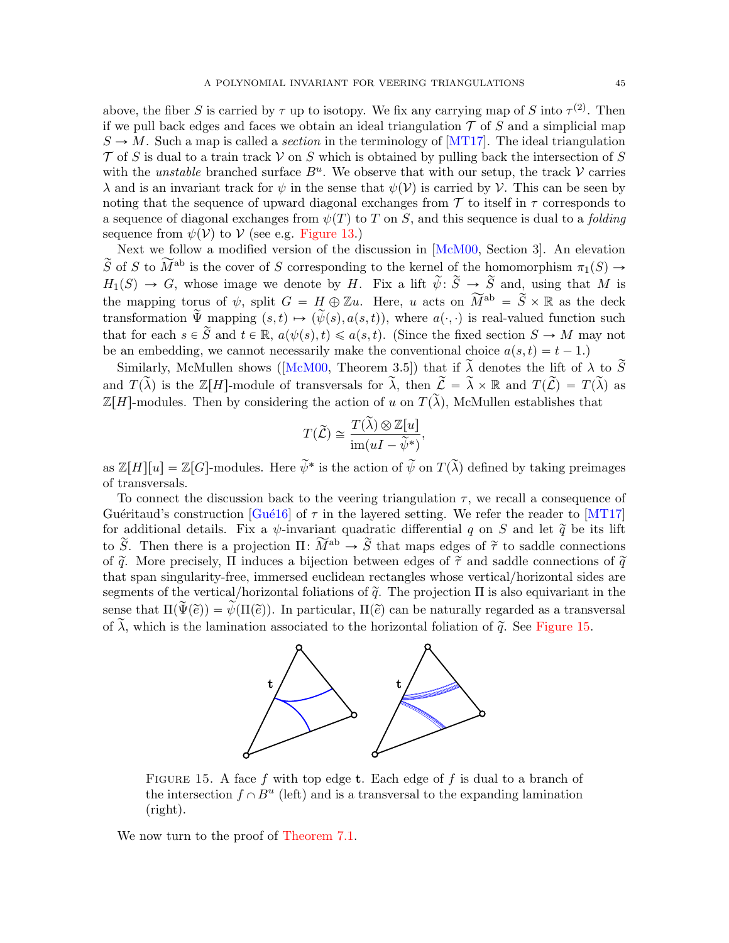above, the fiber S is carried by  $\tau$  up to isotopy. We fix any carrying map of S into  $\tau^{(2)}$ . Then if we pull back edges and faces we obtain an ideal triangulation  $\mathcal T$  of S and a simplicial map  $S \to M$ . Such a map is called a *section* in the terminology of [\[MT17\]](#page-48-4). The ideal triangulation  $\mathcal T$  of S is dual to a train track  $\mathcal V$  on S which is obtained by pulling back the intersection of S with the *unstable* branched surface  $B^u$ . We observe that with our setup, the track  $V$  carries  $\lambda$  and is an invariant track for  $\psi$  in the sense that  $\psi(\mathcal{V})$  is carried by V. This can be seen by noting that the sequence of upward diagonal exchanges from  $\mathcal T$  to itself in  $\tau$  corresponds to a sequence of diagonal exchanges from  $\psi(T)$  to T on S, and this sequence is dual to a *folding* sequence from  $\psi(\mathcal{V})$  to  $\mathcal{V}$  (see e.g. [Figure 13.](#page-27-0))

Next we follow a modified version of the discussion in [\[McM00,](#page-48-8) Section 3]. An elevation  $\widetilde{S}$  of S to  $\widetilde{M}^{ab}$  is the cover of S corresponding to the kernel of the homomorphism  $\pi_1(S) \to$  $H_1(S) \to G$ , whose image we denote by H. Fix a lift  $\tilde{\psi}$ :  $\tilde{S} \to \tilde{S}$  and, using that M is the mapping torus of  $\psi$ , split  $G = H \oplus \mathbb{Z}u$ . Here, u acts on  $\widetilde{M}^{ab} = \widetilde{S} \times \mathbb{R}$  as the deck transformation  $\widetilde{\Psi}$  mapping  $(s, t) \mapsto (\widetilde{\psi}(s), a(s, t))$ , where  $a(\cdot, \cdot)$  is real-valued function such that for each  $s \in \tilde{S}$  and  $t \in \mathbb{R}$ ,  $a(\psi(s), t) \leq a(s, t)$ . (Since the fixed section  $S \to M$  may not be an embedding, we cannot necessarily make the conventional choice  $a(s, t) = t - 1$ .

Similarly,McMullen shows ([\[McM00,](#page-48-8) Theorem 3.5]) that if  $\lambda$  denotes the lift of  $\lambda$  to  $\tilde{S}$ and  $T(\tilde{\lambda})$  is the Z[H]-module of transversals for  $\tilde{\lambda}$ , then  $\tilde{\mathcal{L}} = \tilde{\lambda} \times \mathbb{R}$  and  $T(\tilde{\mathcal{L}}) = T(\tilde{\lambda})$  as  $\mathbb{Z}[H]$ -modules. Then by considering the action of u on  $T(\widetilde{\lambda})$ , McMullen establishes that

$$
T(\widetilde{\mathcal{L}}) \cong \frac{T(\widetilde{\lambda}) \otimes \mathbb{Z}[u]}{\text{im}(uI - \widetilde{\psi}^*)},
$$

as  $\mathbb{Z}[H][u] = \mathbb{Z}[G]$ -modules. Here  $\widetilde{\psi}^*$  is the action of  $\widetilde{\psi}$  on  $T(\widetilde{\lambda})$  defined by taking preimages of transversals.

To connect the discussion back to the veering triangulation  $\tau$ , we recall a consequence of Guéritaud's construction [Gué16] of  $\tau$  in the layered setting. We refer the reader to [\[MT17\]](#page-48-4) for additional details. Fix a  $\psi$ -invariant quadratic differential q on S and let  $\tilde{q}$  be its lift to  $\widetilde{S}$ . Then there is a projection  $\Pi: \widetilde{M}^{ab} \to \widetilde{S}$  that maps edges of  $\widetilde{\tau}$  to saddle connections of  $\tilde{q}$ . More precisely, Π induces a bijection between edges of  $\tilde{\tau}$  and saddle connections of  $\tilde{q}$ that span singularity-free, immersed euclidean rectangles whose vertical/horizontal sides are segments of the vertical/horizontal foliations of  $\tilde{q}$ . The projection  $\Pi$  is also equivariant in the sense that  $\Pi(\widetilde{\Psi}(\widetilde{e})) = \widetilde{\psi}(\Pi(\widetilde{e}))$ . In particular,  $\Pi(\widetilde{e})$  can be naturally regarded as a transversal of  $\tilde{\lambda}$ , which is the lamination associated to the horizontal foliation of  $\tilde{q}$ . See [Figure 15.](#page-44-0)



<span id="page-44-0"></span>FIGURE 15. A face f with top edge **t**. Each edge of f is dual to a branch of the intersection  $f \cap B^u$  (left) and is a transversal to the expanding lamination (right).

We now turn to the proof of [Theorem 7.1.](#page-43-0)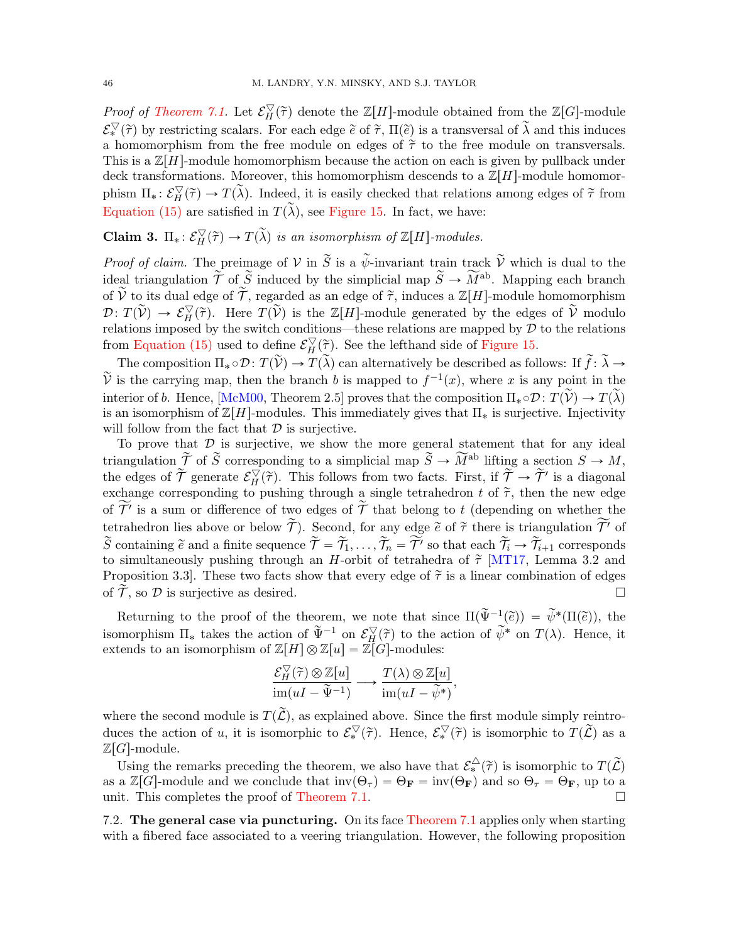*Proof of [Theorem 7.1.](#page-43-0)* Let  $\mathcal{E}_H^{\nabla}(\tilde{\tau})$  denote the  $\mathbb{Z}[H]$ -module obtained from the  $\mathbb{Z}[G]$ -module  $\mathcal{E}_{*}^{\nabla}(\tilde{\tau})$  by restricting scalars. For each edge  $\tilde{e}$  of  $\tilde{\tau}$ ,  $\Pi(\tilde{e})$  is a transversal of  $\tilde{\lambda}$  and this induces a homomorphism from the free module on edges of  $\tilde{\tau}$  to the free module on transversals. This is a  $\mathbb{Z}[H]$ -module homomorphism because the action on each is given by pullback under deck transformations. Moreover, this homomorphism descends to a  $\mathbb{Z}[H]$ -module homomorphism  $\Pi_* : \mathcal{E}_H^{\nabla}(\tilde{\tau}) \to T(\tilde{\lambda})$ . Indeed, it is easily checked that relations among edges of  $\tilde{\tau}$  from [Equation \(15\)](#page-43-1) are satisfied in  $T(\widetilde{\lambda})$ , see [Figure 15.](#page-44-0) In fact, we have:

**Claim 3.**  $\Pi_*: \mathcal{E}_H^{\nabla}(\tilde{\tau}) \to T(\tilde{\lambda})$  is an isomorphism of  $\mathbb{Z}[H]$ -modules.

*Proof of claim.* The preimage of  $V$  in  $\widetilde{S}$  is a  $\widetilde{\psi}$ -invariant train track  $\widetilde{V}$  which is dual to the ideal triangulation  $\tilde{\mathcal{T}}$  of  $\tilde{S}$  induced by the simplicial map  $\tilde{S} \to \widetilde{M}^{ab}$ . Mapping each branch of  $\tilde{\mathcal{V}}$  to its dual edge of  $\tilde{\mathcal{T}}$ , regarded as an edge of  $\tilde{\mathcal{T}}$ , induces a  $\mathbb{Z}[H]$ -module homomorphism  $\mathcal{D}\colon T(\widetilde{\mathcal{V}}) \to \mathcal{E}_H^{\nabla}(\widetilde{\tau})$ . Here  $T(\widetilde{\mathcal{V}})$  is the Z[H]-module generated by the edges of  $\widetilde{\mathcal{V}}$  modulo relations imposed by the switch conditions—these relations are mapped by  $\overline{\mathcal{D}}$  to the relations from [Equation \(15\)](#page-43-1) used to define  $\mathcal{E}_H^{\nabla}(\tilde{\tau})$ . See the lefthand side of [Figure 15.](#page-44-0)

The composition  $\Pi_* \circ \mathcal{D} : T(\widetilde{\mathcal{V}}) \to T(\widetilde{\lambda})$  can alternatively be described as follows: If  $\widetilde{f}: \widetilde{\lambda} \to$  $\widetilde{\mathcal{V}}$  is the carrying map, then the branch b is mapped to  $f^{-1}(x)$ , where x is any point in the interior of b. Hence, [\[McM00,](#page-48-8) Theorem 2.5] proves that the composition  $\Pi_* \circ \mathcal{D} : T(\widetilde{\mathcal{V}}) \to T(\widetilde{\lambda})$ is an isomorphism of  $\mathbb{Z}[H]$ -modules. This immediately gives that  $\Pi_*$  is surjective. Injectivity will follow from the fact that  $\mathcal D$  is surjective.

To prove that  $D$  is surjective, we show the more general statement that for any ideal triangulation  $\widetilde{\mathcal{T}}$  of  $\widetilde{S}$  corresponding to a simplicial map  $\widetilde{S} \to \widetilde{M}^{ab}$  lifting a section  $S \to M$ , the edges of  $\tilde{\mathcal{T}}$  generate  $\mathcal{E}_H^{\nabla}(\tilde{\tau})$ . This follows from two facts. First, if  $\tilde{\mathcal{T}} \to \tilde{\mathcal{T}}'$  is a diagonal exchange corresponding to pushing through a single tetrahedron t of  $\tilde{\tau}$ , then the new edge of  $\widetilde{\mathcal{T}}'$  is a sum or difference of two edges of  $\widetilde{\mathcal{T}}$  that belong to t (depending on whether the tetrahedron lies above or below  $\widetilde{\mathcal{T}}$ . Second, for any edge  $\widetilde{e}$  of  $\widetilde{\tau}$  there is triangulation  $\widetilde{\mathcal{T}}'$  of  $\widetilde{S}$  containing  $\widetilde{e}$  and a finite sequence  $\widetilde{\mathcal{T}} = \widetilde{\mathcal{T}}_1, \ldots, \widetilde{\mathcal{T}}_n = \widetilde{\mathcal{T}}'$  so that each  $\widetilde{\mathcal{T}}_i \to \widetilde{\mathcal{T}}_{i+1}$  corresponds to simultaneously pushing through an H-orbit of tetrahedra of  $\tilde{\tau}$  [\[MT17,](#page-48-4) Lemma 3.2 and Proposition 3.3. These two facts show that every edge of  $\tilde{\tau}$  is a linear combination of edges of  $\tilde{\mathcal{T}}$ , so  $\mathcal{D}$  is surjective as desired.

Returning to the proof of the theorem, we note that since  $\Pi(\tilde{\Psi}^{-1}(\tilde{e})) = \tilde{\psi}^*(\Pi(\tilde{e}))$ , the isomorphism  $\Pi_*$  takes the action of  $\widetilde{\Psi}^{-1}$  on  $\mathcal{E}_H^{\nabla}(\widetilde{\tau})$  to the action of  $\widetilde{\psi}^*$  on  $T(\lambda)$ . Hence, it extends to an isomorphism of  $\mathbb{Z}[H]\otimes \mathbb{Z}[u] = \mathbb{Z}[G]$ -modules:

$$
\frac{\mathcal{E}_H^{\bigtriangledown}(\tilde{\tau})\otimes \mathbb{Z}[u]}{\operatorname{im}(uI - \tilde{\Psi}^{-1})} \longrightarrow \frac{T(\lambda)\otimes \mathbb{Z}[u]}{\operatorname{im}(uI - \tilde{\psi}^*)},
$$

where the second module is  $T(\tilde{\mathcal{L}})$ , as explained above. Since the first module simply reintroduces the action of u, it is isomorphic to  $\mathcal{E}_{*}^{\nabla}(\tilde{\tau})$ . Hence,  $\mathcal{E}_{*}^{\nabla}(\tilde{\tau})$  is isomorphic to  $T(\tilde{\mathcal{L}})$  as a  $\mathbb{Z}[G]$ -module.

Using the remarks preceding the theorem, we also have that  $\mathcal{E}_{*}^{\triangle}(\tilde{\tau})$  is isomorphic to  $T(\tilde{\mathcal{L}})$ as a  $\mathbb{Z}[G]$ -module and we conclude that  $\text{inv}(\Theta_{\tau}) = \Theta_{\mathbf{F}} = \text{inv}(\Theta_{\mathbf{F}})$  and so  $\Theta_{\tau} = \Theta_{\mathbf{F}}$ , up to a unit. This completes the proof of [Theorem 7.1.](#page-43-0)

7.2. The general case via puncturing. On its face [Theorem 7.1](#page-43-0) applies only when starting with a fibered face associated to a veering triangulation. However, the following proposition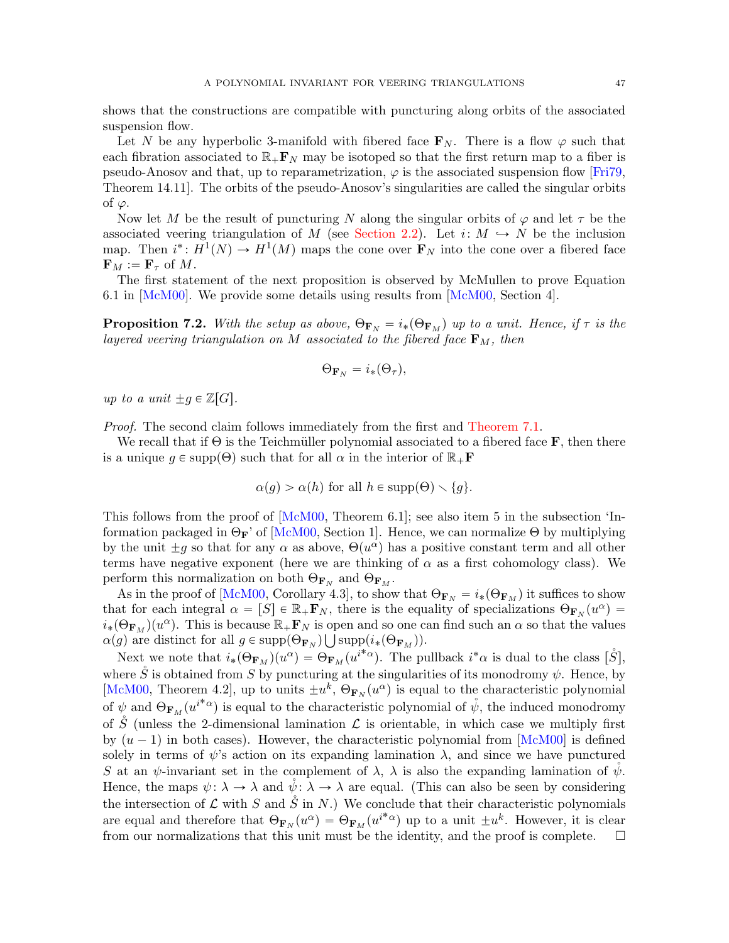shows that the constructions are compatible with puncturing along orbits of the associated suspension flow.

Let N be any hyperbolic 3-manifold with fibered face  $\mathbf{F}_N$ . There is a flow  $\varphi$  such that each fibration associated to  $\mathbb{R}_+$ **F**<sub>N</sub> may be isotoped so that the first return map to a fiber is pseudo-Anosov and that, up to reparametrization,  $\varphi$  is the associated suspension flow [\[Fri79,](#page-48-30) Theorem 14.11]. The orbits of the pseudo-Anosov's singularities are called the singular orbits of  $\varphi$ .

Now let M be the result of puncturing N along the singular orbits of  $\varphi$  and let  $\tau$  be the associated veering triangulation of M (see [Section 2.2\)](#page-8-1). Let i:  $M \hookrightarrow N$  be the inclusion map. Then  $i^*: H^1(N) \to H^1(M)$  maps the cone over  $\mathbf{F}_N$  into the cone over a fibered face  $\mathbf{F}_M := \mathbf{F}_{\tau}$  of M.

The first statement of the next proposition is observed by McMullen to prove Equation 6.1 in [\[McM00\]](#page-48-8). We provide some details using results from [\[McM00,](#page-48-8) Section 4].

<span id="page-46-0"></span>**Proposition 7.2.** With the setup as above,  $\Theta_{\mathbf{F}_N} = i_*(\Theta_{\mathbf{F}_M})$  up to a unit. Hence, if  $\tau$  is the layered veering triangulation on M associated to the fibered face  $\mathbf{F}_M$ , then

$$
\Theta_{\mathbf{F}_N} = i_*(\Theta_\tau),
$$

up to a unit  $\pm g \in \mathbb{Z}[G].$ 

Proof. The second claim follows immediately from the first and [Theorem 7.1.](#page-43-0)

We recall that if  $\Theta$  is the Teichmüller polynomial associated to a fibered face **F**, then there is a unique  $g \in \text{supp}(\Theta)$  such that for all  $\alpha$  in the interior of  $\mathbb{R}_+$ **F** 

$$
\alpha(g) > \alpha(h) \text{ for all } h \in \text{supp}(\Theta) \setminus \{g\}.
$$

This follows from the proof of [\[McM00,](#page-48-8) Theorem 6.1]; see also item 5 in the subsection 'Information packaged in  $\Theta_{\mathbf{F}}$ ' of [\[McM00,](#page-48-8) Section 1]. Hence, we can normalize  $\Theta$  by multiplying by the unit  $\pm g$  so that for any  $\alpha$  as above,  $\Theta(u^{\alpha})$  has a positive constant term and all other terms have negative exponent (here we are thinking of  $\alpha$  as a first cohomology class). We perform this normalization on both  $\Theta_{\mathbf{F}_N}$  and  $\Theta_{\mathbf{F}_M}$ .

As in the proof of [\[McM00,](#page-48-8) Corollary 4.3], to show that  $\Theta_{\mathbf{F}_N} = i_*(\Theta_{\mathbf{F}_M})$  it suffices to show that for each integral  $\alpha = [S] \in \mathbb{R}_+ \mathbf{F}_N$ , there is the equality of specializations  $\Theta_{\mathbf{F}_N}(u^{\alpha}) =$  $i_*(\Theta_{\mathbf{F}_M})(u^{\alpha})$ . This is because  $\mathbb{R}_+\mathbf{F}_N$  is open and so one can find such an  $\alpha$  so that the values  $\alpha(g)$  are distinct for all  $g \in \text{supp}(\Theta_{\mathbf{F}_N}) \bigcup \text{supp}(i_*(\Theta_{\mathbf{F}_M}))$ .

Next we note that  $i_*(\Theta_{\mathbf{F}_M})(u^{\alpha}) = \Theta_{\mathbf{F}_M}(u^{i^*\alpha})$ . The pullback  $i^*\alpha$  is dual to the class  $[\mathring{S}],$ where  $\check{S}$  is obtained from S by puncturing at the singularities of its monodromy  $\psi$ . Hence, by [\[McM00,](#page-48-8) Theorem 4.2], up to units  $\pm u^k$ ,  $\Theta_{\mathbf{F}_N}(u^{\alpha})$  is equal to the characteristic polynomial of  $\psi$  and  $\Theta_{\mathbf{F}_M}(u^{i^*\alpha})$  is equal to the characteristic polynomial of  $\mathring{\psi}$ , the induced monodromy of S (unless the 2-dimensional lamination  $\mathcal L$  is orientable, in which case we multiply first by  $(u - 1)$  in both cases). However, the characteristic polynomial from [\[McM00\]](#page-48-8) is defined solely in terms of  $\psi$ 's action on its expanding lamination  $\lambda$ , and since we have punctured S at an  $\psi$ -invariant set in the complement of  $\lambda$ ,  $\lambda$  is also the expanding lamination of  $\psi$ . Hence, the maps  $\psi: \lambda \to \lambda$  and  $\bar{\psi}: \lambda \to \lambda$  are equal. (This can also be seen by considering the intersection of  $\mathcal L$  with S and  $\check S$  in N.) We conclude that their characteristic polynomials are equal and therefore that  $\Theta_{\mathbf{F}_N}(u^{\alpha}) = \Theta_{\mathbf{F}_M}(u^{i^*\alpha})$  up to a unit  $\pm u^k$ . However, it is clear from our normalizations that this unit must be the identity, and the proof is complete.  $\Box$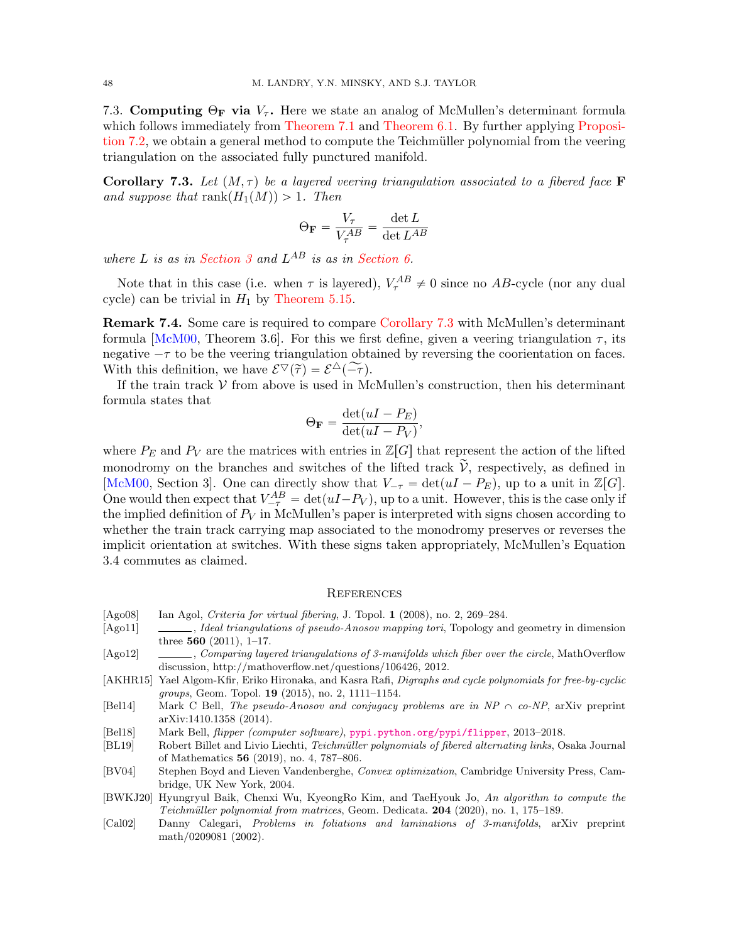7.3. Computing  $\Theta_F$  via  $V_\tau$ . Here we state an analog of McMullen's determinant formula which follows immediately from [Theorem 7.1](#page-43-0) and [Theorem 6.1.](#page-32-0) By further applying [Proposi](#page-46-0)[tion 7.2,](#page-46-0) we obtain a general method to compute the Teichmüller polynomial from the veering triangulation on the associated fully punctured manifold.

<span id="page-47-11"></span>**Corollary 7.3.** Let  $(M, \tau)$  be a layered veering triangulation associated to a fibered face **F** and suppose that  $\text{rank}(H_1(M)) > 1$ . Then

$$
\Theta_{\mathbf{F}} = \frac{V_{\tau}}{V_{\tau}^{AB}} = \frac{\det L}{\det L^{AB}}
$$

where L is as in [Section 3](#page-9-0) and  $L^{AB}$  is as in [Section 6.](#page-31-0)

Note that in this case (i.e. when  $\tau$  is layered),  $V_{\tau}^{AB} \neq 0$  since no AB-cycle (nor any dual cycle) can be trivial in  $H_1$  by [Theorem 5.15.](#page-29-1)

Remark 7.4. Some care is required to compare [Corollary 7.3](#page-47-11) with McMullen's determinant formula [\[McM00,](#page-48-8) Theorem 3.6]. For this we first define, given a veering triangulation  $\tau$ , its negative  $-\tau$  to be the veering triangulation obtained by reversing the coorientation on faces. With this definition, we have  $\mathcal{E}^\nabla(\tilde{\tau}) = \mathcal{E}^\Delta(-\tilde{\tau}).$ 

If the train track  $V$  from above is used in McMullen's construction, then his determinant formula states that

$$
\Theta_{\mathbf{F}} = \frac{\det(uI - P_E)}{\det(uI - P_V)},
$$

where  $P_E$  and  $P_V$  are the matrices with entries in  $\mathbb{Z}[G]$  that represent the action of the lifted monodromy on the branches and switches of the lifted track  $\tilde{\mathcal{V}}$ , respectively, as defined in [\[McM00,](#page-48-8) Section 3]. One can directly show that  $V_{-\tau} = \det(uI - P_E)$ , up to a unit in Z[G]. One would then expect that  $V_{-\tau}^{AB} = \det(uI - P_V)$ , up to a unit. However, this is the case only if the implied definition of  $P_V$  in McMullen's paper is interpreted with signs chosen according to whether the train track carrying map associated to the monodromy preserves or reverses the implicit orientation at switches. With these signs taken appropriately, McMullen's Equation 3.4 commutes as claimed.

#### <span id="page-47-0"></span>**REFERENCES**

- <span id="page-47-10"></span>[Ago08] Ian Agol, Criteria for virtual fibering, J. Topol. 1 (2008), no. 2, 269–284.
- <span id="page-47-1"></span>[Ago11] , Ideal triangulations of pseudo-Anosov mapping tori, Topology and geometry in dimension three 560 (2011), 1–17.
- <span id="page-47-7"></span>[Ago12] , Comparing layered triangulations of 3-manifolds which fiber over the circle, MathOverflow discussion, http://mathoverflow.net/questions/106426, 2012.
- <span id="page-47-8"></span>[AKHR15] Yael Algom-Kfir, Eriko Hironaka, and Kasra Rafi, Digraphs and cycle polynomials for free-by-cyclic groups, Geom. Topol. 19 (2015), no. 2, 1111–1154.
- <span id="page-47-2"></span>[Bel14] Mark C Bell, The pseudo-Anosov and conjugacy problems are in  $NP \cap co-NP$ , arXiv preprint arXiv:1410.1358 (2014).
- <span id="page-47-3"></span>[Bel18] Mark Bell, *flipper (computer software)*, <pypi.python.org/pypi/flipper>, 2013–2018.
- <span id="page-47-6"></span>[BL19] Robert Billet and Livio Liechti, Teichmüller polynomials of fibered alternating links, Osaka Journal of Mathematics 56 (2019), no. 4, 787–806.
- <span id="page-47-9"></span>[BV04] Stephen Boyd and Lieven Vandenberghe, Convex optimization, Cambridge University Press, Cambridge, UK New York, 2004.
- <span id="page-47-5"></span>[BWKJ20] Hyungryul Baik, Chenxi Wu, KyeongRo Kim, and TaeHyouk Jo, An algorithm to compute the Teichmüller polynomial from matrices, Geom. Dedicata. 204 (2020), no. 1, 175–189.
- <span id="page-47-4"></span>[Cal02] Danny Calegari, Problems in foliations and laminations of 3-manifolds, arXiv preprint math/0209081 (2002).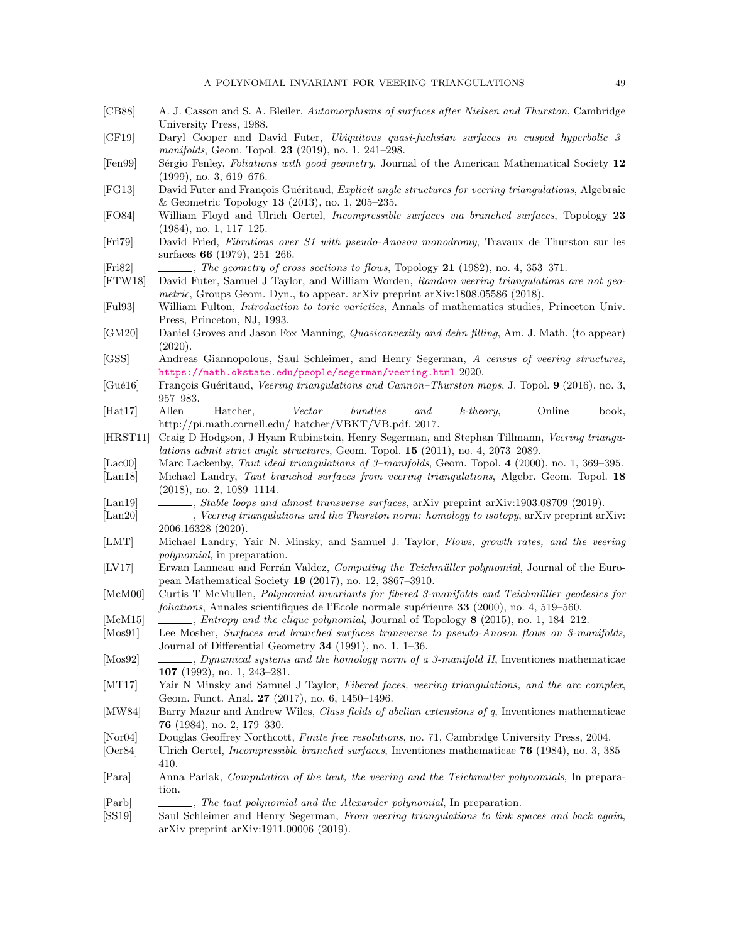- <span id="page-48-27"></span>[CB88] A. J. Casson and S. A. Bleiler, Automorphisms of surfaces after Nielsen and Thurston, Cambridge University Press, 1988.
- <span id="page-48-28"></span>[CF19] Daryl Cooper and David Futer, Ubiquitous quasi-fuchsian surfaces in cusped hyperbolic 3– manifolds, Geom. Topol. 23 (2019), no. 1, 241–298.
- <span id="page-48-13"></span>[Fen99] Sérgio Fenley, Foliations with good geometry, Journal of the American Mathematical Society 12 (1999), no. 3, 619–676.
- <span id="page-48-1"></span>[FG13] David Futer and François Guéritaud, Explicit angle structures for veering triangulations, Algebraic & Geometric Topology 13 (2013), no. 1, 205–235.
- <span id="page-48-18"></span>[FO84] William Floyd and Ulrich Oertel, Incompressible surfaces via branched surfaces, Topology 23 (1984), no. 1, 117–125.
- <span id="page-48-30"></span>[Fri79] David Fried, Fibrations over S1 with pseudo-Anosov monodromy, Travaux de Thurston sur les surfaces 66 (1979), 251–266.
- <span id="page-48-11"></span>[Fri82] , The geometry of cross sections to flows, Topology 21 (1982), no. 4, 353–371.
- <span id="page-48-3"></span>[FTW18] David Futer, Samuel J Taylor, and William Worden, Random veering triangulations are not geometric, Groups Geom. Dyn., to appear. arXiv preprint arXiv:1808.05586 (2018).
- <span id="page-48-23"></span>[Ful93] William Fulton, Introduction to toric varieties, Annals of mathematics studies, Princeton Univ. Press, Princeton, NJ, 1993.
- <span id="page-48-29"></span>[GM20] Daniel Groves and Jason Fox Manning, Quasiconvexity and dehn filling, Am. J. Math. (to appear) (2020).
- <span id="page-48-9"></span>[GSS] Andreas Giannopolous, Saul Schleimer, and Henry Segerman, A census of veering structures, <https://math.okstate.edu/people/segerman/veering.html> 2020.
- <span id="page-48-2"></span>[Gué16] François Guéritaud, Veering triangulations and Cannon–Thurston maps, J. Topol. 9 (2016), no. 3, 957–983.
- <span id="page-48-24"></span>[Hat17] Allen Hatcher, Vector bundles and k-theory, Online book, http://pi.math.cornell.edu/ hatcher/VBKT/VB.pdf, 2017.
- <span id="page-48-0"></span>[HRST11] Craig D Hodgson, J Hyam Rubinstein, Henry Segerman, and Stephan Tillmann, Veering triangulations admit strict angle structures, Geom. Topol. 15 (2011), no. 4, 2073–2089.
- <span id="page-48-17"></span>[Lac00] Marc Lackenby, Taut ideal triangulations of 3–manifolds, Geom. Topol. 4 (2000), no. 1, 369–395.
- <span id="page-48-5"></span>[Lan18] Michael Landry, Taut branched surfaces from veering triangulations, Algebr. Geom. Topol. 18 (2018), no. 2, 1089–1114.
- <span id="page-48-6"></span>[Lan19] , Stable loops and almost transverse surfaces, arXiv preprint arXiv:1903.08709 (2019).
- <span id="page-48-16"></span>[Lan20] , Veering triangulations and the Thurston norm: homology to isotopy, arXiv preprint arXiv: 2006.16328 (2020).
- <span id="page-48-12"></span>[LMT] Michael Landry, Yair N. Minsky, and Samuel J. Taylor, Flows, growth rates, and the veering polynomial, in preparation.
- <span id="page-48-15"></span>[LV17] Erwan Lanneau and Ferrán Valdez, Computing the Teichmüller polynomial, Journal of the European Mathematical Society 19 (2017), no. 12, 3867–3910.
- <span id="page-48-8"></span>[McM00] Curtis T McMullen, Polynomial invariants for fibered 3-manifolds and Teichm¨uller geodesics for  $foliations, Annales scientificues de l'Ecole normale supérieure **33** (2000), no. 4, 519–560.$
- <span id="page-48-22"></span>[McM15] , Entropy and the clique polynomial, Journal of Topology 8 (2015), no. 1, 184–212.
- <span id="page-48-25"></span>[Mos91] Lee Mosher, Surfaces and branched surfaces transverse to pseudo-Anosov flows on 3-manifolds, Journal of Differential Geometry 34 (1991), no. 1, 1–36.
- <span id="page-48-26"></span>[Mos92] , Dynamical systems and the homology norm of a 3-manifold II, Inventiones mathematicae 107 (1992), no. 1, 243–281.
- <span id="page-48-4"></span>[MT17] Yair N Minsky and Samuel J Taylor, Fibered faces, veering triangulations, and the arc complex, Geom. Funct. Anal. 27 (2017), no. 6, 1450–1496.
- <span id="page-48-21"></span>[MW84] Barry Mazur and Andrew Wiles, Class fields of abelian extensions of q, Inventiones mathematicae 76 (1984), no. 2, 179–330.
- <span id="page-48-20"></span>[Nor04] Douglas Geoffrey Northcott, Finite free resolutions, no. 71, Cambridge University Press, 2004.
- <span id="page-48-19"></span>[Oer84] Ulrich Oertel, Incompressible branched surfaces, Inventiones mathematicae 76 (1984), no. 3, 385– 410.
- <span id="page-48-10"></span>[Para] Anna Parlak, Computation of the taut, the veering and the Teichmuller polynomials, In preparation.
- <span id="page-48-14"></span>[Parb] , The taut polynomial and the Alexander polynomial, In preparation.
- <span id="page-48-7"></span>[SS19] Saul Schleimer and Henry Segerman, From veering triangulations to link spaces and back again, arXiv preprint arXiv:1911.00006 (2019).